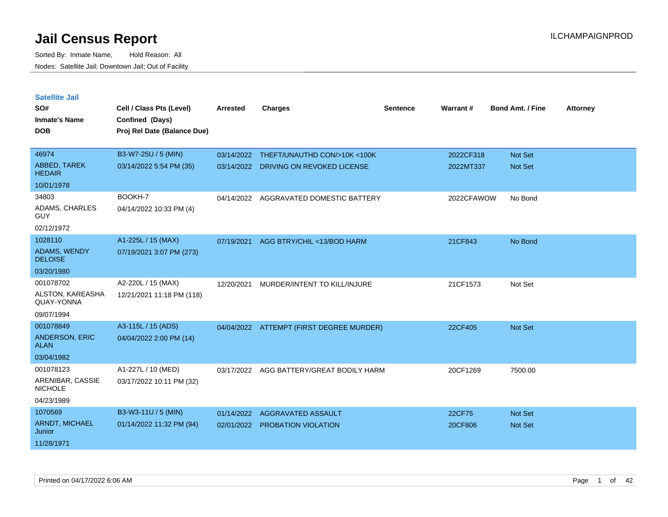| <b>Satellite Jail</b>              |                             |                 |                                          |                 |                 |                         |                 |
|------------------------------------|-----------------------------|-----------------|------------------------------------------|-----------------|-----------------|-------------------------|-----------------|
| SO#                                | Cell / Class Pts (Level)    | <b>Arrested</b> | <b>Charges</b>                           | <b>Sentence</b> | <b>Warrant#</b> | <b>Bond Amt. / Fine</b> | <b>Attorney</b> |
| <b>Inmate's Name</b>               | Confined (Days)             |                 |                                          |                 |                 |                         |                 |
| <b>DOB</b>                         | Proj Rel Date (Balance Due) |                 |                                          |                 |                 |                         |                 |
|                                    |                             |                 |                                          |                 |                 |                         |                 |
| 46974                              | B3-W7-25U / 5 (MIN)         | 03/14/2022      | THEFT/UNAUTHD CON/>10K <100K             |                 | 2022CF318       | Not Set                 |                 |
| ABBED, TAREK<br><b>HEDAIR</b>      | 03/14/2022 5:54 PM (35)     | 03/14/2022      | DRIVING ON REVOKED LICENSE               |                 | 2022MT337       | <b>Not Set</b>          |                 |
| 10/01/1978                         |                             |                 |                                          |                 |                 |                         |                 |
| 34803                              | BOOKH-7                     | 04/14/2022      | AGGRAVATED DOMESTIC BATTERY              |                 | 2022CFAWOW      | No Bond                 |                 |
| ADAMS, CHARLES<br>GUY              | 04/14/2022 10:33 PM (4)     |                 |                                          |                 |                 |                         |                 |
| 02/12/1972                         |                             |                 |                                          |                 |                 |                         |                 |
| 1028110                            | A1-225L / 15 (MAX)          | 07/19/2021      | AGG BTRY/CHIL <13/BOD HARM               |                 | 21CF843         | No Bond                 |                 |
| ADAMS, WENDY<br><b>DELOISE</b>     | 07/19/2021 3:07 PM (273)    |                 |                                          |                 |                 |                         |                 |
| 03/20/1980                         |                             |                 |                                          |                 |                 |                         |                 |
| 001078702                          | A2-220L / 15 (MAX)          | 12/20/2021      | MURDER/INTENT TO KILL/INJURE             |                 | 21CF1573        | Not Set                 |                 |
| ALSTON, KAREASHA<br>QUAY-YONNA     | 12/21/2021 11:18 PM (118)   |                 |                                          |                 |                 |                         |                 |
| 09/07/1994                         |                             |                 |                                          |                 |                 |                         |                 |
| 001078849                          | A3-115L / 15 (ADS)          |                 | 04/04/2022 ATTEMPT (FIRST DEGREE MURDER) |                 | 22CF405         | <b>Not Set</b>          |                 |
| ANDERSON, ERIC<br><b>ALAN</b>      | 04/04/2022 2:00 PM (14)     |                 |                                          |                 |                 |                         |                 |
| 03/04/1982                         |                             |                 |                                          |                 |                 |                         |                 |
| 001078123                          | A1-227L / 10 (MED)          |                 | 03/17/2022 AGG BATTERY/GREAT BODILY HARM |                 | 20CF1269        | 7500.00                 |                 |
| ARENIBAR, CASSIE<br><b>NICHOLE</b> | 03/17/2022 10:11 PM (32)    |                 |                                          |                 |                 |                         |                 |
| 04/23/1989                         |                             |                 |                                          |                 |                 |                         |                 |
| 1070569                            | B3-W3-11U / 5 (MIN)         | 01/14/2022      | AGGRAVATED ASSAULT                       |                 | 22CF75          | <b>Not Set</b>          |                 |
| ARNDT, MICHAEL<br>Junior           | 01/14/2022 11:32 PM (94)    | 02/01/2022      | PROBATION VIOLATION                      |                 | 20CF806         | <b>Not Set</b>          |                 |
| 11/28/1971                         |                             |                 |                                          |                 |                 |                         |                 |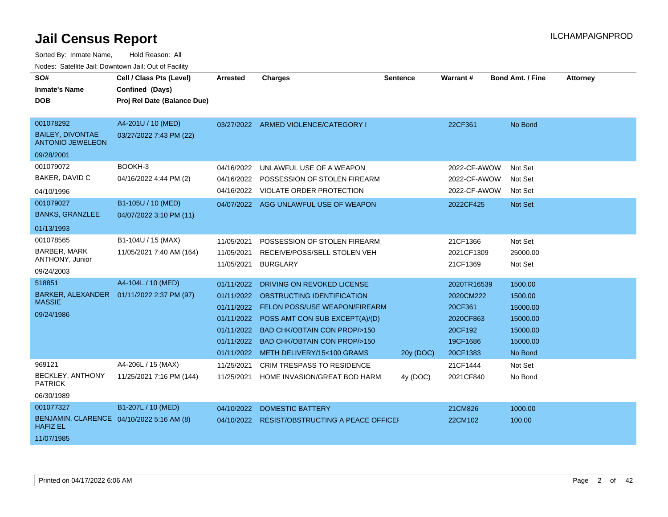| SO#<br><b>Inmate's Name</b><br><b>DOB</b>                    | Cell / Class Pts (Level)<br>Confined (Days)<br>Proj Rel Date (Balance Due) | <b>Arrested</b> | <b>Charges</b>                                | <b>Sentence</b> | Warrant#     | <b>Bond Amt. / Fine</b> | <b>Attorney</b> |
|--------------------------------------------------------------|----------------------------------------------------------------------------|-----------------|-----------------------------------------------|-----------------|--------------|-------------------------|-----------------|
| 001078292                                                    | A4-201U / 10 (MED)                                                         |                 | 03/27/2022 ARMED VIOLENCE/CATEGORY I          |                 | 22CF361      | No Bond                 |                 |
| <b>BAILEY, DIVONTAE</b><br><b>ANTONIO JEWELEON</b>           | 03/27/2022 7:43 PM (22)                                                    |                 |                                               |                 |              |                         |                 |
| 09/28/2001                                                   |                                                                            |                 |                                               |                 |              |                         |                 |
| 001079072                                                    | BOOKH-3                                                                    | 04/16/2022      | UNLAWFUL USE OF A WEAPON                      |                 | 2022-CF-AWOW | Not Set                 |                 |
| BAKER, DAVID C                                               | 04/16/2022 4:44 PM (2)                                                     | 04/16/2022      | POSSESSION OF STOLEN FIREARM                  |                 | 2022-CF-AWOW | Not Set                 |                 |
| 04/10/1996                                                   |                                                                            |                 | 04/16/2022 VIOLATE ORDER PROTECTION           |                 | 2022-CF-AWOW | Not Set                 |                 |
| 001079027                                                    | B1-105U / 10 (MED)                                                         |                 | 04/07/2022 AGG UNLAWFUL USE OF WEAPON         |                 | 2022CF425    | Not Set                 |                 |
| <b>BANKS, GRANZLEE</b>                                       | 04/07/2022 3:10 PM (11)                                                    |                 |                                               |                 |              |                         |                 |
| 01/13/1993                                                   |                                                                            |                 |                                               |                 |              |                         |                 |
| 001078565                                                    | B1-104U / 15 (MAX)                                                         | 11/05/2021      | POSSESSION OF STOLEN FIREARM                  |                 | 21CF1366     | Not Set                 |                 |
| <b>BARBER, MARK</b>                                          | 11/05/2021 7:40 AM (164)                                                   | 11/05/2021      | RECEIVE/POSS/SELL STOLEN VEH                  |                 | 2021CF1309   | 25000.00                |                 |
| ANTHONY, Junior                                              |                                                                            | 11/05/2021      | <b>BURGLARY</b>                               |                 | 21CF1369     | Not Set                 |                 |
| 09/24/2003                                                   |                                                                            |                 |                                               |                 |              |                         |                 |
| 518851                                                       | A4-104L / 10 (MED)                                                         | 01/11/2022      | DRIVING ON REVOKED LICENSE                    |                 | 2020TR16539  | 1500.00                 |                 |
| <b>MASSIE</b>                                                | BARKER, ALEXANDER  01/11/2022 2:37 PM (97)                                 | 01/11/2022      | OBSTRUCTING IDENTIFICATION                    |                 | 2020CM222    | 1500.00                 |                 |
| 09/24/1986                                                   |                                                                            | 01/11/2022      | FELON POSS/USE WEAPON/FIREARM                 |                 | 20CF361      | 15000.00                |                 |
|                                                              |                                                                            | 01/11/2022      | POSS AMT CON SUB EXCEPT(A)/(D)                |                 | 2020CF863    | 15000.00                |                 |
|                                                              |                                                                            | 01/11/2022      | <b>BAD CHK/OBTAIN CON PROP/&gt;150</b>        |                 | 20CF192      | 15000.00                |                 |
|                                                              |                                                                            | 01/11/2022      | BAD CHK/OBTAIN CON PROP/>150                  |                 | 19CF1686     | 15000.00                |                 |
|                                                              |                                                                            | 01/11/2022      | METH DELIVERY/15<100 GRAMS                    | 20y (DOC)       | 20CF1383     | No Bond                 |                 |
| 969121                                                       | A4-206L / 15 (MAX)                                                         | 11/25/2021      | <b>CRIM TRESPASS TO RESIDENCE</b>             |                 | 21CF1444     | Not Set                 |                 |
| <b>BECKLEY, ANTHONY</b><br><b>PATRICK</b>                    | 11/25/2021 7:16 PM (144)                                                   | 11/25/2021      | HOME INVASION/GREAT BOD HARM                  | 4y (DOC)        | 2021CF840    | No Bond                 |                 |
| 06/30/1989                                                   |                                                                            |                 |                                               |                 |              |                         |                 |
| 001077327                                                    | B1-207L / 10 (MED)                                                         | 04/10/2022      | <b>DOMESTIC BATTERY</b>                       |                 | 21CM826      | 1000.00                 |                 |
| BENJAMIN, CLARENCE 04/10/2022 5:16 AM (8)<br><b>HAFIZ EL</b> |                                                                            |                 | 04/10/2022 RESIST/OBSTRUCTING A PEACE OFFICEF |                 | 22CM102      | 100.00                  |                 |
| 11/07/1985                                                   |                                                                            |                 |                                               |                 |              |                         |                 |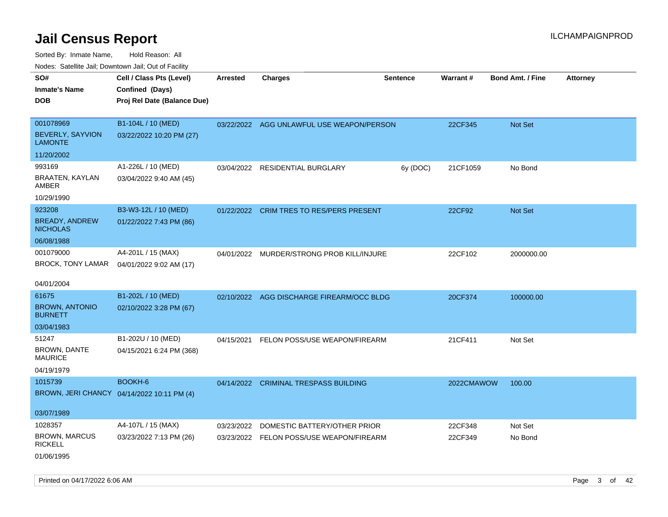| roaco. Calcinio dan, Downtown dan, Oal or Fability |                                            |                 |                                           |                 |            |                         |                 |
|----------------------------------------------------|--------------------------------------------|-----------------|-------------------------------------------|-----------------|------------|-------------------------|-----------------|
| SO#                                                | Cell / Class Pts (Level)                   | <b>Arrested</b> | <b>Charges</b>                            | <b>Sentence</b> | Warrant#   | <b>Bond Amt. / Fine</b> | <b>Attorney</b> |
| Inmate's Name                                      | Confined (Days)                            |                 |                                           |                 |            |                         |                 |
| DOB                                                | Proj Rel Date (Balance Due)                |                 |                                           |                 |            |                         |                 |
|                                                    |                                            |                 |                                           |                 |            |                         |                 |
| 001078969                                          | B1-104L / 10 (MED)                         |                 | 03/22/2022 AGG UNLAWFUL USE WEAPON/PERSON |                 | 22CF345    | Not Set                 |                 |
| <b>BEVERLY, SAYVION</b><br>LAMONTE                 | 03/22/2022 10:20 PM (27)                   |                 |                                           |                 |            |                         |                 |
| 11/20/2002                                         |                                            |                 |                                           |                 |            |                         |                 |
| 993169                                             | A1-226L / 10 (MED)                         | 03/04/2022      | RESIDENTIAL BURGLARY                      | 6y (DOC)        | 21CF1059   | No Bond                 |                 |
| BRAATEN, KAYLAN<br>AMBER                           | 03/04/2022 9:40 AM (45)                    |                 |                                           |                 |            |                         |                 |
| 10/29/1990                                         |                                            |                 |                                           |                 |            |                         |                 |
| 923208                                             | B3-W3-12L / 10 (MED)                       |                 | 01/22/2022 CRIM TRES TO RES/PERS PRESENT  |                 | 22CF92     | <b>Not Set</b>          |                 |
| <b>BREADY, ANDREW</b><br><b>NICHOLAS</b>           | 01/22/2022 7:43 PM (86)                    |                 |                                           |                 |            |                         |                 |
| 06/08/1988                                         |                                            |                 |                                           |                 |            |                         |                 |
| 001079000                                          | A4-201L / 15 (MAX)                         | 04/01/2022      | MURDER/STRONG PROB KILL/INJURE            |                 | 22CF102    | 2000000.00              |                 |
| BROCK, TONY LAMAR                                  | 04/01/2022 9:02 AM (17)                    |                 |                                           |                 |            |                         |                 |
|                                                    |                                            |                 |                                           |                 |            |                         |                 |
| 04/01/2004                                         |                                            |                 |                                           |                 |            |                         |                 |
| 61675                                              | B1-202L / 10 (MED)                         | 02/10/2022      | AGG DISCHARGE FIREARM/OCC BLDG            |                 | 20CF374    | 100000.00               |                 |
| <b>BROWN, ANTONIO</b><br><b>BURNETT</b>            | 02/10/2022 3:28 PM (67)                    |                 |                                           |                 |            |                         |                 |
| 03/04/1983                                         |                                            |                 |                                           |                 |            |                         |                 |
| 51247                                              | B1-202U / 10 (MED)                         | 04/15/2021      | FELON POSS/USE WEAPON/FIREARM             |                 | 21CF411    | Not Set                 |                 |
| <b>BROWN, DANTE</b><br>MAURICE                     | 04/15/2021 6:24 PM (368)                   |                 |                                           |                 |            |                         |                 |
| 04/19/1979                                         |                                            |                 |                                           |                 |            |                         |                 |
| 1015739                                            | BOOKH-6                                    | 04/14/2022      | <b>CRIMINAL TRESPASS BUILDING</b>         |                 | 2022CMAWOW | 100.00                  |                 |
|                                                    | BROWN, JERI CHANCY 04/14/2022 10:11 PM (4) |                 |                                           |                 |            |                         |                 |
| 03/07/1989                                         |                                            |                 |                                           |                 |            |                         |                 |
| 1028357                                            | A4-107L / 15 (MAX)                         | 03/23/2022      | DOMESTIC BATTERY/OTHER PRIOR              |                 | 22CF348    | Not Set                 |                 |
| BROWN, MARCUS                                      | 03/23/2022 7:13 PM (26)                    | 03/23/2022      | FELON POSS/USE WEAPON/FIREARM             |                 | 22CF349    | No Bond                 |                 |
| <b>RICKELL</b>                                     |                                            |                 |                                           |                 |            |                         |                 |
| 01/06/1995                                         |                                            |                 |                                           |                 |            |                         |                 |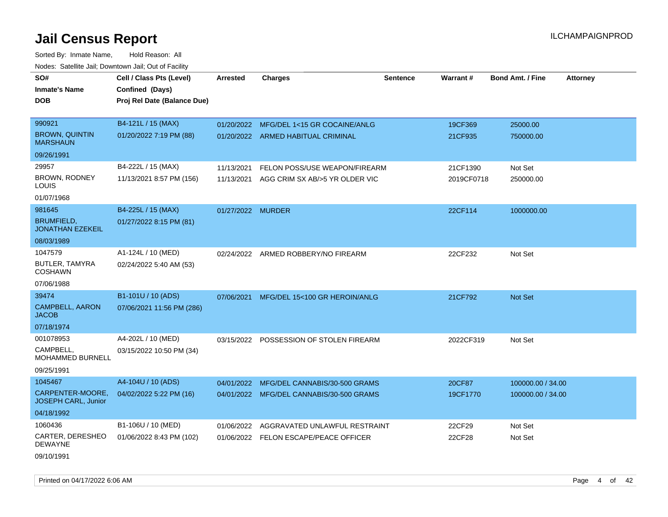| SO#                                            | Cell / Class Pts (Level)    | <b>Arrested</b>   | <b>Charges</b>                            | <b>Sentence</b> | <b>Warrant#</b> | <b>Bond Amt. / Fine</b> | <b>Attorney</b> |
|------------------------------------------------|-----------------------------|-------------------|-------------------------------------------|-----------------|-----------------|-------------------------|-----------------|
| <b>Inmate's Name</b>                           | Confined (Days)             |                   |                                           |                 |                 |                         |                 |
| <b>DOB</b>                                     | Proj Rel Date (Balance Due) |                   |                                           |                 |                 |                         |                 |
|                                                |                             |                   |                                           |                 |                 |                         |                 |
| 990921                                         | B4-121L / 15 (MAX)          | 01/20/2022        | MFG/DEL 1<15 GR COCAINE/ANLG              |                 | 19CF369         | 25000.00                |                 |
| <b>BROWN, QUINTIN</b><br><b>MARSHAUN</b>       | 01/20/2022 7:19 PM (88)     |                   | 01/20/2022 ARMED HABITUAL CRIMINAL        |                 | 21CF935         | 750000.00               |                 |
| 09/26/1991                                     |                             |                   |                                           |                 |                 |                         |                 |
| 29957                                          | B4-222L / 15 (MAX)          | 11/13/2021        | FELON POSS/USE WEAPON/FIREARM             |                 | 21CF1390        | Not Set                 |                 |
| BROWN, RODNEY<br>LOUIS                         | 11/13/2021 8:57 PM (156)    |                   | 11/13/2021 AGG CRIM SX AB/>5 YR OLDER VIC |                 | 2019CF0718      | 250000.00               |                 |
| 01/07/1968                                     |                             |                   |                                           |                 |                 |                         |                 |
| 981645                                         | B4-225L / 15 (MAX)          | 01/27/2022 MURDER |                                           |                 | 22CF114         | 1000000.00              |                 |
| <b>BRUMFIELD,</b><br><b>JONATHAN EZEKEIL</b>   | 01/27/2022 8:15 PM (81)     |                   |                                           |                 |                 |                         |                 |
| 08/03/1989                                     |                             |                   |                                           |                 |                 |                         |                 |
| 1047579                                        | A1-124L / 10 (MED)          |                   | 02/24/2022 ARMED ROBBERY/NO FIREARM       |                 | 22CF232         | Not Set                 |                 |
| BUTLER, TAMYRA<br><b>COSHAWN</b>               | 02/24/2022 5:40 AM (53)     |                   |                                           |                 |                 |                         |                 |
| 07/06/1988                                     |                             |                   |                                           |                 |                 |                         |                 |
| 39474                                          | B1-101U / 10 (ADS)          | 07/06/2021        | MFG/DEL 15<100 GR HEROIN/ANLG             |                 | 21CF792         | Not Set                 |                 |
| CAMPBELL, AARON<br><b>JACOB</b>                | 07/06/2021 11:56 PM (286)   |                   |                                           |                 |                 |                         |                 |
| 07/18/1974                                     |                             |                   |                                           |                 |                 |                         |                 |
| 001078953                                      | A4-202L / 10 (MED)          |                   | 03/15/2022 POSSESSION OF STOLEN FIREARM   |                 | 2022CF319       | Not Set                 |                 |
| CAMPBELL,<br>MOHAMMED BURNELL                  | 03/15/2022 10:50 PM (34)    |                   |                                           |                 |                 |                         |                 |
| 09/25/1991                                     |                             |                   |                                           |                 |                 |                         |                 |
| 1045467                                        | A4-104U / 10 (ADS)          | 04/01/2022        | MFG/DEL CANNABIS/30-500 GRAMS             |                 | 20CF87          | 100000.00 / 34.00       |                 |
| CARPENTER-MOORE,<br><b>JOSEPH CARL, Junior</b> | 04/02/2022 5:22 PM (16)     |                   | 04/01/2022 MFG/DEL CANNABIS/30-500 GRAMS  |                 | 19CF1770        | 100000.00 / 34.00       |                 |
| 04/18/1992                                     |                             |                   |                                           |                 |                 |                         |                 |
| 1060436                                        | B1-106U / 10 (MED)          | 01/06/2022        | AGGRAVATED UNLAWFUL RESTRAINT             |                 | 22CF29          | Not Set                 |                 |
| CARTER, DERESHEO<br><b>DEWAYNE</b>             | 01/06/2022 8:43 PM (102)    |                   | 01/06/2022 FELON ESCAPE/PEACE OFFICER     |                 | 22CF28          | Not Set                 |                 |
| 09/10/1991                                     |                             |                   |                                           |                 |                 |                         |                 |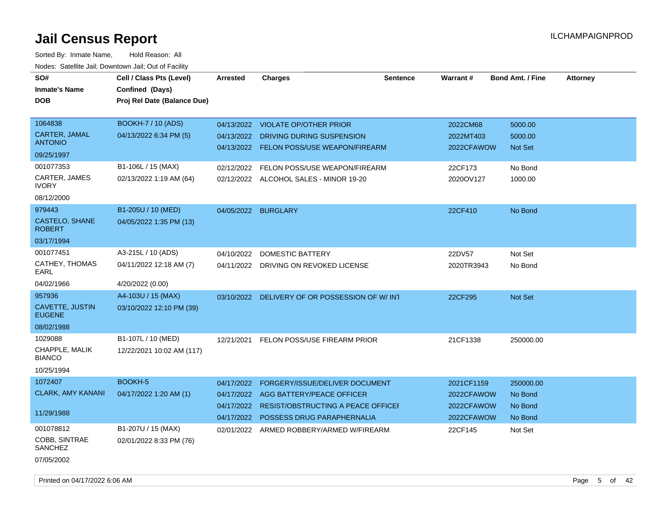| SO#<br><b>Inmate's Name</b>      | Cell / Class Pts (Level)<br>Confined (Days) | Arrested   | <b>Charges</b>                            | <b>Sentence</b> | <b>Warrant#</b> | <b>Bond Amt. / Fine</b> | <b>Attorney</b> |
|----------------------------------|---------------------------------------------|------------|-------------------------------------------|-----------------|-----------------|-------------------------|-----------------|
| <b>DOB</b>                       | Proj Rel Date (Balance Due)                 |            |                                           |                 |                 |                         |                 |
| 1064838                          | <b>BOOKH-7 / 10 (ADS)</b>                   |            | 04/13/2022 VIOLATE OP/OTHER PRIOR         |                 | 2022CM68        | 5000.00                 |                 |
| CARTER, JAMAL<br><b>ANTONIO</b>  | 04/13/2022 6:34 PM (5)                      | 04/13/2022 | DRIVING DURING SUSPENSION                 |                 | 2022MT403       | 5000.00                 |                 |
| 09/25/1997                       |                                             | 04/13/2022 | FELON POSS/USE WEAPON/FIREARM             |                 | 2022CFAWOW      | <b>Not Set</b>          |                 |
| 001077353                        | B1-106L / 15 (MAX)                          | 02/12/2022 | FELON POSS/USE WEAPON/FIREARM             |                 | 22CF173         | No Bond                 |                 |
| CARTER, JAMES<br><b>IVORY</b>    | 02/13/2022 1:19 AM (64)                     |            | 02/12/2022 ALCOHOL SALES - MINOR 19-20    |                 | 2020OV127       | 1000.00                 |                 |
| 08/12/2000                       |                                             |            |                                           |                 |                 |                         |                 |
| 979443                           | B1-205U / 10 (MED)                          | 04/05/2022 | <b>BURGLARY</b>                           |                 | 22CF410         | No Bond                 |                 |
| CASTELO, SHANE<br><b>ROBERT</b>  | 04/05/2022 1:35 PM (13)                     |            |                                           |                 |                 |                         |                 |
| 03/17/1994                       |                                             |            |                                           |                 |                 |                         |                 |
| 001077451                        | A3-215L / 10 (ADS)                          | 04/10/2022 | DOMESTIC BATTERY                          |                 | 22DV57          | Not Set                 |                 |
| CATHEY, THOMAS<br>EARL           | 04/11/2022 12:18 AM (7)                     | 04/11/2022 | DRIVING ON REVOKED LICENSE                |                 | 2020TR3943      | No Bond                 |                 |
| 04/02/1966                       | 4/20/2022 (0.00)                            |            |                                           |                 |                 |                         |                 |
| 957936                           | A4-103U / 15 (MAX)                          | 03/10/2022 | DELIVERY OF OR POSSESSION OF W/INT        |                 | 22CF295         | Not Set                 |                 |
| CAVETTE, JUSTIN<br><b>EUGENE</b> | 03/10/2022 12:10 PM (39)                    |            |                                           |                 |                 |                         |                 |
| 08/02/1988                       |                                             |            |                                           |                 |                 |                         |                 |
| 1029088                          | B1-107L / 10 (MED)                          | 12/21/2021 | FELON POSS/USE FIREARM PRIOR              |                 | 21CF1338        | 250000.00               |                 |
| CHAPPLE, MALIK<br><b>BIANCO</b>  | 12/22/2021 10:02 AM (117)                   |            |                                           |                 |                 |                         |                 |
| 10/25/1994                       |                                             |            |                                           |                 |                 |                         |                 |
| 1072407                          | BOOKH-5                                     | 04/17/2022 | FORGERY/ISSUE/DELIVER DOCUMENT            |                 | 2021CF1159      | 250000.00               |                 |
| <b>CLARK, AMY KANANI</b>         | 04/17/2022 1:20 AM (1)                      | 04/17/2022 | AGG BATTERY/PEACE OFFICER                 |                 | 2022CFAWOW      | No Bond                 |                 |
| 11/29/1988                       |                                             | 04/17/2022 | <b>RESIST/OBSTRUCTING A PEACE OFFICEF</b> |                 | 2022CFAWOW      | No Bond                 |                 |
|                                  |                                             |            | 04/17/2022 POSSESS DRUG PARAPHERNALIA     |                 | 2022CFAWOW      | No Bond                 |                 |
| 001078812                        | B1-207U / 15 (MAX)                          |            | 02/01/2022 ARMED ROBBERY/ARMED W/FIREARM  |                 | 22CF145         | Not Set                 |                 |
| COBB, SINTRAE<br>SANCHEZ         | 02/01/2022 8:33 PM (76)                     |            |                                           |                 |                 |                         |                 |
| 07/05/2002                       |                                             |            |                                           |                 |                 |                         |                 |
|                                  |                                             |            |                                           |                 |                 |                         |                 |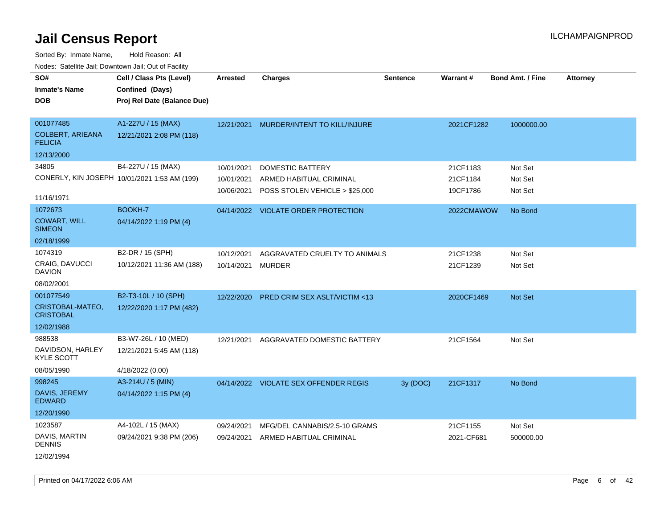Sorted By: Inmate Name, Hold Reason: All Nodes: Satellite Jail; Downtown Jail; Out of Facility

| SO#                                   | Cell / Class Pts (Level)                     | <b>Arrested</b> | <b>Charges</b>                          | <b>Sentence</b> | Warrant#   | <b>Bond Amt. / Fine</b> | <b>Attorney</b> |
|---------------------------------------|----------------------------------------------|-----------------|-----------------------------------------|-----------------|------------|-------------------------|-----------------|
| <b>Inmate's Name</b>                  | Confined (Days)                              |                 |                                         |                 |            |                         |                 |
| <b>DOB</b>                            | Proj Rel Date (Balance Due)                  |                 |                                         |                 |            |                         |                 |
|                                       |                                              |                 |                                         |                 |            |                         |                 |
| 001077485                             | A1-227U / 15 (MAX)                           | 12/21/2021      | MURDER/INTENT TO KILL/INJURE            |                 | 2021CF1282 | 1000000.00              |                 |
| COLBERT, ARIEANA<br><b>FELICIA</b>    | 12/21/2021 2:08 PM (118)                     |                 |                                         |                 |            |                         |                 |
| 12/13/2000                            |                                              |                 |                                         |                 |            |                         |                 |
| 34805                                 | B4-227U / 15 (MAX)                           | 10/01/2021      | <b>DOMESTIC BATTERY</b>                 |                 | 21CF1183   | Not Set                 |                 |
|                                       | CONERLY, KIN JOSEPH 10/01/2021 1:53 AM (199) | 10/01/2021      | ARMED HABITUAL CRIMINAL                 |                 | 21CF1184   | Not Set                 |                 |
|                                       |                                              | 10/06/2021      | POSS STOLEN VEHICLE > \$25,000          |                 | 19CF1786   | Not Set                 |                 |
| 11/16/1971                            |                                              |                 |                                         |                 |            |                         |                 |
| 1072673                               | BOOKH-7                                      |                 | 04/14/2022 VIOLATE ORDER PROTECTION     |                 | 2022CMAWOW | No Bond                 |                 |
| <b>COWART, WILL</b><br><b>SIMEON</b>  | 04/14/2022 1:19 PM (4)                       |                 |                                         |                 |            |                         |                 |
| 02/18/1999                            |                                              |                 |                                         |                 |            |                         |                 |
| 1074319                               | B2-DR / 15 (SPH)                             | 10/12/2021      | AGGRAVATED CRUELTY TO ANIMALS           |                 | 21CF1238   | Not Set                 |                 |
| CRAIG, DAVUCCI<br><b>DAVION</b>       | 10/12/2021 11:36 AM (188)                    | 10/14/2021      | MURDER                                  |                 | 21CF1239   | Not Set                 |                 |
| 08/02/2001                            |                                              |                 |                                         |                 |            |                         |                 |
| 001077549                             | B2-T3-10L / 10 (SPH)                         | 12/22/2020      | <b>PRED CRIM SEX ASLT/VICTIM &lt;13</b> |                 | 2020CF1469 | Not Set                 |                 |
| CRISTOBAL-MATEO,<br><b>CRISTOBAL</b>  | 12/22/2020 1:17 PM (482)                     |                 |                                         |                 |            |                         |                 |
| 12/02/1988                            |                                              |                 |                                         |                 |            |                         |                 |
| 988538                                | B3-W7-26L / 10 (MED)                         | 12/21/2021      | AGGRAVATED DOMESTIC BATTERY             |                 | 21CF1564   | Not Set                 |                 |
| DAVIDSON, HARLEY<br><b>KYLE SCOTT</b> | 12/21/2021 5:45 AM (118)                     |                 |                                         |                 |            |                         |                 |
| 08/05/1990                            | 4/18/2022 (0.00)                             |                 |                                         |                 |            |                         |                 |
| 998245                                | A3-214U / 5 (MIN)                            |                 | 04/14/2022 VIOLATE SEX OFFENDER REGIS   | 3y (DOC)        | 21CF1317   | No Bond                 |                 |
| DAVIS, JEREMY<br><b>EDWARD</b>        | 04/14/2022 1:15 PM (4)                       |                 |                                         |                 |            |                         |                 |
| 12/20/1990                            |                                              |                 |                                         |                 |            |                         |                 |
| 1023587                               | A4-102L / 15 (MAX)                           | 09/24/2021      | MFG/DEL CANNABIS/2.5-10 GRAMS           |                 | 21CF1155   | Not Set                 |                 |
| DAVIS, MARTIN<br><b>DENNIS</b>        | 09/24/2021 9:38 PM (206)                     | 09/24/2021      | ARMED HABITUAL CRIMINAL                 |                 | 2021-CF681 | 500000.00               |                 |
| 12/02/1994                            |                                              |                 |                                         |                 |            |                         |                 |

Printed on 04/17/2022 6:06 AM Page 6 of 42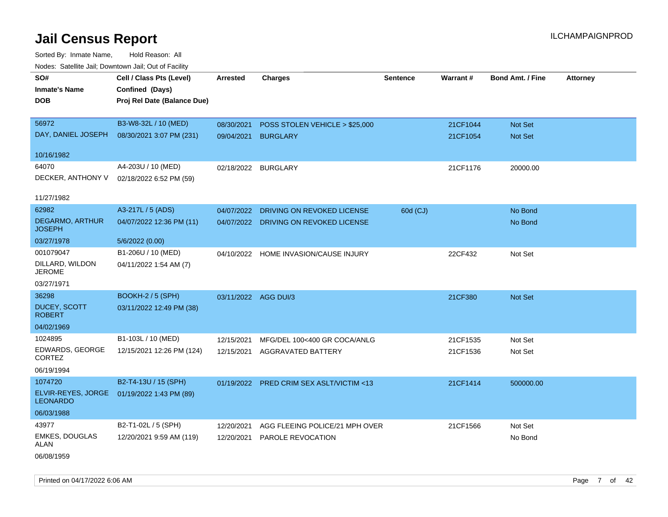| rougs. Calcinic Jan, Downtown Jan, Out of Facility |                             |                      |                                       |                 |          |                         |                 |
|----------------------------------------------------|-----------------------------|----------------------|---------------------------------------|-----------------|----------|-------------------------|-----------------|
| SO#                                                | Cell / Class Pts (Level)    | Arrested             | <b>Charges</b>                        | <b>Sentence</b> | Warrant# | <b>Bond Amt. / Fine</b> | <b>Attorney</b> |
| <b>Inmate's Name</b>                               | Confined (Days)             |                      |                                       |                 |          |                         |                 |
| <b>DOB</b>                                         | Proj Rel Date (Balance Due) |                      |                                       |                 |          |                         |                 |
|                                                    |                             |                      |                                       |                 |          |                         |                 |
| 56972                                              | B3-W8-32L / 10 (MED)        | 08/30/2021           | POSS STOLEN VEHICLE > \$25,000        |                 | 21CF1044 | Not Set                 |                 |
| DAY, DANIEL JOSEPH                                 | 08/30/2021 3:07 PM (231)    | 09/04/2021           | <b>BURGLARY</b>                       |                 | 21CF1054 | Not Set                 |                 |
|                                                    |                             |                      |                                       |                 |          |                         |                 |
| 10/16/1982                                         |                             |                      |                                       |                 |          |                         |                 |
| 64070                                              | A4-203U / 10 (MED)          | 02/18/2022           | <b>BURGLARY</b>                       |                 | 21CF1176 | 20000.00                |                 |
| DECKER, ANTHONY V                                  | 02/18/2022 6:52 PM (59)     |                      |                                       |                 |          |                         |                 |
|                                                    |                             |                      |                                       |                 |          |                         |                 |
| 11/27/1982                                         |                             |                      |                                       |                 |          |                         |                 |
| 62982                                              | A3-217L / 5 (ADS)           | 04/07/2022           | DRIVING ON REVOKED LICENSE            | 60d (CJ)        |          | No Bond                 |                 |
| <b>DEGARMO, ARTHUR</b><br><b>JOSEPH</b>            | 04/07/2022 12:36 PM (11)    |                      | 04/07/2022 DRIVING ON REVOKED LICENSE |                 |          | No Bond                 |                 |
| 03/27/1978                                         | 5/6/2022 (0.00)             |                      |                                       |                 |          |                         |                 |
| 001079047                                          | B1-206U / 10 (MED)          | 04/10/2022           | HOME INVASION/CAUSE INJURY            |                 | 22CF432  | Not Set                 |                 |
| DILLARD, WILDON<br><b>JEROME</b>                   | 04/11/2022 1:54 AM (7)      |                      |                                       |                 |          |                         |                 |
| 03/27/1971                                         |                             |                      |                                       |                 |          |                         |                 |
| 36298                                              | BOOKH-2 / 5 (SPH)           | 03/11/2022 AGG DUI/3 |                                       |                 | 21CF380  | Not Set                 |                 |
| <b>DUCEY, SCOTT</b><br><b>ROBERT</b>               | 03/11/2022 12:49 PM (38)    |                      |                                       |                 |          |                         |                 |
| 04/02/1969                                         |                             |                      |                                       |                 |          |                         |                 |
| 1024895                                            | B1-103L / 10 (MED)          | 12/15/2021           | MFG/DEL 100<400 GR COCA/ANLG          |                 | 21CF1535 | Not Set                 |                 |
| EDWARDS, GEORGE<br><b>CORTEZ</b>                   | 12/15/2021 12:26 PM (124)   | 12/15/2021           | AGGRAVATED BATTERY                    |                 | 21CF1536 | Not Set                 |                 |
| 06/19/1994                                         |                             |                      |                                       |                 |          |                         |                 |
| 1074720                                            | B2-T4-13U / 15 (SPH)        | 01/19/2022           | PRED CRIM SEX ASLT/VICTIM <13         |                 | 21CF1414 | 500000.00               |                 |
| ELVIR-REYES, JORGE<br><b>LEONARDO</b>              | 01/19/2022 1:43 PM (89)     |                      |                                       |                 |          |                         |                 |
| 06/03/1988                                         |                             |                      |                                       |                 |          |                         |                 |
| 43977                                              | B2-T1-02L / 5 (SPH)         | 12/20/2021           | AGG FLEEING POLICE/21 MPH OVER        |                 | 21CF1566 | Not Set                 |                 |
| <b>EMKES, DOUGLAS</b><br>ALAN                      | 12/20/2021 9:59 AM (119)    | 12/20/2021           | PAROLE REVOCATION                     |                 |          | No Bond                 |                 |
| 06/08/1959                                         |                             |                      |                                       |                 |          |                         |                 |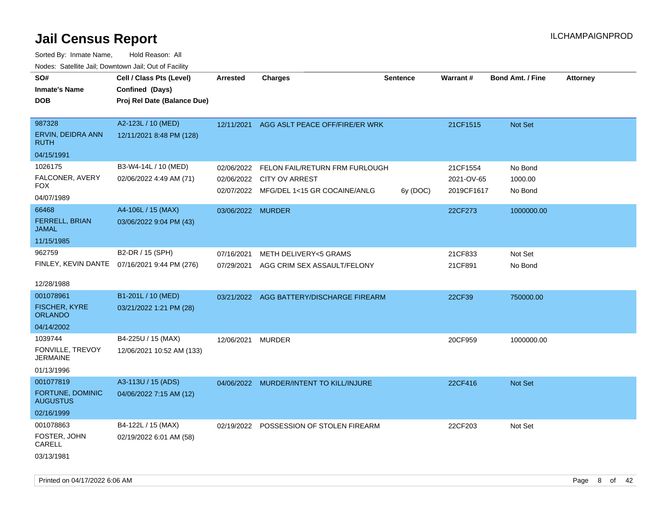| SO#<br><b>Inmate's Name</b><br><b>DOB</b>                         | Cell / Class Pts (Level)<br>Confined (Days)<br>Proj Rel Date (Balance Due) | <b>Arrested</b>          | <b>Charges</b>                                                                                         | <b>Sentence</b> | Warrant#                             | <b>Bond Amt. / Fine</b>       | <b>Attorney</b> |
|-------------------------------------------------------------------|----------------------------------------------------------------------------|--------------------------|--------------------------------------------------------------------------------------------------------|-----------------|--------------------------------------|-------------------------------|-----------------|
| 987328<br>ERVIN, DEIDRA ANN<br><b>RUTH</b><br>04/15/1991          | A2-123L / 10 (MED)<br>12/11/2021 8:48 PM (128)                             | 12/11/2021               | AGG ASLT PEACE OFF/FIRE/ER WRK                                                                         |                 | 21CF1515                             | Not Set                       |                 |
| 1026175<br>FALCONER, AVERY<br><b>FOX</b>                          | B3-W4-14L / 10 (MED)<br>02/06/2022 4:49 AM (71)                            | 02/06/2022               | FELON FAIL/RETURN FRM FURLOUGH<br>02/06/2022 CITY OV ARREST<br>02/07/2022 MFG/DEL 1<15 GR COCAINE/ANLG | 6y (DOC)        | 21CF1554<br>2021-OV-65<br>2019CF1617 | No Bond<br>1000.00<br>No Bond |                 |
| 04/07/1989<br>66468<br>FERRELL, BRIAN<br><b>JAMAL</b>             | A4-106L / 15 (MAX)<br>03/06/2022 9:04 PM (43)                              | 03/06/2022 MURDER        |                                                                                                        |                 | 22CF273                              | 1000000.00                    |                 |
| 11/15/1985<br>962759<br>12/28/1988                                | B2-DR / 15 (SPH)<br>FINLEY, KEVIN DANTE 07/16/2021 9:44 PM (276)           | 07/16/2021<br>07/29/2021 | METH DELIVERY<5 GRAMS<br>AGG CRIM SEX ASSAULT/FELONY                                                   |                 | 21CF833<br>21CF891                   | Not Set<br>No Bond            |                 |
| 001078961<br><b>FISCHER, KYRE</b><br><b>ORLANDO</b><br>04/14/2002 | B1-201L / 10 (MED)<br>03/21/2022 1:21 PM (28)                              |                          | 03/21/2022 AGG BATTERY/DISCHARGE FIREARM                                                               |                 | 22CF39                               | 750000.00                     |                 |
| 1039744<br>FONVILLE, TREVOY<br><b>JERMAINE</b><br>01/13/1996      | B4-225U / 15 (MAX)<br>12/06/2021 10:52 AM (133)                            | 12/06/2021 MURDER        |                                                                                                        |                 | 20CF959                              | 1000000.00                    |                 |
| 001077819<br>FORTUNE, DOMINIC<br><b>AUGUSTUS</b><br>02/16/1999    | A3-113U / 15 (ADS)<br>04/06/2022 7:15 AM (12)                              |                          | 04/06/2022 MURDER/INTENT TO KILL/INJURE                                                                |                 | 22CF416                              | Not Set                       |                 |
| 001078863<br>FOSTER, JOHN<br>CARELL<br>03/13/1981                 | B4-122L / 15 (MAX)<br>02/19/2022 6:01 AM (58)                              |                          | 02/19/2022 POSSESSION OF STOLEN FIREARM                                                                |                 | 22CF203                              | Not Set                       |                 |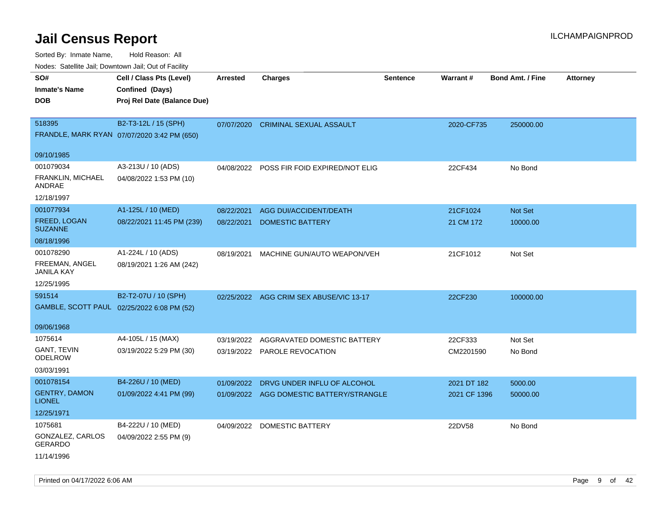| inodes. Satellite Jali, Downtown Jali, Out of Facility |                                             |                 |                                         |                 |              |                         |                 |
|--------------------------------------------------------|---------------------------------------------|-----------------|-----------------------------------------|-----------------|--------------|-------------------------|-----------------|
| SO#                                                    | Cell / Class Pts (Level)                    | <b>Arrested</b> | <b>Charges</b>                          | <b>Sentence</b> | Warrant#     | <b>Bond Amt. / Fine</b> | <b>Attorney</b> |
| <b>Inmate's Name</b>                                   | Confined (Days)                             |                 |                                         |                 |              |                         |                 |
| <b>DOB</b>                                             | Proj Rel Date (Balance Due)                 |                 |                                         |                 |              |                         |                 |
|                                                        |                                             |                 |                                         |                 |              |                         |                 |
| 518395                                                 | B2-T3-12L / 15 (SPH)                        | 07/07/2020      | <b>CRIMINAL SEXUAL ASSAULT</b>          |                 | 2020-CF735   | 250000.00               |                 |
|                                                        | FRANDLE, MARK RYAN 07/07/2020 3:42 PM (650) |                 |                                         |                 |              |                         |                 |
|                                                        |                                             |                 |                                         |                 |              |                         |                 |
| 09/10/1985                                             |                                             |                 |                                         |                 |              |                         |                 |
| 001079034                                              | A3-213U / 10 (ADS)                          | 04/08/2022      | POSS FIR FOID EXPIRED/NOT ELIG          |                 | 22CF434      | No Bond                 |                 |
| FRANKLIN, MICHAEL<br>ANDRAE                            | 04/08/2022 1:53 PM (10)                     |                 |                                         |                 |              |                         |                 |
| 12/18/1997                                             |                                             |                 |                                         |                 |              |                         |                 |
| 001077934                                              | A1-125L / 10 (MED)                          | 08/22/2021      | <b>AGG DUI/ACCIDENT/DEATH</b>           |                 | 21CF1024     | <b>Not Set</b>          |                 |
| FREED, LOGAN<br><b>SUZANNE</b>                         | 08/22/2021 11:45 PM (239)                   | 08/22/2021      | <b>DOMESTIC BATTERY</b>                 |                 | 21 CM 172    | 10000.00                |                 |
| 08/18/1996                                             |                                             |                 |                                         |                 |              |                         |                 |
| 001078290                                              | A1-224L / 10 (ADS)                          | 08/19/2021      | MACHINE GUN/AUTO WEAPON/VEH             |                 | 21CF1012     | Not Set                 |                 |
| FREEMAN, ANGEL<br>JANILA KAY                           | 08/19/2021 1:26 AM (242)                    |                 |                                         |                 |              |                         |                 |
| 12/25/1995                                             |                                             |                 |                                         |                 |              |                         |                 |
| 591514                                                 | B2-T2-07U / 10 (SPH)                        |                 | 02/25/2022 AGG CRIM SEX ABUSE/VIC 13-17 |                 | 22CF230      | 100000.00               |                 |
|                                                        | GAMBLE, SCOTT PAUL 02/25/2022 6:08 PM (52)  |                 |                                         |                 |              |                         |                 |
|                                                        |                                             |                 |                                         |                 |              |                         |                 |
| 09/06/1968                                             |                                             |                 |                                         |                 |              |                         |                 |
| 1075614                                                | A4-105L / 15 (MAX)                          | 03/19/2022      | AGGRAVATED DOMESTIC BATTERY             |                 | 22CF333      | Not Set                 |                 |
| <b>GANT, TEVIN</b>                                     | 03/19/2022 5:29 PM (30)                     | 03/19/2022      | PAROLE REVOCATION                       |                 | CM2201590    | No Bond                 |                 |
| <b>ODELROW</b>                                         |                                             |                 |                                         |                 |              |                         |                 |
| 03/03/1991                                             |                                             |                 |                                         |                 |              |                         |                 |
| 001078154                                              | B4-226U / 10 (MED)                          | 01/09/2022      | DRVG UNDER INFLU OF ALCOHOL             |                 | 2021 DT 182  | 5000.00                 |                 |
| <b>GENTRY, DAMON</b><br><b>LIONEL</b>                  | 01/09/2022 4:41 PM (99)                     | 01/09/2022      | AGG DOMESTIC BATTERY/STRANGLE           |                 | 2021 CF 1396 | 50000.00                |                 |
| 12/25/1971                                             |                                             |                 |                                         |                 |              |                         |                 |
| 1075681                                                | B4-222U / 10 (MED)                          | 04/09/2022      | DOMESTIC BATTERY                        |                 | 22DV58       | No Bond                 |                 |
| GONZALEZ, CARLOS<br>GERARDO                            | 04/09/2022 2:55 PM (9)                      |                 |                                         |                 |              |                         |                 |
| 11/14/1996                                             |                                             |                 |                                         |                 |              |                         |                 |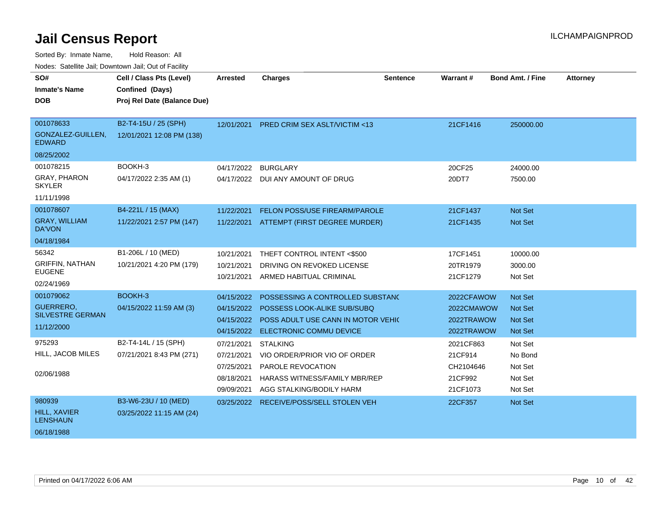| SO#<br><b>Inmate's Name</b><br><b>DOB</b>                              | Cell / Class Pts (Level)<br>Confined (Days)<br>Proj Rel Date (Balance Due) | Arrested                                                           | <b>Charges</b>                                                                                                                    | <b>Sentence</b> | Warrant #                                                | <b>Bond Amt. / Fine</b>                                | <b>Attorney</b> |
|------------------------------------------------------------------------|----------------------------------------------------------------------------|--------------------------------------------------------------------|-----------------------------------------------------------------------------------------------------------------------------------|-----------------|----------------------------------------------------------|--------------------------------------------------------|-----------------|
| 001078633<br>GONZALEZ-GUILLEN,<br><b>EDWARD</b><br>08/25/2002          | B2-T4-15U / 25 (SPH)<br>12/01/2021 12:08 PM (138)                          |                                                                    | 12/01/2021 PRED CRIM SEX ASLT/VICTIM <13                                                                                          |                 | 21CF1416                                                 | 250000.00                                              |                 |
| 001078215<br><b>GRAY, PHARON</b><br><b>SKYLER</b><br>11/11/1998        | BOOKH-3<br>04/17/2022 2:35 AM (1)                                          | 04/17/2022                                                         | <b>BURGLARY</b><br>04/17/2022 DUI ANY AMOUNT OF DRUG                                                                              |                 | 20CF25<br>20DT7                                          | 24000.00<br>7500.00                                    |                 |
| 001078607<br><b>GRAY, WILLIAM</b><br><b>DA'VON</b><br>04/18/1984       | B4-221L / 15 (MAX)<br>11/22/2021 2:57 PM (147)                             | 11/22/2021<br>11/22/2021                                           | FELON POSS/USE FIREARM/PAROLE<br>ATTEMPT (FIRST DEGREE MURDER)                                                                    |                 | 21CF1437<br>21CF1435                                     | <b>Not Set</b><br>Not Set                              |                 |
| 56342<br><b>GRIFFIN, NATHAN</b><br><b>EUGENE</b><br>02/24/1969         | B1-206L / 10 (MED)<br>10/21/2021 4:20 PM (179)                             | 10/21/2021<br>10/21/2021<br>10/21/2021                             | THEFT CONTROL INTENT <\$500<br>DRIVING ON REVOKED LICENSE<br>ARMED HABITUAL CRIMINAL                                              |                 | 17CF1451<br>20TR1979<br>21CF1279                         | 10000.00<br>3000.00<br>Not Set                         |                 |
| 001079062<br><b>GUERRERO.</b><br><b>SILVESTRE GERMAN</b><br>11/12/2000 | BOOKH-3<br>04/15/2022 11:59 AM (3)                                         | 04/15/2022<br>04/15/2022<br>04/15/2022<br>04/15/2022               | POSSESSING A CONTROLLED SUBSTANC<br>POSSESS LOOK-ALIKE SUB/SUBQ<br>POSS ADULT USE CANN IN MOTOR VEHIC<br>ELECTRONIC COMMU DEVICE  |                 | 2022CFAWOW<br>2022CMAWOW<br>2022TRAWOW<br>2022TRAWOW     | Not Set<br><b>Not Set</b><br><b>Not Set</b><br>Not Set |                 |
| 975293<br>HILL, JACOB MILES<br>02/06/1988                              | B2-T4-14L / 15 (SPH)<br>07/21/2021 8:43 PM (271)                           | 07/21/2021<br>07/21/2021<br>07/25/2021<br>08/18/2021<br>09/09/2021 | <b>STALKING</b><br>VIO ORDER/PRIOR VIO OF ORDER<br>PAROLE REVOCATION<br>HARASS WITNESS/FAMILY MBR/REP<br>AGG STALKING/BODILY HARM |                 | 2021CF863<br>21CF914<br>CH2104646<br>21CF992<br>21CF1073 | Not Set<br>No Bond<br>Not Set<br>Not Set<br>Not Set    |                 |
| 980939<br>HILL, XAVIER<br><b>LENSHAUN</b><br>06/18/1988                | B3-W6-23U / 10 (MED)<br>03/25/2022 11:15 AM (24)                           |                                                                    | 03/25/2022 RECEIVE/POSS/SELL STOLEN VEH                                                                                           |                 | 22CF357                                                  | Not Set                                                |                 |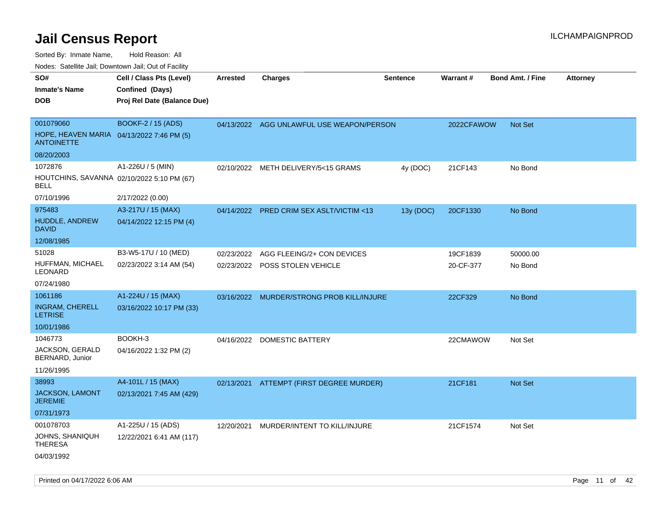Sorted By: Inmate Name, Hold Reason: All

Nodes: Satellite Jail; Downtown Jail; Out of Facility

| SO#<br><b>Inmate's Name</b><br><b>DOB</b>                                   | Cell / Class Pts (Level)<br>Confined (Days)<br>Proj Rel Date (Balance Due) | <b>Arrested</b> | <b>Charges</b>                                               | <b>Sentence</b> | Warrant#              | <b>Bond Amt. / Fine</b> | <b>Attorney</b> |
|-----------------------------------------------------------------------------|----------------------------------------------------------------------------|-----------------|--------------------------------------------------------------|-----------------|-----------------------|-------------------------|-----------------|
| 001079060<br>HOPE, HEAVEN MARIA 04/13/2022 7:46 PM (5)<br><b>ANTOINETTE</b> | <b>BOOKF-2 / 15 (ADS)</b>                                                  |                 | 04/13/2022 AGG UNLAWFUL USE WEAPON/PERSON                    |                 | 2022CFAWOW            | Not Set                 |                 |
| 08/20/2003                                                                  |                                                                            |                 |                                                              |                 |                       |                         |                 |
| 1072876<br>HOUTCHINS, SAVANNA 02/10/2022 5:10 PM (67)<br>BELL               | A1-226U / 5 (MIN)                                                          |                 | 02/10/2022 METH DELIVERY/5<15 GRAMS                          | 4y (DOC)        | 21CF143               | No Bond                 |                 |
| 07/10/1996                                                                  | 2/17/2022 (0.00)                                                           |                 |                                                              |                 |                       |                         |                 |
| 975483<br>HUDDLE, ANDREW<br><b>DAVID</b>                                    | A3-217U / 15 (MAX)<br>04/14/2022 12:15 PM (4)                              | 04/14/2022      | PRED CRIM SEX ASLT/VICTIM <13                                | 13y (DOC)       | 20CF1330              | No Bond                 |                 |
| 12/08/1985                                                                  |                                                                            |                 |                                                              |                 |                       |                         |                 |
| 51028<br>HUFFMAN, MICHAEL<br>LEONARD                                        | B3-W5-17U / 10 (MED)<br>02/23/2022 3:14 AM (54)                            | 02/23/2022      | AGG FLEEING/2+ CON DEVICES<br>02/23/2022 POSS STOLEN VEHICLE |                 | 19CF1839<br>20-CF-377 | 50000.00<br>No Bond     |                 |
| 07/24/1980                                                                  |                                                                            |                 |                                                              |                 |                       |                         |                 |
| 1061186<br><b>INGRAM, CHERELL</b><br><b>LETRISE</b><br>10/01/1986           | A1-224U / 15 (MAX)<br>03/16/2022 10:17 PM (33)                             |                 | 03/16/2022 MURDER/STRONG PROB KILL/INJURE                    |                 | 22CF329               | No Bond                 |                 |
| 1046773<br>JACKSON, GERALD<br>BERNARD, Junior<br>11/26/1995                 | BOOKH-3<br>04/16/2022 1:32 PM (2)                                          |                 | 04/16/2022 DOMESTIC BATTERY                                  |                 | 22CMAWOW              | Not Set                 |                 |
| 38993<br>JACKSON, LAMONT<br><b>JEREMIE</b><br>07/31/1973                    | A4-101L / 15 (MAX)<br>02/13/2021 7:45 AM (429)                             | 02/13/2021      | ATTEMPT (FIRST DEGREE MURDER)                                |                 | 21CF181               | Not Set                 |                 |
| 001078703<br>JOHNS, SHANIQUH<br><b>THERESA</b><br>04/03/1992                | A1-225U / 15 (ADS)<br>12/22/2021 6:41 AM (117)                             | 12/20/2021      | MURDER/INTENT TO KILL/INJURE                                 |                 | 21CF1574              | Not Set                 |                 |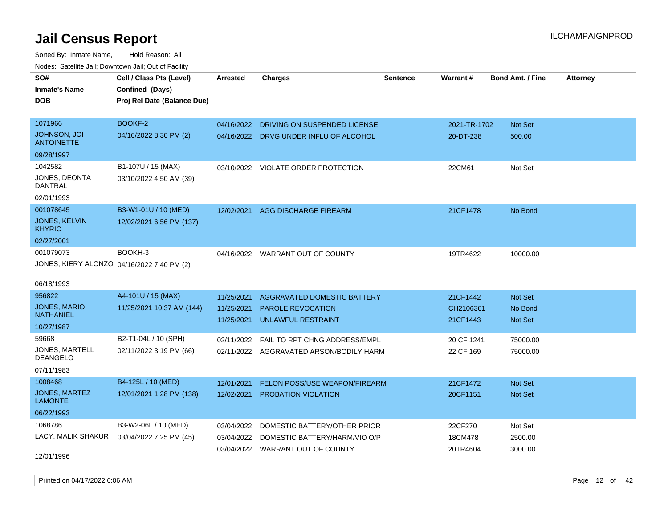Sorted By: Inmate Name, Hold Reason: All Nodes: Satellite Jail; Downtown Jail; Out of Facility

| SO#                                        | Cell / Class Pts (Level)    | <b>Arrested</b> | <b>Charges</b>                          | <b>Sentence</b> | Warrant#     | <b>Bond Amt. / Fine</b> | <b>Attorney</b> |
|--------------------------------------------|-----------------------------|-----------------|-----------------------------------------|-----------------|--------------|-------------------------|-----------------|
| <b>Inmate's Name</b>                       | Confined (Days)             |                 |                                         |                 |              |                         |                 |
| <b>DOB</b>                                 | Proj Rel Date (Balance Due) |                 |                                         |                 |              |                         |                 |
|                                            |                             |                 |                                         |                 |              |                         |                 |
| 1071966                                    | BOOKF-2                     | 04/16/2022      | DRIVING ON SUSPENDED LICENSE            |                 | 2021-TR-1702 | Not Set                 |                 |
| JOHNSON, JOI<br><b>ANTOINETTE</b>          | 04/16/2022 8:30 PM (2)      |                 | 04/16/2022 DRVG UNDER INFLU OF ALCOHOL  |                 | 20-DT-238    | 500.00                  |                 |
| 09/28/1997                                 |                             |                 |                                         |                 |              |                         |                 |
| 1042582                                    | B1-107U / 15 (MAX)          | 03/10/2022      | VIOLATE ORDER PROTECTION                |                 | 22CM61       | Not Set                 |                 |
| JONES, DEONTA<br><b>DANTRAL</b>            | 03/10/2022 4:50 AM (39)     |                 |                                         |                 |              |                         |                 |
| 02/01/1993                                 |                             |                 |                                         |                 |              |                         |                 |
| 001078645                                  | B3-W1-01U / 10 (MED)        | 12/02/2021      | <b>AGG DISCHARGE FIREARM</b>            |                 | 21CF1478     | No Bond                 |                 |
| <b>JONES, KELVIN</b><br><b>KHYRIC</b>      | 12/02/2021 6:56 PM (137)    |                 |                                         |                 |              |                         |                 |
| 02/27/2001                                 |                             |                 |                                         |                 |              |                         |                 |
| 001079073                                  | BOOKH-3                     |                 | 04/16/2022 WARRANT OUT OF COUNTY        |                 | 19TR4622     | 10000.00                |                 |
| JONES, KIERY ALONZO 04/16/2022 7:40 PM (2) |                             |                 |                                         |                 |              |                         |                 |
|                                            |                             |                 |                                         |                 |              |                         |                 |
| 06/18/1993                                 |                             |                 |                                         |                 |              |                         |                 |
| 956822                                     | A4-101U / 15 (MAX)          | 11/25/2021      | AGGRAVATED DOMESTIC BATTERY             |                 | 21CF1442     | <b>Not Set</b>          |                 |
| <b>JONES, MARIO</b><br><b>NATHANIEL</b>    | 11/25/2021 10:37 AM (144)   | 11/25/2021      | <b>PAROLE REVOCATION</b>                |                 | CH2106361    | No Bond                 |                 |
| 10/27/1987                                 |                             | 11/25/2021      | <b>UNLAWFUL RESTRAINT</b>               |                 | 21CF1443     | <b>Not Set</b>          |                 |
| 59668                                      | B2-T1-04L / 10 (SPH)        | 02/11/2022      | FAIL TO RPT CHNG ADDRESS/EMPL           |                 | 20 CF 1241   | 75000.00                |                 |
| <b>JONES, MARTELL</b>                      | 02/11/2022 3:19 PM (66)     |                 | 02/11/2022 AGGRAVATED ARSON/BODILY HARM |                 | 22 CF 169    | 75000.00                |                 |
| <b>DEANGELO</b>                            |                             |                 |                                         |                 |              |                         |                 |
| 07/11/1983                                 |                             |                 |                                         |                 |              |                         |                 |
| 1008468                                    | B4-125L / 10 (MED)          | 12/01/2021      | FELON POSS/USE WEAPON/FIREARM           |                 | 21CF1472     | Not Set                 |                 |
| JONES, MARTEZ<br><b>LAMONTE</b>            | 12/01/2021 1:28 PM (138)    | 12/02/2021      | PROBATION VIOLATION                     |                 | 20CF1151     | Not Set                 |                 |
| 06/22/1993                                 |                             |                 |                                         |                 |              |                         |                 |
| 1068786                                    | B3-W2-06L / 10 (MED)        | 03/04/2022      | DOMESTIC BATTERY/OTHER PRIOR            |                 | 22CF270      | Not Set                 |                 |
| LACY, MALIK SHAKUR                         | 03/04/2022 7:25 PM (45)     | 03/04/2022      | DOMESTIC BATTERY/HARM/VIO O/P           |                 | 18CM478      | 2500.00                 |                 |
|                                            |                             |                 | 03/04/2022 WARRANT OUT OF COUNTY        |                 | 20TR4604     | 3000.00                 |                 |
| 12/01/1996                                 |                             |                 |                                         |                 |              |                         |                 |

Printed on 04/17/2022 6:06 AM Page 12 of 42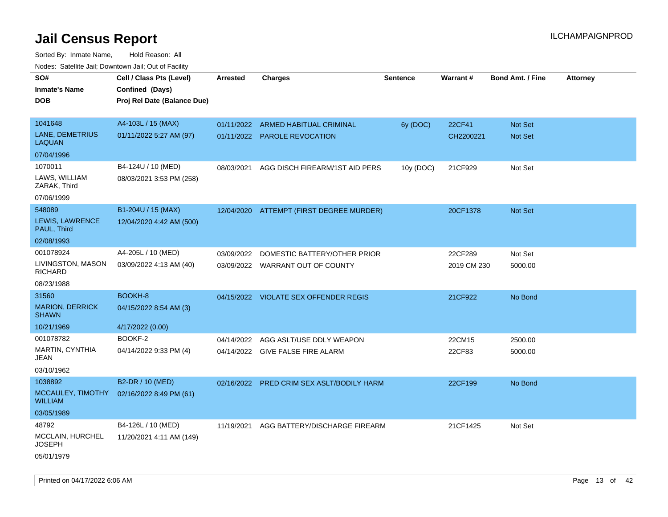| rougs. Calcing Jan, Downtown Jan, Out of Facility |                                                                            |                 |                                       |           |             |                         |                 |
|---------------------------------------------------|----------------------------------------------------------------------------|-----------------|---------------------------------------|-----------|-------------|-------------------------|-----------------|
| SO#<br><b>Inmate's Name</b><br><b>DOB</b>         | Cell / Class Pts (Level)<br>Confined (Days)<br>Proj Rel Date (Balance Due) | <b>Arrested</b> | <b>Charges</b>                        | Sentence  | Warrant#    | <b>Bond Amt. / Fine</b> | <b>Attorney</b> |
|                                                   |                                                                            |                 |                                       |           |             |                         |                 |
| 1041648                                           | A4-103L / 15 (MAX)                                                         |                 | 01/11/2022 ARMED HABITUAL CRIMINAL    | 6y (DOC)  | 22CF41      | Not Set                 |                 |
| LANE, DEMETRIUS<br>LAQUAN                         | 01/11/2022 5:27 AM (97)                                                    |                 | 01/11/2022 PAROLE REVOCATION          |           | CH2200221   | Not Set                 |                 |
| 07/04/1996                                        |                                                                            |                 |                                       |           |             |                         |                 |
| 1070011                                           | B4-124U / 10 (MED)                                                         | 08/03/2021      | AGG DISCH FIREARM/1ST AID PERS        | 10y (DOC) | 21CF929     | Not Set                 |                 |
| LAWS, WILLIAM<br>ZARAK, Third                     | 08/03/2021 3:53 PM (258)                                                   |                 |                                       |           |             |                         |                 |
| 07/06/1999                                        |                                                                            |                 |                                       |           |             |                         |                 |
| 548089                                            | B1-204U / 15 (MAX)                                                         | 12/04/2020      | ATTEMPT (FIRST DEGREE MURDER)         |           | 20CF1378    | <b>Not Set</b>          |                 |
| LEWIS, LAWRENCE<br>PAUL, Third                    | 12/04/2020 4:42 AM (500)                                                   |                 |                                       |           |             |                         |                 |
| 02/08/1993                                        |                                                                            |                 |                                       |           |             |                         |                 |
| 001078924                                         | A4-205L / 10 (MED)                                                         | 03/09/2022      | DOMESTIC BATTERY/OTHER PRIOR          |           | 22CF289     | Not Set                 |                 |
| LIVINGSTON, MASON<br><b>RICHARD</b>               | 03/09/2022 4:13 AM (40)                                                    |                 | 03/09/2022 WARRANT OUT OF COUNTY      |           | 2019 CM 230 | 5000.00                 |                 |
| 08/23/1988                                        |                                                                            |                 |                                       |           |             |                         |                 |
| 31560                                             | BOOKH-8                                                                    |                 | 04/15/2022 VIOLATE SEX OFFENDER REGIS |           | 21CF922     | No Bond                 |                 |
| <b>MARION, DERRICK</b><br><b>SHAWN</b>            | 04/15/2022 8:54 AM (3)                                                     |                 |                                       |           |             |                         |                 |
| 10/21/1969                                        | 4/17/2022 (0.00)                                                           |                 |                                       |           |             |                         |                 |
| 001078782                                         | BOOKF-2                                                                    | 04/14/2022      | AGG ASLT/USE DDLY WEAPON              |           | 22CM15      | 2500.00                 |                 |
| <b>MARTIN, CYNTHIA</b><br>JEAN                    | 04/14/2022 9:33 PM (4)                                                     |                 | 04/14/2022 GIVE FALSE FIRE ALARM      |           | 22CF83      | 5000.00                 |                 |
| 03/10/1962                                        |                                                                            |                 |                                       |           |             |                         |                 |
| 1038892                                           | B2-DR / 10 (MED)                                                           | 02/16/2022      | PRED CRIM SEX ASLT/BODILY HARM        |           | 22CF199     | No Bond                 |                 |
| MCCAULEY, TIMOTHY<br>WILLIAM                      | 02/16/2022 8:49 PM (61)                                                    |                 |                                       |           |             |                         |                 |
| 03/05/1989                                        |                                                                            |                 |                                       |           |             |                         |                 |
| 48792                                             | B4-126L / 10 (MED)                                                         | 11/19/2021      | AGG BATTERY/DISCHARGE FIREARM         |           | 21CF1425    | Not Set                 |                 |
| MCCLAIN, HURCHEL<br>JOSEPH                        | 11/20/2021 4:11 AM (149)                                                   |                 |                                       |           |             |                         |                 |
| 05/01/1979                                        |                                                                            |                 |                                       |           |             |                         |                 |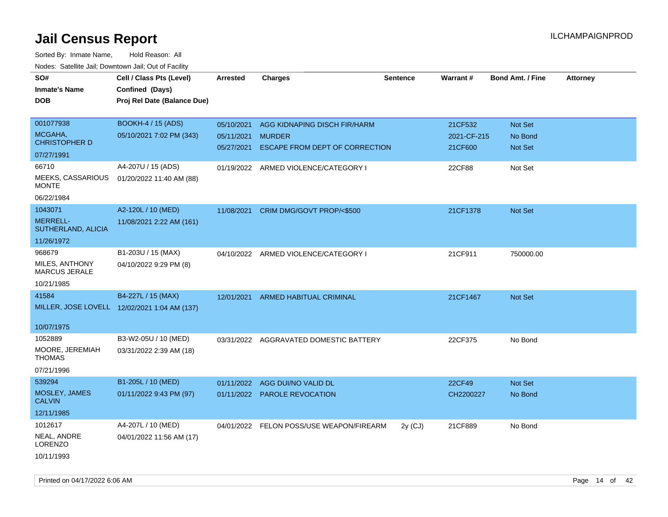| SO#<br><b>Inmate's Name</b><br><b>DOB</b> | Cell / Class Pts (Level)<br>Confined (Days)<br>Proj Rel Date (Balance Due) | <b>Arrested</b> | <b>Charges</b>                           | <b>Sentence</b> | Warrant#    | <b>Bond Amt. / Fine</b> | <b>Attorney</b> |
|-------------------------------------------|----------------------------------------------------------------------------|-----------------|------------------------------------------|-----------------|-------------|-------------------------|-----------------|
| 001077938                                 | <b>BOOKH-4 / 15 (ADS)</b>                                                  | 05/10/2021      | AGG KIDNAPING DISCH FIR/HARM             |                 | 21CF532     | Not Set                 |                 |
| MCGAHA.<br><b>CHRISTOPHER D</b>           | 05/10/2021 7:02 PM (343)                                                   | 05/11/2021      | <b>MURDER</b>                            |                 | 2021-CF-215 | No Bond                 |                 |
| 07/27/1991                                |                                                                            | 05/27/2021      | ESCAPE FROM DEPT OF CORRECTION           |                 | 21CF600     | Not Set                 |                 |
| 66710                                     | A4-207U / 15 (ADS)                                                         |                 | 01/19/2022 ARMED VIOLENCE/CATEGORY I     |                 | 22CF88      | Not Set                 |                 |
| MEEKS, CASSARIOUS<br><b>MONTE</b>         | 01/20/2022 11:40 AM (88)                                                   |                 |                                          |                 |             |                         |                 |
| 06/22/1984                                |                                                                            |                 |                                          |                 |             |                         |                 |
| 1043071                                   | A2-120L / 10 (MED)                                                         | 11/08/2021      | CRIM DMG/GOVT PROP/<\$500                |                 | 21CF1378    | Not Set                 |                 |
| <b>MERRELL-</b><br>SUTHERLAND, ALICIA     | 11/08/2021 2:22 AM (161)                                                   |                 |                                          |                 |             |                         |                 |
| 11/26/1972                                |                                                                            |                 |                                          |                 |             |                         |                 |
| 968679                                    | B1-203U / 15 (MAX)                                                         |                 | 04/10/2022 ARMED VIOLENCE/CATEGORY I     |                 | 21CF911     | 750000.00               |                 |
| MILES, ANTHONY<br>MARCUS JERALE           | 04/10/2022 9:29 PM (8)                                                     |                 |                                          |                 |             |                         |                 |
| 10/21/1985                                |                                                                            |                 |                                          |                 |             |                         |                 |
| 41584                                     | B4-227L / 15 (MAX)                                                         | 12/01/2021      | <b>ARMED HABITUAL CRIMINAL</b>           |                 | 21CF1467    | Not Set                 |                 |
|                                           | MILLER, JOSE LOVELL 12/02/2021 1:04 AM (137)                               |                 |                                          |                 |             |                         |                 |
| 10/07/1975                                |                                                                            |                 |                                          |                 |             |                         |                 |
| 1052889                                   | B3-W2-05U / 10 (MED)                                                       |                 | 03/31/2022 AGGRAVATED DOMESTIC BATTERY   |                 | 22CF375     | No Bond                 |                 |
| MOORE, JEREMIAH<br><b>THOMAS</b>          | 03/31/2022 2:39 AM (18)                                                    |                 |                                          |                 |             |                         |                 |
| 07/21/1996                                |                                                                            |                 |                                          |                 |             |                         |                 |
| 539294                                    | B1-205L / 10 (MED)                                                         | 01/11/2022      | AGG DUI/NO VALID DL                      |                 | 22CF49      | Not Set                 |                 |
| MOSLEY, JAMES<br><b>CALVIN</b>            | 01/11/2022 9:43 PM (97)                                                    |                 | 01/11/2022 PAROLE REVOCATION             |                 | CH2200227   | No Bond                 |                 |
| 12/11/1985                                |                                                                            |                 |                                          |                 |             |                         |                 |
| 1012617                                   | A4-207L / 10 (MED)                                                         |                 | 04/01/2022 FELON POSS/USE WEAPON/FIREARM | $2y$ (CJ)       | 21CF889     | No Bond                 |                 |
| NEAL, ANDRE<br><b>LORENZO</b>             | 04/01/2022 11:56 AM (17)                                                   |                 |                                          |                 |             |                         |                 |
| 10/11/1993                                |                                                                            |                 |                                          |                 |             |                         |                 |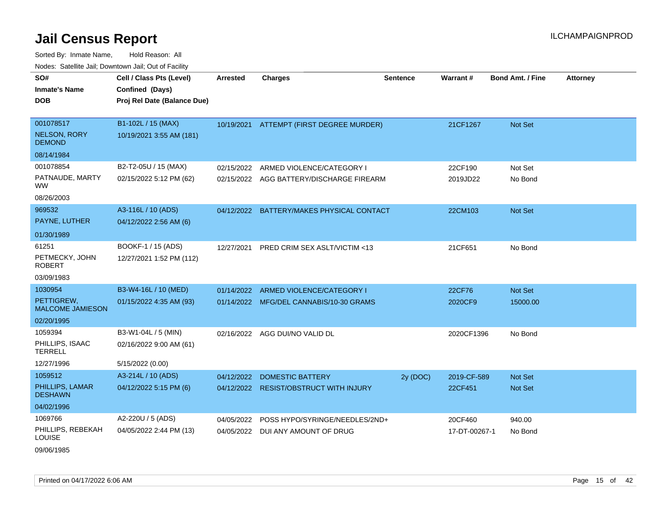Sorted By: Inmate Name, Hold Reason: All

| Nodes: Satellite Jail; Downtown Jail; Out of Facility |                             |                 |                                          |                 |                 |                         |                 |
|-------------------------------------------------------|-----------------------------|-----------------|------------------------------------------|-----------------|-----------------|-------------------------|-----------------|
| SO#                                                   | Cell / Class Pts (Level)    | <b>Arrested</b> | <b>Charges</b>                           | <b>Sentence</b> | <b>Warrant#</b> | <b>Bond Amt. / Fine</b> | <b>Attorney</b> |
| <b>Inmate's Name</b>                                  | Confined (Days)             |                 |                                          |                 |                 |                         |                 |
| <b>DOB</b>                                            | Proj Rel Date (Balance Due) |                 |                                          |                 |                 |                         |                 |
|                                                       |                             |                 |                                          |                 |                 |                         |                 |
| 001078517                                             | B1-102L / 15 (MAX)          |                 | 10/19/2021 ATTEMPT (FIRST DEGREE MURDER) |                 | 21CF1267        | Not Set                 |                 |
| <b>NELSON, RORY</b><br><b>DEMOND</b>                  | 10/19/2021 3:55 AM (181)    |                 |                                          |                 |                 |                         |                 |
| 08/14/1984                                            |                             |                 |                                          |                 |                 |                         |                 |
| 001078854                                             | B2-T2-05U / 15 (MAX)        | 02/15/2022      | ARMED VIOLENCE/CATEGORY I                |                 | 22CF190         | Not Set                 |                 |
| PATNAUDE, MARTY<br><b>WW</b>                          | 02/15/2022 5:12 PM (62)     |                 | 02/15/2022 AGG BATTERY/DISCHARGE FIREARM |                 | 2019JD22        | No Bond                 |                 |
| 08/26/2003                                            |                             |                 |                                          |                 |                 |                         |                 |
| 969532                                                | A3-116L / 10 (ADS)          | 04/12/2022      | BATTERY/MAKES PHYSICAL CONTACT           |                 | 22CM103         | Not Set                 |                 |
| PAYNE, LUTHER                                         | 04/12/2022 2:56 AM (6)      |                 |                                          |                 |                 |                         |                 |
| 01/30/1989                                            |                             |                 |                                          |                 |                 |                         |                 |
| 61251                                                 | BOOKF-1 / 15 (ADS)          | 12/27/2021      | PRED CRIM SEX ASLT/VICTIM <13            |                 | 21CF651         | No Bond                 |                 |
| PETMECKY, JOHN<br><b>ROBERT</b>                       | 12/27/2021 1:52 PM (112)    |                 |                                          |                 |                 |                         |                 |
| 03/09/1983                                            |                             |                 |                                          |                 |                 |                         |                 |
| 1030954                                               | B3-W4-16L / 10 (MED)        | 01/14/2022      | ARMED VIOLENCE/CATEGORY I                |                 | 22CF76          | Not Set                 |                 |
| PETTIGREW,<br><b>MALCOME JAMIESON</b>                 | 01/15/2022 4:35 AM (93)     |                 | 01/14/2022 MFG/DEL CANNABIS/10-30 GRAMS  |                 | 2020CF9         | 15000.00                |                 |
| 02/20/1995                                            |                             |                 |                                          |                 |                 |                         |                 |
| 1059394                                               | B3-W1-04L / 5 (MIN)         | 02/16/2022      | AGG DUI/NO VALID DL                      |                 | 2020CF1396      | No Bond                 |                 |
| PHILLIPS, ISAAC<br><b>TERRELL</b>                     | 02/16/2022 9:00 AM (61)     |                 |                                          |                 |                 |                         |                 |
| 12/27/1996                                            | 5/15/2022 (0.00)            |                 |                                          |                 |                 |                         |                 |
| 1059512                                               | A3-214L / 10 (ADS)          | 04/12/2022      | <b>DOMESTIC BATTERY</b>                  | 2y (DOC)        | 2019-CF-589     | <b>Not Set</b>          |                 |
| PHILLIPS, LAMAR<br><b>DESHAWN</b>                     | 04/12/2022 5:15 PM (6)      |                 | 04/12/2022 RESIST/OBSTRUCT WITH INJURY   |                 | 22CF451         | Not Set                 |                 |
| 04/02/1996                                            |                             |                 |                                          |                 |                 |                         |                 |
| 1069766                                               | A2-220U / 5 (ADS)           | 04/05/2022      | POSS HYPO/SYRINGE/NEEDLES/2ND+           |                 | 20CF460         | 940.00                  |                 |
| PHILLIPS, REBEKAH<br><b>LOUISE</b>                    | 04/05/2022 2:44 PM (13)     | 04/05/2022      | DUI ANY AMOUNT OF DRUG                   |                 | 17-DT-00267-1   | No Bond                 |                 |

09/06/1985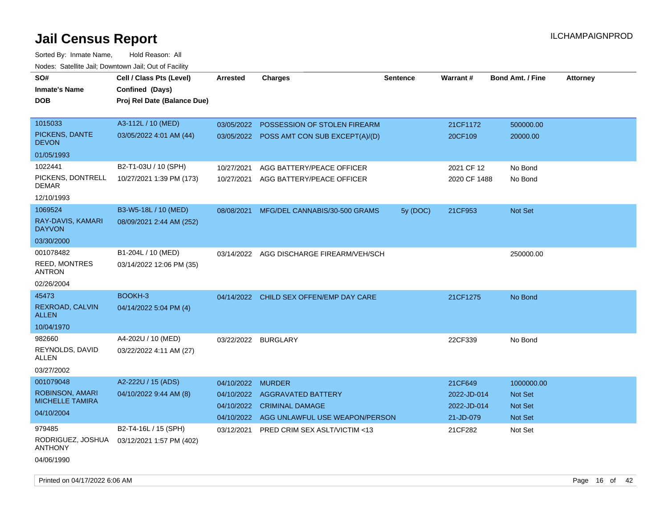| SO#<br><b>Inmate's Name</b><br><b>DOB</b>                            | Cell / Class Pts (Level)<br>Confined (Days)<br>Proj Rel Date (Balance Due) | <b>Arrested</b>                                      | <b>Charges</b>                                                                                         | <b>Sentence</b> | Warrant#                                           | <b>Bond Amt. / Fine</b>                            | <b>Attorney</b> |
|----------------------------------------------------------------------|----------------------------------------------------------------------------|------------------------------------------------------|--------------------------------------------------------------------------------------------------------|-----------------|----------------------------------------------------|----------------------------------------------------|-----------------|
| 1015033<br>PICKENS, DANTE<br><b>DEVON</b>                            | A3-112L / 10 (MED)<br>03/05/2022 4:01 AM (44)                              | 03/05/2022                                           | POSSESSION OF STOLEN FIREARM<br>03/05/2022 POSS AMT CON SUB EXCEPT(A)/(D)                              |                 | 21CF1172<br>20CF109                                | 500000.00<br>20000.00                              |                 |
| 01/05/1993                                                           |                                                                            |                                                      |                                                                                                        |                 |                                                    |                                                    |                 |
| 1022441<br>PICKENS, DONTRELL<br><b>DEMAR</b>                         | B2-T1-03U / 10 (SPH)<br>10/27/2021 1:39 PM (173)                           | 10/27/2021<br>10/27/2021                             | AGG BATTERY/PEACE OFFICER<br>AGG BATTERY/PEACE OFFICER                                                 |                 | 2021 CF 12<br>2020 CF 1488                         | No Bond<br>No Bond                                 |                 |
| 12/10/1993                                                           |                                                                            |                                                      |                                                                                                        |                 |                                                    |                                                    |                 |
| 1069524<br>RAY-DAVIS, KAMARI<br><b>DAYVON</b><br>03/30/2000          | B3-W5-18L / 10 (MED)<br>08/09/2021 2:44 AM (252)                           | 08/08/2021                                           | MFG/DEL CANNABIS/30-500 GRAMS                                                                          | 5y (DOC)        | 21CF953                                            | Not Set                                            |                 |
| 001078482<br><b>REED, MONTRES</b><br><b>ANTRON</b><br>02/26/2004     | B1-204L / 10 (MED)<br>03/14/2022 12:06 PM (35)                             |                                                      | 03/14/2022 AGG DISCHARGE FIREARM/VEH/SCH                                                               |                 |                                                    | 250000.00                                          |                 |
| 45473<br>REXROAD, CALVIN<br><b>ALLEN</b><br>10/04/1970               | BOOKH-3<br>04/14/2022 5:04 PM (4)                                          |                                                      | 04/14/2022 CHILD SEX OFFEN/EMP DAY CARE                                                                |                 | 21CF1275                                           | No Bond                                            |                 |
| 982660<br>REYNOLDS, DAVID<br>ALLEN<br>03/27/2002                     | A4-202U / 10 (MED)<br>03/22/2022 4:11 AM (27)                              | 03/22/2022 BURGLARY                                  |                                                                                                        |                 | 22CF339                                            | No Bond                                            |                 |
| 001079048<br>ROBINSON, AMARI<br><b>MICHELLE TAMIRA</b><br>04/10/2004 | A2-222U / 15 (ADS)<br>04/10/2022 9:44 AM (8)                               | 04/10/2022<br>04/10/2022<br>04/10/2022<br>04/10/2022 | <b>MURDER</b><br><b>AGGRAVATED BATTERY</b><br><b>CRIMINAL DAMAGE</b><br>AGG UNLAWFUL USE WEAPON/PERSON |                 | 21CF649<br>2022-JD-014<br>2022-JD-014<br>21-JD-079 | 1000000.00<br><b>Not Set</b><br>Not Set<br>Not Set |                 |
| 979485<br>RODRIGUEZ, JOSHUA<br>ANTHONY<br>04/06/1990                 | B2-T4-16L / 15 (SPH)<br>03/12/2021 1:57 PM (402)                           | 03/12/2021                                           | PRED CRIM SEX ASLT/VICTIM <13                                                                          |                 | 21CF282                                            | Not Set                                            |                 |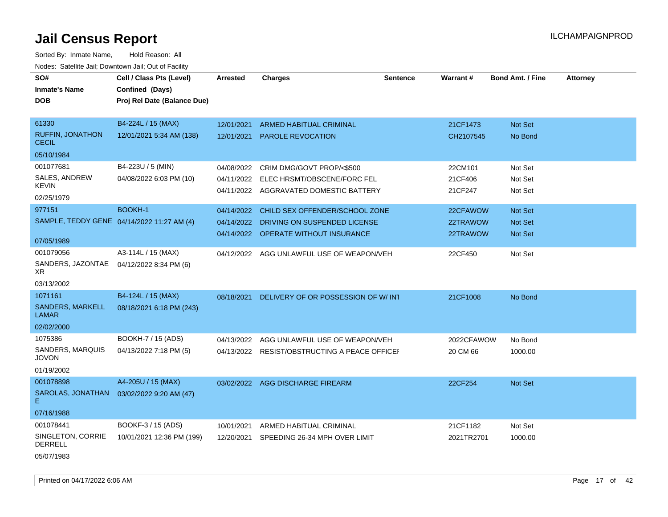Sorted By: Inmate Name, Hold Reason: All Nodes: Satellite Jail; Downtown Jail; Out of Facility

| SO#<br><b>Inmate's Name</b><br><b>DOB</b>  | Cell / Class Pts (Level)<br>Confined (Days)<br>Proj Rel Date (Balance Due) | <b>Arrested</b> | <b>Charges</b>                                | <b>Sentence</b> | <b>Warrant#</b> | <b>Bond Amt. / Fine</b> | <b>Attorney</b> |
|--------------------------------------------|----------------------------------------------------------------------------|-----------------|-----------------------------------------------|-----------------|-----------------|-------------------------|-----------------|
| 61330                                      | B4-224L / 15 (MAX)                                                         | 12/01/2021      | <b>ARMED HABITUAL CRIMINAL</b>                |                 | 21CF1473        | Not Set                 |                 |
| RUFFIN, JONATHON<br><b>CECIL</b>           | 12/01/2021 5:34 AM (138)                                                   | 12/01/2021      | <b>PAROLE REVOCATION</b>                      |                 | CH2107545       | No Bond                 |                 |
| 05/10/1984                                 |                                                                            |                 |                                               |                 |                 |                         |                 |
| 001077681                                  | B4-223U / 5 (MIN)                                                          |                 | 04/08/2022 CRIM DMG/GOVT PROP/<\$500          |                 | 22CM101         | Not Set                 |                 |
| SALES, ANDREW<br>KEVIN                     | 04/08/2022 6:03 PM (10)                                                    | 04/11/2022      | ELEC HRSMT/OBSCENE/FORC FEL                   |                 | 21CF406         | Not Set                 |                 |
| 02/25/1979                                 |                                                                            |                 | 04/11/2022 AGGRAVATED DOMESTIC BATTERY        |                 | 21CF247         | Not Set                 |                 |
| 977151                                     | <b>BOOKH-1</b>                                                             | 04/14/2022      | CHILD SEX OFFENDER/SCHOOL ZONE                |                 | 22CFAWOW        | <b>Not Set</b>          |                 |
| SAMPLE, TEDDY GENE 04/14/2022 11:27 AM (4) |                                                                            | 04/14/2022      | DRIVING ON SUSPENDED LICENSE                  |                 | 22TRAWOW        | <b>Not Set</b>          |                 |
| 07/05/1989                                 |                                                                            |                 | 04/14/2022 OPERATE WITHOUT INSURANCE          |                 | 22TRAWOW        | <b>Not Set</b>          |                 |
| 001079056                                  | A3-114L / 15 (MAX)                                                         |                 | 04/12/2022 AGG UNLAWFUL USE OF WEAPON/VEH     |                 | 22CF450         | Not Set                 |                 |
| SANDERS, JAZONTAE<br>XR                    | 04/12/2022 8:34 PM (6)                                                     |                 |                                               |                 |                 |                         |                 |
| 03/13/2002                                 |                                                                            |                 |                                               |                 |                 |                         |                 |
| 1071161                                    | B4-124L / 15 (MAX)                                                         | 08/18/2021      | DELIVERY OF OR POSSESSION OF W/INT            |                 | 21CF1008        | No Bond                 |                 |
| SANDERS, MARKELL<br><b>LAMAR</b>           | 08/18/2021 6:18 PM (243)                                                   |                 |                                               |                 |                 |                         |                 |
| 02/02/2000                                 |                                                                            |                 |                                               |                 |                 |                         |                 |
| 1075386                                    | BOOKH-7 / 15 (ADS)                                                         | 04/13/2022      | AGG UNLAWFUL USE OF WEAPON/VEH                |                 | 2022CFAWOW      | No Bond                 |                 |
| SANDERS, MARQUIS<br><b>JOVON</b>           | 04/13/2022 7:18 PM (5)                                                     |                 | 04/13/2022 RESIST/OBSTRUCTING A PEACE OFFICEF |                 | 20 CM 66        | 1000.00                 |                 |
| 01/19/2002                                 |                                                                            |                 |                                               |                 |                 |                         |                 |
| 001078898                                  | A4-205U / 15 (MAX)                                                         |                 | 03/02/2022 AGG DISCHARGE FIREARM              |                 | 22CF254         | Not Set                 |                 |
| SAROLAS, JONATHAN<br>E.                    | 03/02/2022 9:20 AM (47)                                                    |                 |                                               |                 |                 |                         |                 |
| 07/16/1988                                 |                                                                            |                 |                                               |                 |                 |                         |                 |
| 001078441                                  | BOOKF-3 / 15 (ADS)                                                         | 10/01/2021      | ARMED HABITUAL CRIMINAL                       |                 | 21CF1182        | Not Set                 |                 |
| SINGLETON, CORRIE<br><b>DERRELL</b>        | 10/01/2021 12:36 PM (199)                                                  | 12/20/2021      | SPEEDING 26-34 MPH OVER LIMIT                 |                 | 2021TR2701      | 1000.00                 |                 |

05/07/1983

Printed on 04/17/2022 6:06 AM Page 17 of 42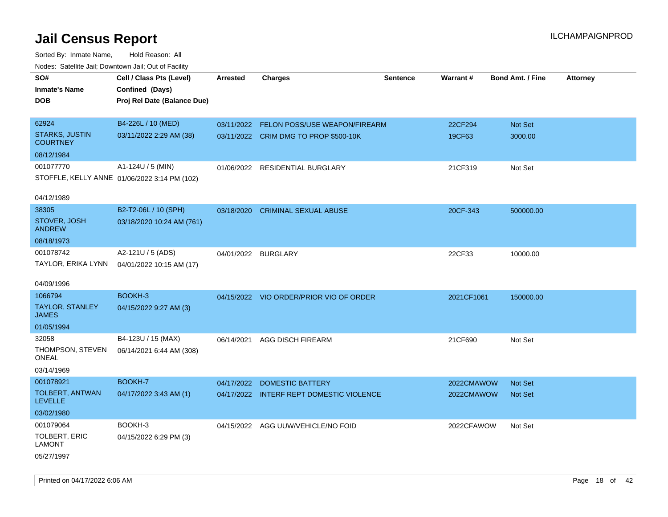| roaco. Catolino cali, Domntonn cali, Out of Facility |                                              |                 |                                          |                 |            |                         |                 |
|------------------------------------------------------|----------------------------------------------|-----------------|------------------------------------------|-----------------|------------|-------------------------|-----------------|
| SO#                                                  | Cell / Class Pts (Level)                     | <b>Arrested</b> | <b>Charges</b>                           | <b>Sentence</b> | Warrant#   | <b>Bond Amt. / Fine</b> | <b>Attorney</b> |
| <b>Inmate's Name</b>                                 | Confined (Days)                              |                 |                                          |                 |            |                         |                 |
| <b>DOB</b>                                           | Proj Rel Date (Balance Due)                  |                 |                                          |                 |            |                         |                 |
|                                                      |                                              |                 |                                          |                 |            |                         |                 |
| 62924                                                | B4-226L / 10 (MED)                           |                 | 03/11/2022 FELON POSS/USE WEAPON/FIREARM |                 | 22CF294    | Not Set                 |                 |
| <b>STARKS, JUSTIN</b><br><b>COURTNEY</b>             | 03/11/2022 2:29 AM (38)                      |                 | 03/11/2022 CRIM DMG TO PROP \$500-10K    |                 | 19CF63     | 3000.00                 |                 |
| 08/12/1984                                           |                                              |                 |                                          |                 |            |                         |                 |
| 001077770                                            | A1-124U / 5 (MIN)                            |                 | 01/06/2022 RESIDENTIAL BURGLARY          |                 | 21CF319    | Not Set                 |                 |
|                                                      | STOFFLE, KELLY ANNE 01/06/2022 3:14 PM (102) |                 |                                          |                 |            |                         |                 |
|                                                      |                                              |                 |                                          |                 |            |                         |                 |
| 04/12/1989                                           |                                              |                 |                                          |                 |            |                         |                 |
| 38305                                                | B2-T2-06L / 10 (SPH)                         | 03/18/2020      | <b>CRIMINAL SEXUAL ABUSE</b>             |                 | 20CF-343   | 500000.00               |                 |
| STOVER, JOSH<br><b>ANDREW</b>                        | 03/18/2020 10:24 AM (761)                    |                 |                                          |                 |            |                         |                 |
| 08/18/1973                                           |                                              |                 |                                          |                 |            |                         |                 |
| 001078742                                            | A2-121U / 5 (ADS)                            | 04/01/2022      | <b>BURGLARY</b>                          |                 | 22CF33     | 10000.00                |                 |
| TAYLOR, ERIKA LYNN                                   | 04/01/2022 10:15 AM (17)                     |                 |                                          |                 |            |                         |                 |
|                                                      |                                              |                 |                                          |                 |            |                         |                 |
| 04/09/1996                                           |                                              |                 |                                          |                 |            |                         |                 |
| 1066794                                              | BOOKH-3                                      |                 | 04/15/2022 VIO ORDER/PRIOR VIO OF ORDER  |                 | 2021CF1061 | 150000.00               |                 |
| <b>TAYLOR, STANLEY</b><br><b>JAMES</b>               | 04/15/2022 9:27 AM (3)                       |                 |                                          |                 |            |                         |                 |
| 01/05/1994                                           |                                              |                 |                                          |                 |            |                         |                 |
| 32058                                                | B4-123U / 15 (MAX)                           | 06/14/2021      | <b>AGG DISCH FIREARM</b>                 |                 | 21CF690    | Not Set                 |                 |
| THOMPSON, STEVEN<br>ONEAL                            | 06/14/2021 6:44 AM (308)                     |                 |                                          |                 |            |                         |                 |
| 03/14/1969                                           |                                              |                 |                                          |                 |            |                         |                 |
| 001078921                                            | BOOKH-7                                      | 04/17/2022      | DOMESTIC BATTERY                         |                 | 2022CMAWOW | <b>Not Set</b>          |                 |
| TOLBERT, ANTWAN<br><b>LEVELLE</b>                    | 04/17/2022 3:43 AM (1)                       |                 | 04/17/2022 INTERF REPT DOMESTIC VIOLENCE |                 | 2022CMAWOW | <b>Not Set</b>          |                 |
| 03/02/1980                                           |                                              |                 |                                          |                 |            |                         |                 |
| 001079064                                            | BOOKH-3                                      |                 |                                          |                 |            |                         |                 |
|                                                      |                                              |                 | 04/15/2022 AGG UUW/VEHICLE/NO FOID       |                 | 2022CFAWOW | Not Set                 |                 |
| <b>TOLBERT, ERIC</b><br><b>LAMONT</b>                | 04/15/2022 6:29 PM (3)                       |                 |                                          |                 |            |                         |                 |
| 05/27/1997                                           |                                              |                 |                                          |                 |            |                         |                 |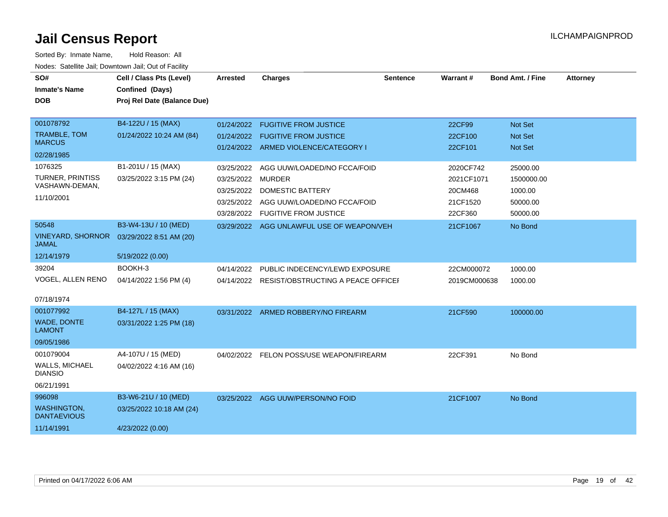| SO#<br><b>Inmate's Name</b><br><b>DOB</b> | Cell / Class Pts (Level)<br>Confined (Days)<br>Proj Rel Date (Balance Due) | <b>Arrested</b> | <b>Charges</b>                                                       | <b>Sentence</b> | Warrant#           | <b>Bond Amt. / Fine</b>          | <b>Attorney</b> |
|-------------------------------------------|----------------------------------------------------------------------------|-----------------|----------------------------------------------------------------------|-----------------|--------------------|----------------------------------|-----------------|
|                                           |                                                                            |                 |                                                                      |                 |                    |                                  |                 |
| 001078792<br><b>TRAMBLE, TOM</b>          | B4-122U / 15 (MAX)                                                         |                 | 01/24/2022 FUGITIVE FROM JUSTICE                                     |                 | 22CF99             | Not Set                          |                 |
| <b>MARCUS</b>                             | 01/24/2022 10:24 AM (84)                                                   | 01/24/2022      | <b>FUGITIVE FROM JUSTICE</b><br>01/24/2022 ARMED VIOLENCE/CATEGORY I |                 | 22CF100<br>22CF101 | <b>Not Set</b><br><b>Not Set</b> |                 |
| 02/28/1985                                |                                                                            |                 |                                                                      |                 |                    |                                  |                 |
| 1076325                                   | B1-201U / 15 (MAX)                                                         | 03/25/2022      | AGG UUW/LOADED/NO FCCA/FOID                                          |                 | 2020CF742          | 25000.00                         |                 |
| <b>TURNER, PRINTISS</b><br>VASHAWN-DEMAN, | 03/25/2022 3:15 PM (24)                                                    | 03/25/2022      | <b>MURDER</b>                                                        |                 | 2021CF1071         | 1500000.00                       |                 |
| 11/10/2001                                |                                                                            | 03/25/2022      | <b>DOMESTIC BATTERY</b>                                              |                 | 20CM468            | 1000.00                          |                 |
|                                           |                                                                            | 03/25/2022      | AGG UUW/LOADED/NO FCCA/FOID                                          |                 | 21CF1520           | 50000.00                         |                 |
|                                           |                                                                            | 03/28/2022      | <b>FUGITIVE FROM JUSTICE</b>                                         |                 | 22CF360            | 50000.00                         |                 |
| 50548                                     | B3-W4-13U / 10 (MED)                                                       |                 | 03/29/2022 AGG UNLAWFUL USE OF WEAPON/VEH                            |                 | 21CF1067           | No Bond                          |                 |
| <b>VINEYARD, SHORNOR</b><br><b>JAMAL</b>  | 03/29/2022 8:51 AM (20)                                                    |                 |                                                                      |                 |                    |                                  |                 |
| 12/14/1979                                | 5/19/2022 (0.00)                                                           |                 |                                                                      |                 |                    |                                  |                 |
| 39204                                     | BOOKH-3                                                                    | 04/14/2022      | PUBLIC INDECENCY/LEWD EXPOSURE                                       |                 | 22CM000072         | 1000.00                          |                 |
| VOGEL, ALLEN RENO                         | 04/14/2022 1:56 PM (4)                                                     |                 | 04/14/2022 RESIST/OBSTRUCTING A PEACE OFFICE                         |                 | 2019CM000638       | 1000.00                          |                 |
| 07/18/1974                                |                                                                            |                 |                                                                      |                 |                    |                                  |                 |
| 001077992                                 | B4-127L / 15 (MAX)                                                         |                 | 03/31/2022 ARMED ROBBERY/NO FIREARM                                  |                 | 21CF590            | 100000.00                        |                 |
| <b>WADE, DONTE</b><br><b>LAMONT</b>       | 03/31/2022 1:25 PM (18)                                                    |                 |                                                                      |                 |                    |                                  |                 |
| 09/05/1986                                |                                                                            |                 |                                                                      |                 |                    |                                  |                 |
| 001079004                                 | A4-107U / 15 (MED)                                                         | 04/02/2022      | FELON POSS/USE WEAPON/FIREARM                                        |                 | 22CF391            | No Bond                          |                 |
| <b>WALLS, MICHAEL</b><br><b>DIANSIO</b>   | 04/02/2022 4:16 AM (16)                                                    |                 |                                                                      |                 |                    |                                  |                 |
| 06/21/1991                                |                                                                            |                 |                                                                      |                 |                    |                                  |                 |
| 996098                                    | B3-W6-21U / 10 (MED)                                                       |                 | 03/25/2022 AGG UUW/PERSON/NO FOID                                    |                 | 21CF1007           | No Bond                          |                 |
| <b>WASHINGTON,</b><br><b>DANTAEVIOUS</b>  | 03/25/2022 10:18 AM (24)                                                   |                 |                                                                      |                 |                    |                                  |                 |
| 11/14/1991                                | 4/23/2022 (0.00)                                                           |                 |                                                                      |                 |                    |                                  |                 |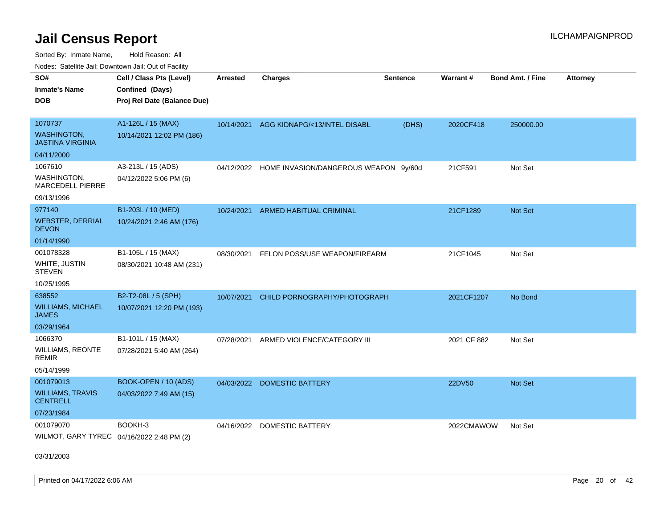Sorted By: Inmate Name, Hold Reason: All Nodes: Satellite Jail; Downtown Jail; Out of Facility

| ivouss. Satellite Jall, Downtown Jall, Out of Facility |                             |                 |                                                  |                 |             |                         |                 |
|--------------------------------------------------------|-----------------------------|-----------------|--------------------------------------------------|-----------------|-------------|-------------------------|-----------------|
| SO#                                                    | Cell / Class Pts (Level)    | <b>Arrested</b> | <b>Charges</b>                                   | <b>Sentence</b> | Warrant#    | <b>Bond Amt. / Fine</b> | <b>Attorney</b> |
| <b>Inmate's Name</b>                                   | Confined (Days)             |                 |                                                  |                 |             |                         |                 |
| <b>DOB</b>                                             | Proj Rel Date (Balance Due) |                 |                                                  |                 |             |                         |                 |
|                                                        |                             |                 |                                                  |                 |             |                         |                 |
| 1070737                                                | A1-126L / 15 (MAX)          | 10/14/2021      | AGG KIDNAPG/<13/INTEL DISABL                     | (DHS)           | 2020CF418   | 250000.00               |                 |
| <b>WASHINGTON,</b><br><b>JASTINA VIRGINIA</b>          | 10/14/2021 12:02 PM (186)   |                 |                                                  |                 |             |                         |                 |
| 04/11/2000                                             |                             |                 |                                                  |                 |             |                         |                 |
| 1067610                                                | A3-213L / 15 (ADS)          |                 | 04/12/2022 HOME INVASION/DANGEROUS WEAPON 9y/60d |                 | 21CF591     | Not Set                 |                 |
| WASHINGTON,<br>MARCEDELL PIERRE                        | 04/12/2022 5:06 PM (6)      |                 |                                                  |                 |             |                         |                 |
| 09/13/1996                                             |                             |                 |                                                  |                 |             |                         |                 |
| 977140                                                 | B1-203L / 10 (MED)          | 10/24/2021      | ARMED HABITUAL CRIMINAL                          |                 | 21CF1289    | Not Set                 |                 |
| <b>WEBSTER, DERRIAL</b><br><b>DEVON</b>                | 10/24/2021 2:46 AM (176)    |                 |                                                  |                 |             |                         |                 |
| 01/14/1990                                             |                             |                 |                                                  |                 |             |                         |                 |
| 001078328                                              | B1-105L / 15 (MAX)          | 08/30/2021      | FELON POSS/USE WEAPON/FIREARM                    |                 | 21CF1045    | Not Set                 |                 |
| WHITE, JUSTIN<br><b>STEVEN</b>                         | 08/30/2021 10:48 AM (231)   |                 |                                                  |                 |             |                         |                 |
| 10/25/1995                                             |                             |                 |                                                  |                 |             |                         |                 |
| 638552                                                 | B2-T2-08L / 5 (SPH)         | 10/07/2021      | CHILD PORNOGRAPHY/PHOTOGRAPH                     |                 | 2021CF1207  | No Bond                 |                 |
| <b>WILLIAMS, MICHAEL</b><br><b>JAMES</b>               | 10/07/2021 12:20 PM (193)   |                 |                                                  |                 |             |                         |                 |
| 03/29/1964                                             |                             |                 |                                                  |                 |             |                         |                 |
| 1066370                                                | B1-101L / 15 (MAX)          | 07/28/2021      | ARMED VIOLENCE/CATEGORY III                      |                 | 2021 CF 882 | Not Set                 |                 |
| WILLIAMS, REONTE<br><b>REMIR</b>                       | 07/28/2021 5:40 AM (264)    |                 |                                                  |                 |             |                         |                 |
| 05/14/1999                                             |                             |                 |                                                  |                 |             |                         |                 |
| 001079013                                              | BOOK-OPEN / 10 (ADS)        | 04/03/2022      | <b>DOMESTIC BATTERY</b>                          |                 | 22DV50      | <b>Not Set</b>          |                 |
| <b>WILLIAMS, TRAVIS</b><br><b>CENTRELL</b>             | 04/03/2022 7:49 AM (15)     |                 |                                                  |                 |             |                         |                 |
| 07/23/1984                                             |                             |                 |                                                  |                 |             |                         |                 |
| 001079070                                              | BOOKH-3                     |                 | 04/16/2022 DOMESTIC BATTERY                      |                 | 2022CMAWOW  | Not Set                 |                 |
| WILMOT, GARY TYREC 04/16/2022 2:48 PM (2)              |                             |                 |                                                  |                 |             |                         |                 |
|                                                        |                             |                 |                                                  |                 |             |                         |                 |

03/31/2003

Printed on 04/17/2022 6:06 AM Page 20 of 42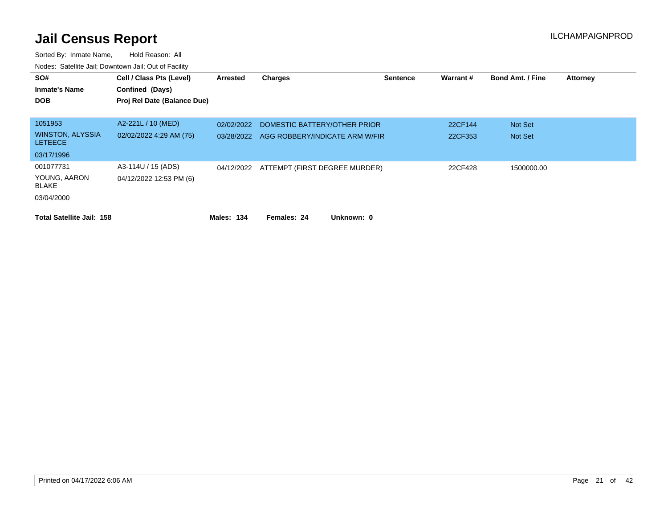| SO#<br><b>Inmate's Name</b><br><b>DOB</b>      | Cell / Class Pts (Level)<br>Confined (Days)<br>Proj Rel Date (Balance Due) | Arrested   | <b>Charges</b>                           | <b>Sentence</b> | Warrant# | <b>Bond Amt. / Fine</b> | <b>Attorney</b> |
|------------------------------------------------|----------------------------------------------------------------------------|------------|------------------------------------------|-----------------|----------|-------------------------|-----------------|
| 1051953                                        | A2-221L / 10 (MED)                                                         | 02/02/2022 | DOMESTIC BATTERY/OTHER PRIOR             |                 | 22CF144  | <b>Not Set</b>          |                 |
| <b>WINSTON, ALYSSIA</b><br><b>LETEECE</b>      | 02/02/2022 4:29 AM (75)                                                    | 03/28/2022 | AGG ROBBERY/INDICATE ARM W/FIR           |                 | 22CF353  | Not Set                 |                 |
| 03/17/1996                                     |                                                                            |            |                                          |                 |          |                         |                 |
| 001077731<br>YOUNG, AARON<br><b>BLAKE</b>      | A3-114U / 15 (ADS)<br>04/12/2022 12:53 PM (6)                              |            | 04/12/2022 ATTEMPT (FIRST DEGREE MURDER) |                 | 22CF428  | 1500000.00              |                 |
| 03/04/2000<br><b>Total Satellite Jail: 158</b> |                                                                            | Males: 134 | Females: 24<br>Unknown: 0                |                 |          |                         |                 |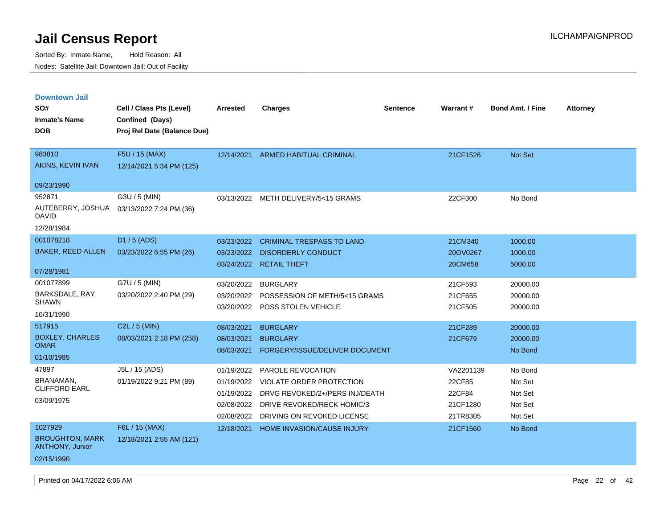| <b>Downtown Jail</b>                             |                             |            |                                       |                 |                 |                         |                 |
|--------------------------------------------------|-----------------------------|------------|---------------------------------------|-----------------|-----------------|-------------------------|-----------------|
| SO#                                              | Cell / Class Pts (Level)    | Arrested   | <b>Charges</b>                        | <b>Sentence</b> | <b>Warrant#</b> | <b>Bond Amt. / Fine</b> | <b>Attorney</b> |
| <b>Inmate's Name</b>                             | Confined (Days)             |            |                                       |                 |                 |                         |                 |
| <b>DOB</b>                                       | Proj Rel Date (Balance Due) |            |                                       |                 |                 |                         |                 |
|                                                  |                             |            |                                       |                 |                 |                         |                 |
| 983810                                           | F5U / 15 (MAX)              | 12/14/2021 | ARMED HABITUAL CRIMINAL               |                 | 21CF1526        | <b>Not Set</b>          |                 |
| AKINS, KEVIN IVAN                                | 12/14/2021 5:34 PM (125)    |            |                                       |                 |                 |                         |                 |
| 09/23/1990                                       |                             |            |                                       |                 |                 |                         |                 |
| 952871                                           | G3U / 5 (MIN)               |            | 03/13/2022 METH DELIVERY/5<15 GRAMS   |                 | 22CF300         | No Bond                 |                 |
| AUTEBERRY, JOSHUA<br>DAVID                       | 03/13/2022 7:24 PM (36)     |            |                                       |                 |                 |                         |                 |
| 12/28/1984                                       |                             |            |                                       |                 |                 |                         |                 |
| 001078218                                        | D1 / 5 (ADS)                | 03/23/2022 | <b>CRIMINAL TRESPASS TO LAND</b>      |                 | 21CM340         | 1000.00                 |                 |
| <b>BAKER, REED ALLEN</b>                         | 03/23/2022 6:55 PM (26)     | 03/23/2022 | <b>DISORDERLY CONDUCT</b>             |                 | 20OV0267        | 1000.00                 |                 |
|                                                  |                             | 03/24/2022 | <b>RETAIL THEFT</b>                   |                 | 20CM658         | 5000.00                 |                 |
| 07/28/1981                                       |                             |            |                                       |                 |                 |                         |                 |
| 001077899                                        | G7U / 5 (MIN)               | 03/20/2022 | <b>BURGLARY</b>                       |                 | 21CF593         | 20000.00                |                 |
| BARKSDALE, RAY<br><b>SHAWN</b>                   | 03/20/2022 2:40 PM (29)     | 03/20/2022 | POSSESSION OF METH/5<15 GRAMS         |                 | 21CF655         | 20000.00                |                 |
|                                                  |                             | 03/20/2022 | POSS STOLEN VEHICLE                   |                 | 21CF505         | 20000.00                |                 |
| 10/31/1990                                       |                             |            |                                       |                 |                 |                         |                 |
| 517915                                           | $C2L / 5$ (MIN)             | 08/03/2021 | <b>BURGLARY</b>                       |                 | 21CF289         | 20000.00                |                 |
| <b>BOXLEY, CHARLES</b><br><b>OMAR</b>            | 08/03/2021 2:18 PM (258)    | 08/03/2021 | <b>BURGLARY</b>                       |                 | 21CF679         | 20000.00                |                 |
| 01/10/1985                                       |                             | 08/03/2021 | FORGERY/ISSUE/DELIVER DOCUMENT        |                 |                 | No Bond                 |                 |
| 47897                                            | J5L / 15 (ADS)              | 01/19/2022 | PAROLE REVOCATION                     |                 | VA2201139       | No Bond                 |                 |
| <b>BRANAMAN</b>                                  | 01/19/2022 9:21 PM (89)     | 01/19/2022 | VIOLATE ORDER PROTECTION              |                 | 22CF85          | Not Set                 |                 |
| <b>CLIFFORD EARL</b>                             |                             | 01/19/2022 | DRVG REVOKED/2+/PERS INJ/DEATH        |                 | 22CF84          | Not Set                 |                 |
| 03/09/1975                                       |                             |            | 02/08/2022 DRIVE REVOKED/RECK HOMIC/3 |                 | 21CF1280        | Not Set                 |                 |
|                                                  |                             | 02/08/2022 | DRIVING ON REVOKED LICENSE            |                 | 21TR8305        | Not Set                 |                 |
| 1027929                                          | F6L / 15 (MAX)              | 12/18/2021 | <b>HOME INVASION/CAUSE INJURY</b>     |                 | 21CF1560        | No Bond                 |                 |
| <b>BROUGHTON, MARK</b><br><b>ANTHONY, Junior</b> | 12/18/2021 2:55 AM (121)    |            |                                       |                 |                 |                         |                 |
| 02/15/1990                                       |                             |            |                                       |                 |                 |                         |                 |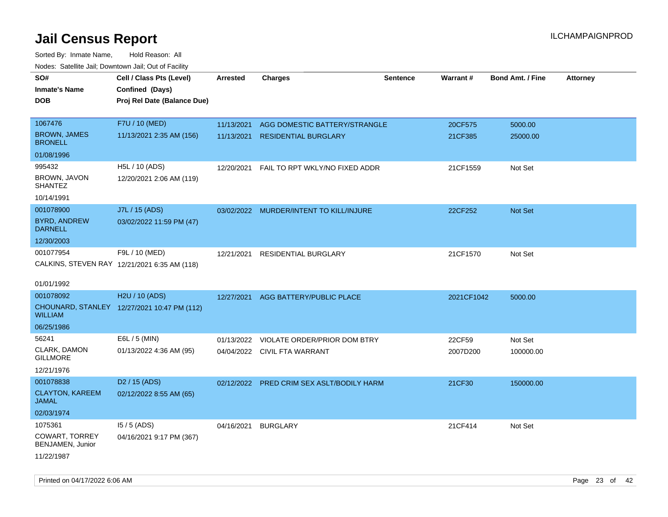| rougs. Calcing Jan, Downtown Jan, Out of Facility |                                              |                 |                                         |                 |            |                         |                 |
|---------------------------------------------------|----------------------------------------------|-----------------|-----------------------------------------|-----------------|------------|-------------------------|-----------------|
| SO#<br><b>Inmate's Name</b>                       | Cell / Class Pts (Level)<br>Confined (Days)  | <b>Arrested</b> | <b>Charges</b>                          | <b>Sentence</b> | Warrant#   | <b>Bond Amt. / Fine</b> | <b>Attorney</b> |
| <b>DOB</b>                                        | Proj Rel Date (Balance Due)                  |                 |                                         |                 |            |                         |                 |
| 1067476                                           | F7U / 10 (MED)                               | 11/13/2021      | AGG DOMESTIC BATTERY/STRANGLE           |                 | 20CF575    | 5000.00                 |                 |
| <b>BROWN, JAMES</b><br><b>BRONELL</b>             | 11/13/2021 2:35 AM (156)                     | 11/13/2021      | <b>RESIDENTIAL BURGLARY</b>             |                 | 21CF385    | 25000.00                |                 |
| 01/08/1996                                        |                                              |                 |                                         |                 |            |                         |                 |
| 995432                                            | H5L / 10 (ADS)                               | 12/20/2021      | FAIL TO RPT WKLY/NO FIXED ADDR          |                 | 21CF1559   | Not Set                 |                 |
| BROWN, JAVON<br><b>SHANTEZ</b>                    | 12/20/2021 2:06 AM (119)                     |                 |                                         |                 |            |                         |                 |
| 10/14/1991                                        |                                              |                 |                                         |                 |            |                         |                 |
| 001078900                                         | J7L / 15 (ADS)                               |                 | 03/02/2022 MURDER/INTENT TO KILL/INJURE |                 | 22CF252    | Not Set                 |                 |
| <b>BYRD, ANDREW</b><br><b>DARNELL</b>             | 03/02/2022 11:59 PM (47)                     |                 |                                         |                 |            |                         |                 |
| 12/30/2003                                        |                                              |                 |                                         |                 |            |                         |                 |
| 001077954                                         | F9L / 10 (MED)                               | 12/21/2021      | RESIDENTIAL BURGLARY                    |                 | 21CF1570   | Not Set                 |                 |
|                                                   | CALKINS, STEVEN RAY 12/21/2021 6:35 AM (118) |                 |                                         |                 |            |                         |                 |
|                                                   |                                              |                 |                                         |                 |            |                         |                 |
| 01/01/1992                                        |                                              |                 |                                         |                 |            |                         |                 |
| 001078092                                         | H2U / 10 (ADS)                               | 12/27/2021      | AGG BATTERY/PUBLIC PLACE                |                 | 2021CF1042 | 5000.00                 |                 |
| <b>WILLIAM</b>                                    | CHOUNARD, STANLEY 12/27/2021 10:47 PM (112)  |                 |                                         |                 |            |                         |                 |
| 06/25/1986                                        |                                              |                 |                                         |                 |            |                         |                 |
| 56241                                             | E6L / 5 (MIN)                                | 01/13/2022      | VIOLATE ORDER/PRIOR DOM BTRY            |                 | 22CF59     | Not Set                 |                 |
| CLARK, DAMON<br><b>GILLMORE</b>                   | 01/13/2022 4:36 AM (95)                      |                 | 04/04/2022 CIVIL FTA WARRANT            |                 | 2007D200   | 100000.00               |                 |
| 12/21/1976                                        |                                              |                 |                                         |                 |            |                         |                 |
| 001078838                                         | D <sub>2</sub> / 15 (ADS)                    | 02/12/2022      | PRED CRIM SEX ASLT/BODILY HARM          |                 | 21CF30     | 150000.00               |                 |
| <b>CLAYTON, KAREEM</b><br>JAMAL                   | 02/12/2022 8:55 AM (65)                      |                 |                                         |                 |            |                         |                 |
| 02/03/1974                                        |                                              |                 |                                         |                 |            |                         |                 |
| 1075361                                           | $15/5$ (ADS)                                 | 04/16/2021      | <b>BURGLARY</b>                         |                 | 21CF414    | Not Set                 |                 |
| <b>COWART, TORREY</b><br>BENJAMEN, Junior         | 04/16/2021 9:17 PM (367)                     |                 |                                         |                 |            |                         |                 |
| 11/22/1987                                        |                                              |                 |                                         |                 |            |                         |                 |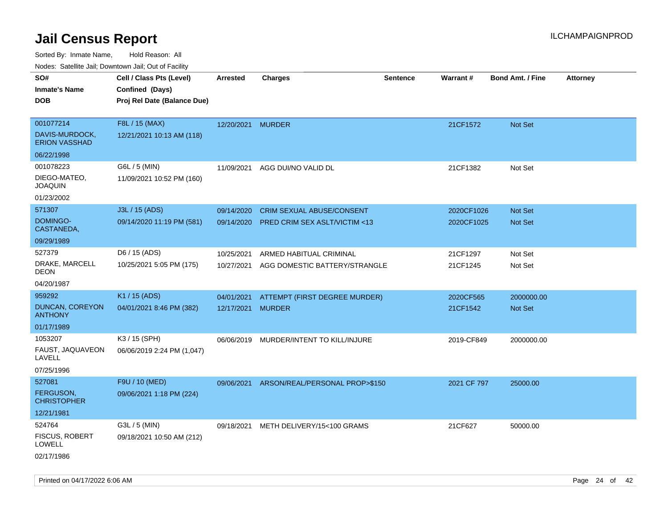| roaco. Catolino dall, Downtown dall, Out of Fability |                             |                   |                                         |                 |             |                         |                 |
|------------------------------------------------------|-----------------------------|-------------------|-----------------------------------------|-----------------|-------------|-------------------------|-----------------|
| SO#                                                  | Cell / Class Pts (Level)    | <b>Arrested</b>   | <b>Charges</b>                          | <b>Sentence</b> | Warrant#    | <b>Bond Amt. / Fine</b> | <b>Attorney</b> |
| <b>Inmate's Name</b>                                 | Confined (Days)             |                   |                                         |                 |             |                         |                 |
| <b>DOB</b>                                           | Proj Rel Date (Balance Due) |                   |                                         |                 |             |                         |                 |
| 001077214                                            | F8L / 15 (MAX)              | 12/20/2021 MURDER |                                         |                 | 21CF1572    | Not Set                 |                 |
| DAVIS-MURDOCK,<br><b>ERION VASSHAD</b>               | 12/21/2021 10:13 AM (118)   |                   |                                         |                 |             |                         |                 |
| 06/22/1998                                           |                             |                   |                                         |                 |             |                         |                 |
| 001078223                                            | G6L / 5 (MIN)               | 11/09/2021        | AGG DUI/NO VALID DL                     |                 | 21CF1382    | Not Set                 |                 |
| DIEGO-MATEO,<br><b>JOAQUIN</b>                       | 11/09/2021 10:52 PM (160)   |                   |                                         |                 |             |                         |                 |
| 01/23/2002                                           |                             |                   |                                         |                 |             |                         |                 |
| 571307                                               | J3L / 15 (ADS)              | 09/14/2020        | <b>CRIM SEXUAL ABUSE/CONSENT</b>        |                 | 2020CF1026  | <b>Not Set</b>          |                 |
| DOMINGO-<br>CASTANEDA,                               | 09/14/2020 11:19 PM (581)   | 09/14/2020        | <b>PRED CRIM SEX ASLT/VICTIM &lt;13</b> |                 | 2020CF1025  | <b>Not Set</b>          |                 |
| 09/29/1989                                           |                             |                   |                                         |                 |             |                         |                 |
| 527379                                               | D6 / 15 (ADS)               | 10/25/2021        | ARMED HABITUAL CRIMINAL                 |                 | 21CF1297    | Not Set                 |                 |
| DRAKE, MARCELL<br><b>DEON</b>                        | 10/25/2021 5:05 PM (175)    | 10/27/2021        | AGG DOMESTIC BATTERY/STRANGLE           |                 | 21CF1245    | Not Set                 |                 |
| 04/20/1987                                           |                             |                   |                                         |                 |             |                         |                 |
| 959292                                               | K1 / 15 (ADS)               | 04/01/2021        | ATTEMPT (FIRST DEGREE MURDER)           |                 | 2020CF565   | 2000000.00              |                 |
| <b>DUNCAN, COREYON</b><br><b>ANTHONY</b>             | 04/01/2021 8:46 PM (382)    | 12/17/2021 MURDER |                                         |                 | 21CF1542    | <b>Not Set</b>          |                 |
| 01/17/1989                                           |                             |                   |                                         |                 |             |                         |                 |
| 1053207                                              | K3 / 15 (SPH)               | 06/06/2019        | MURDER/INTENT TO KILL/INJURE            |                 | 2019-CF849  | 2000000.00              |                 |
| FAUST, JAQUAVEON<br>LAVELL                           | 06/06/2019 2:24 PM (1,047)  |                   |                                         |                 |             |                         |                 |
| 07/25/1996                                           |                             |                   |                                         |                 |             |                         |                 |
| 527081                                               | F9U / 10 (MED)              | 09/06/2021        | ARSON/REAL/PERSONAL PROP>\$150          |                 | 2021 CF 797 | 25000.00                |                 |
| <b>FERGUSON,</b><br><b>CHRISTOPHER</b>               | 09/06/2021 1:18 PM (224)    |                   |                                         |                 |             |                         |                 |
| 12/21/1981                                           |                             |                   |                                         |                 |             |                         |                 |
| 524764                                               | G3L / 5 (MIN)               | 09/18/2021        | METH DELIVERY/15<100 GRAMS              |                 | 21CF627     | 50000.00                |                 |
| FISCUS, ROBERT<br>LOWELL                             | 09/18/2021 10:50 AM (212)   |                   |                                         |                 |             |                         |                 |
| 02/17/1986                                           |                             |                   |                                         |                 |             |                         |                 |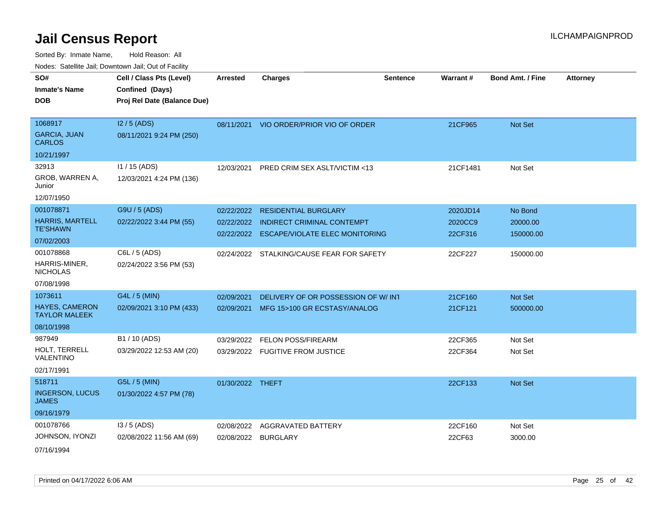Sorted By: Inmate Name, Hold Reason: All

|  | Nodes: Satellite Jail; Downtown Jail; Out of Facility |  |  |
|--|-------------------------------------------------------|--|--|
|  |                                                       |  |  |

| SO#<br><b>Inmate's Name</b><br><b>DOB</b>                            | Cell / Class Pts (Level)<br>Confined (Days)<br>Proj Rel Date (Balance Due) | <b>Arrested</b>          | <b>Charges</b>                                                                                                    | <b>Sentence</b> | <b>Warrant#</b>                | <b>Bond Amt. / Fine</b>          | <b>Attorney</b> |
|----------------------------------------------------------------------|----------------------------------------------------------------------------|--------------------------|-------------------------------------------------------------------------------------------------------------------|-----------------|--------------------------------|----------------------------------|-----------------|
| 1068917<br><b>GARCIA, JUAN</b><br><b>CARLOS</b>                      | I2 / 5 (ADS)<br>08/11/2021 9:24 PM (250)                                   |                          | 08/11/2021 VIO ORDER/PRIOR VIO OF ORDER                                                                           |                 | 21CF965                        | Not Set                          |                 |
| 10/21/1997                                                           |                                                                            |                          |                                                                                                                   |                 |                                |                                  |                 |
| 32913<br>GROB, WARREN A,<br>Junior                                   | 11 / 15 (ADS)<br>12/03/2021 4:24 PM (136)                                  | 12/03/2021               | PRED CRIM SEX ASLT/VICTIM <13                                                                                     |                 | 21CF1481                       | Not Set                          |                 |
| 12/07/1950                                                           |                                                                            |                          |                                                                                                                   |                 |                                |                                  |                 |
| 001078871<br><b>HARRIS, MARTELL</b><br><b>TE'SHAWN</b><br>07/02/2003 | G9U / 5 (ADS)<br>02/22/2022 3:44 PM (55)                                   | 02/22/2022               | <b>RESIDENTIAL BURGLARY</b><br>02/22/2022 INDIRECT CRIMINAL CONTEMPT<br>02/22/2022 ESCAPE/VIOLATE ELEC MONITORING |                 | 2020JD14<br>2020CC9<br>22CF316 | No Bond<br>20000.00<br>150000.00 |                 |
| 001078868<br>HARRIS-MINER,<br><b>NICHOLAS</b><br>07/08/1998          | C6L / 5 (ADS)<br>02/24/2022 3:56 PM (53)                                   |                          | 02/24/2022 STALKING/CAUSE FEAR FOR SAFETY                                                                         |                 | 22CF227                        | 150000.00                        |                 |
| 1073611                                                              | G4L / 5 (MIN)                                                              | 02/09/2021               | DELIVERY OF OR POSSESSION OF W/ INT                                                                               |                 | 21CF160                        | Not Set                          |                 |
| <b>HAYES, CAMERON</b><br><b>TAYLOR MALEEK</b>                        | 02/09/2021 3:10 PM (433)                                                   | 02/09/2021               | MFG 15>100 GR ECSTASY/ANALOG                                                                                      |                 | 21CF121                        | 500000.00                        |                 |
| 08/10/1998                                                           |                                                                            |                          |                                                                                                                   |                 |                                |                                  |                 |
| 987949<br>HOLT, TERRELL<br>VALENTINO<br>02/17/1991                   | B1 / 10 (ADS)<br>03/29/2022 12:53 AM (20)                                  | 03/29/2022               | <b>FELON POSS/FIREARM</b><br>03/29/2022 FUGITIVE FROM JUSTICE                                                     |                 | 22CF365<br>22CF364             | Not Set<br>Not Set               |                 |
| 518711                                                               | G5L / 5 (MIN)                                                              | 01/30/2022 THEFT         |                                                                                                                   |                 | 22CF133                        | Not Set                          |                 |
| <b>INGERSON, LUCUS</b><br><b>JAMES</b><br>09/16/1979                 | 01/30/2022 4:57 PM (78)                                                    |                          |                                                                                                                   |                 |                                |                                  |                 |
| 001078766                                                            | I3 / 5 (ADS)                                                               |                          |                                                                                                                   |                 |                                |                                  |                 |
| JOHNSON, IYONZI<br>07/16/1994                                        | 02/08/2022 11:56 AM (69)                                                   | 02/08/2022<br>02/08/2022 | AGGRAVATED BATTERY<br><b>BURGLARY</b>                                                                             |                 | 22CF160<br>22CF63              | Not Set<br>3000.00               |                 |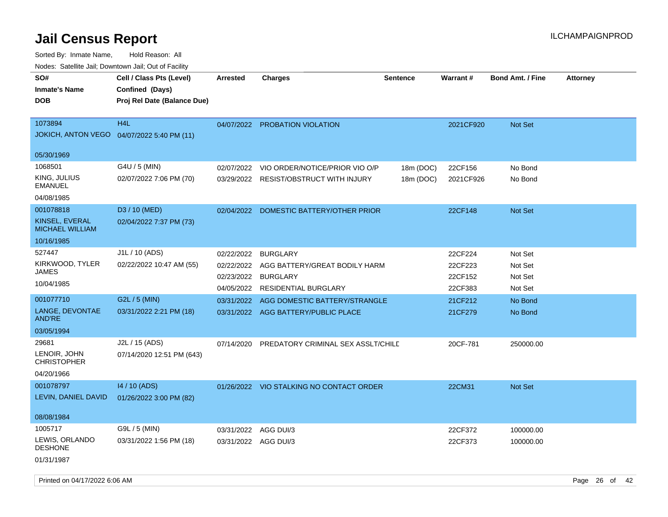| rouce. Calcinic Jan, Downtown Jan, Out of Facility     |                                                                            |                      |                                          |                 |           |                         |                 |
|--------------------------------------------------------|----------------------------------------------------------------------------|----------------------|------------------------------------------|-----------------|-----------|-------------------------|-----------------|
| SO#<br><b>Inmate's Name</b><br><b>DOB</b>              | Cell / Class Pts (Level)<br>Confined (Days)<br>Proj Rel Date (Balance Due) | <b>Arrested</b>      | <b>Charges</b>                           | <b>Sentence</b> | Warrant#  | <b>Bond Amt. / Fine</b> | <b>Attorney</b> |
| 1073894<br>JOKICH, ANTON VEGO  04/07/2022 5:40 PM (11) | H <sub>4</sub> L                                                           |                      | 04/07/2022 PROBATION VIOLATION           |                 | 2021CF920 | <b>Not Set</b>          |                 |
| 05/30/1969                                             |                                                                            |                      |                                          |                 |           |                         |                 |
| 1068501                                                | G4U / 5 (MIN)                                                              | 02/07/2022           | VIO ORDER/NOTICE/PRIOR VIO O/P           | 18m (DOC)       | 22CF156   | No Bond                 |                 |
| KING, JULIUS<br>EMANUEL                                | 02/07/2022 7:06 PM (70)                                                    | 03/29/2022           | <b>RESIST/OBSTRUCT WITH INJURY</b>       | 18m (DOC)       | 2021CF926 | No Bond                 |                 |
| 04/08/1985                                             |                                                                            |                      |                                          |                 |           |                         |                 |
| 001078818                                              | D3 / 10 (MED)                                                              | 02/04/2022           | DOMESTIC BATTERY/OTHER PRIOR             |                 | 22CF148   | Not Set                 |                 |
| KINSEL, EVERAL<br><b>MICHAEL WILLIAM</b>               | 02/04/2022 7:37 PM (73)                                                    |                      |                                          |                 |           |                         |                 |
| 10/16/1985                                             |                                                                            |                      |                                          |                 |           |                         |                 |
| 527447                                                 | J1L / 10 (ADS)                                                             | 02/22/2022           | <b>BURGLARY</b>                          |                 | 22CF224   | Not Set                 |                 |
| KIRKWOOD, TYLER                                        | 02/22/2022 10:47 AM (55)                                                   | 02/22/2022           | AGG BATTERY/GREAT BODILY HARM            |                 | 22CF223   | Not Set                 |                 |
| JAMES                                                  |                                                                            | 02/23/2022           | <b>BURGLARY</b>                          |                 | 22CF152   | Not Set                 |                 |
| 10/04/1985                                             |                                                                            | 04/05/2022           | RESIDENTIAL BURGLARY                     |                 | 22CF383   | Not Set                 |                 |
| 001077710                                              | G2L / 5 (MIN)                                                              | 03/31/2022           | AGG DOMESTIC BATTERY/STRANGLE            |                 | 21CF212   | No Bond                 |                 |
| LANGE, DEVONTAE<br>AND'RE                              | 03/31/2022 2:21 PM (18)                                                    |                      | 03/31/2022 AGG BATTERY/PUBLIC PLACE      |                 | 21CF279   | No Bond                 |                 |
| 03/05/1994                                             |                                                                            |                      |                                          |                 |           |                         |                 |
| 29681                                                  | J2L / 15 (ADS)                                                             | 07/14/2020           | PREDATORY CRIMINAL SEX ASSLT/CHILD       |                 | 20CF-781  | 250000.00               |                 |
| LENOIR, JOHN<br><b>CHRISTOPHER</b>                     | 07/14/2020 12:51 PM (643)                                                  |                      |                                          |                 |           |                         |                 |
| 04/20/1966                                             |                                                                            |                      |                                          |                 |           |                         |                 |
| 001078797                                              | 14 / 10 (ADS)                                                              |                      | 01/26/2022 VIO STALKING NO CONTACT ORDER |                 | 22CM31    | Not Set                 |                 |
| LEVIN, DANIEL DAVID                                    | 01/26/2022 3:00 PM (82)                                                    |                      |                                          |                 |           |                         |                 |
| 08/08/1984                                             |                                                                            |                      |                                          |                 |           |                         |                 |
| 1005717                                                | G9L / 5 (MIN)                                                              | 03/31/2022           | AGG DUI/3                                |                 | 22CF372   | 100000.00               |                 |
| LEWIS, ORLANDO<br><b>DESHONE</b>                       | 03/31/2022 1:56 PM (18)                                                    | 03/31/2022 AGG DUI/3 |                                          |                 | 22CF373   | 100000.00               |                 |
| 01/31/1987                                             |                                                                            |                      |                                          |                 |           |                         |                 |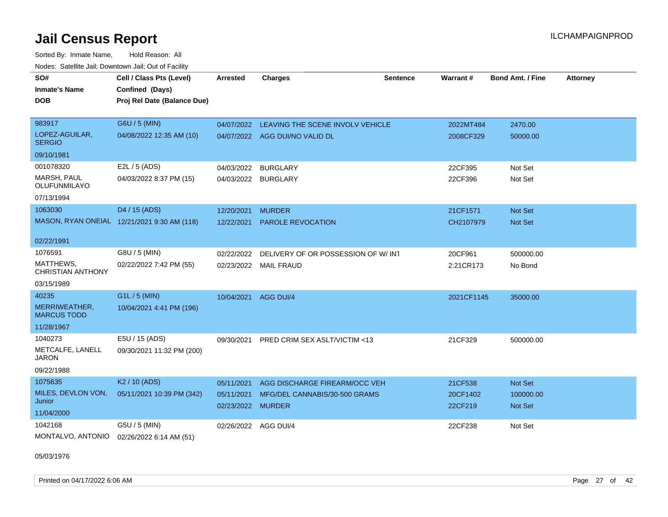Sorted By: Inmate Name, Hold Reason: All Nodes: Satellite Jail; Downtown Jail; Out of Facility

| SO#                                   | Cell / Class Pts (Level)                    | <b>Arrested</b>                 | <b>Charges</b>                     | <b>Sentence</b> | Warrant#            | <b>Bond Amt. / Fine</b> | <b>Attorney</b> |
|---------------------------------------|---------------------------------------------|---------------------------------|------------------------------------|-----------------|---------------------|-------------------------|-----------------|
| <b>Inmate's Name</b>                  | Confined (Days)                             |                                 |                                    |                 |                     |                         |                 |
| <b>DOB</b>                            | Proj Rel Date (Balance Due)                 |                                 |                                    |                 |                     |                         |                 |
|                                       |                                             |                                 |                                    |                 |                     |                         |                 |
| 983917                                | G6U / 5 (MIN)                               | 04/07/2022                      | LEAVING THE SCENE INVOLV VEHICLE   |                 | 2022MT484           | 2470.00                 |                 |
| LOPEZ-AGUILAR,<br><b>SERGIO</b>       | 04/08/2022 12:35 AM (10)                    |                                 | 04/07/2022 AGG DUI/NO VALID DL     |                 | 2008CF329           | 50000.00                |                 |
| 09/10/1981                            |                                             |                                 |                                    |                 |                     |                         |                 |
| 001078320                             | E2L / 5 (ADS)                               | 04/03/2022                      | <b>BURGLARY</b>                    |                 | 22CF395             | Not Set                 |                 |
| <b>MARSH, PAUL</b><br>OLUFUNMILAYO    | 04/03/2022 8:37 PM (15)                     |                                 | 04/03/2022 BURGLARY                |                 | 22CF396             | Not Set                 |                 |
| 07/13/1994                            |                                             |                                 |                                    |                 |                     |                         |                 |
| 1063030                               | D4 / 15 (ADS)                               | 12/20/2021                      | <b>MURDER</b>                      |                 | 21CF1571            | Not Set                 |                 |
|                                       | MASON, RYAN ONEIAL 12/21/2021 9:30 AM (118) | 12/22/2021                      | PAROLE REVOCATION                  |                 | CH2107979           | Not Set                 |                 |
| 02/22/1991                            |                                             |                                 |                                    |                 |                     |                         |                 |
| 1076591                               | G8U / 5 (MIN)                               | 02/22/2022                      | DELIVERY OF OR POSSESSION OF W/IN1 |                 | 20CF961             | 500000.00               |                 |
| MATTHEWS,<br><b>CHRISTIAN ANTHONY</b> | 02/22/2022 7:42 PM (55)                     | 02/23/2022                      | <b>MAIL FRAUD</b>                  |                 | 2:21CR173           | No Bond                 |                 |
| 03/15/1989                            |                                             |                                 |                                    |                 |                     |                         |                 |
| 40235                                 | $G1L / 5$ (MIN)                             | 10/04/2021                      | AGG DUI/4                          |                 | 2021CF1145          | 35000.00                |                 |
| MERRIWEATHER,<br><b>MARCUS TODD</b>   | 10/04/2021 4:41 PM (196)                    |                                 |                                    |                 |                     |                         |                 |
| 11/28/1967                            |                                             |                                 |                                    |                 |                     |                         |                 |
| 1040273                               | E5U / 15 (ADS)                              | 09/30/2021                      | PRED CRIM SEX ASLT/VICTIM <13      |                 | 21CF329             | 500000.00               |                 |
| METCALFE, LANELL<br><b>JARON</b>      | 09/30/2021 11:32 PM (200)                   |                                 |                                    |                 |                     |                         |                 |
| 09/22/1988                            |                                             |                                 |                                    |                 |                     |                         |                 |
| 1075635                               | K <sub>2</sub> / 10 (ADS)                   | 05/11/2021                      | AGG DISCHARGE FIREARM/OCC VEH      |                 | 21CF538             | Not Set                 |                 |
| MILES, DEVLON VON,<br>Junior          | 05/11/2021 10:39 PM (342)                   | 05/11/2021<br>02/23/2022 MURDER | MFG/DEL CANNABIS/30-500 GRAMS      |                 | 20CF1402<br>22CF219 | 100000.00<br>Not Set    |                 |
| 11/04/2000                            |                                             |                                 |                                    |                 |                     |                         |                 |
| 1042168                               | G5U / 5 (MIN)                               |                                 | 02/26/2022 AGG DUI/4               |                 | 22CF238             | Not Set                 |                 |
| MONTALVO, ANTONIO                     | 02/26/2022 6:14 AM (51)                     |                                 |                                    |                 |                     |                         |                 |

05/03/1976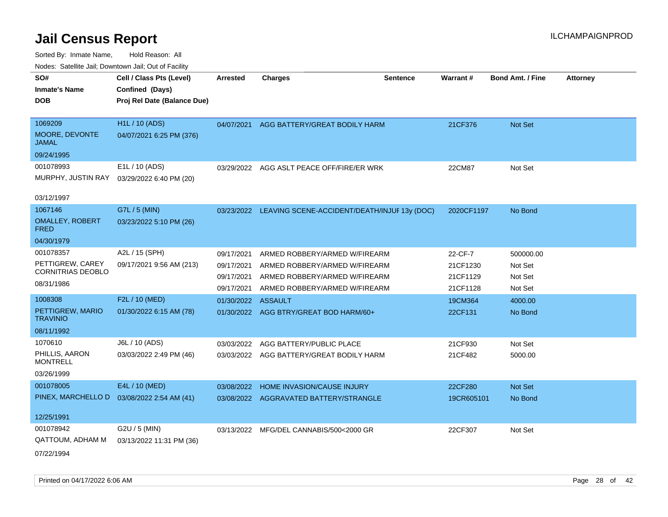| roaco. Catolino dall, Downtown dall, Out of Fability |                                             |                 |                                                         |                 |                 |                         |                 |
|------------------------------------------------------|---------------------------------------------|-----------------|---------------------------------------------------------|-----------------|-----------------|-------------------------|-----------------|
| SO#<br><b>Inmate's Name</b>                          | Cell / Class Pts (Level)<br>Confined (Days) | <b>Arrested</b> | <b>Charges</b>                                          | <b>Sentence</b> | <b>Warrant#</b> | <b>Bond Amt. / Fine</b> | <b>Attorney</b> |
| <b>DOB</b>                                           | Proj Rel Date (Balance Due)                 |                 |                                                         |                 |                 |                         |                 |
| 1069209                                              | <b>H1L / 10 (ADS)</b>                       | 04/07/2021      | AGG BATTERY/GREAT BODILY HARM                           |                 | 21CF376         | Not Set                 |                 |
| MOORE, DEVONTE<br><b>JAMAL</b>                       | 04/07/2021 6:25 PM (376)                    |                 |                                                         |                 |                 |                         |                 |
| 09/24/1995                                           |                                             |                 |                                                         |                 |                 |                         |                 |
| 001078993                                            | E1L / 10 (ADS)                              | 03/29/2022      | AGG ASLT PEACE OFF/FIRE/ER WRK                          |                 | 22CM87          | Not Set                 |                 |
| MURPHY, JUSTIN RAY                                   | 03/29/2022 6:40 PM (20)                     |                 |                                                         |                 |                 |                         |                 |
| 03/12/1997                                           |                                             |                 |                                                         |                 |                 |                         |                 |
| 1067146                                              | G7L / 5 (MIN)                               |                 | 03/23/2022 LEAVING SCENE-ACCIDENT/DEATH/INJUF 13y (DOC) |                 | 2020CF1197      | No Bond                 |                 |
| <b>OMALLEY, ROBERT</b><br><b>FRED</b>                | 03/23/2022 5:10 PM (26)                     |                 |                                                         |                 |                 |                         |                 |
| 04/30/1979                                           |                                             |                 |                                                         |                 |                 |                         |                 |
| 001078357                                            | A2L / 15 (SPH)                              | 09/17/2021      | ARMED ROBBERY/ARMED W/FIREARM                           |                 | 22-CF-7         | 500000.00               |                 |
| PETTIGREW, CAREY                                     | 09/17/2021 9:56 AM (213)                    | 09/17/2021      | ARMED ROBBERY/ARMED W/FIREARM                           |                 | 21CF1230        | Not Set                 |                 |
| CORNITRIAS DEOBLO                                    |                                             | 09/17/2021      | ARMED ROBBERY/ARMED W/FIREARM                           |                 | 21CF1129        | Not Set                 |                 |
| 08/31/1986                                           |                                             | 09/17/2021      | ARMED ROBBERY/ARMED W/FIREARM                           |                 | 21CF1128        | Not Set                 |                 |
| 1008308                                              | F2L / 10 (MED)                              | 01/30/2022      | ASSAULT                                                 |                 | 19CM364         | 4000.00                 |                 |
| PETTIGREW, MARIO<br><b>TRAVINIO</b>                  | 01/30/2022 6:15 AM (78)                     |                 | 01/30/2022 AGG BTRY/GREAT BOD HARM/60+                  |                 | 22CF131         | No Bond                 |                 |
| 08/11/1992                                           |                                             |                 |                                                         |                 |                 |                         |                 |
| 1070610                                              | J6L / 10 (ADS)                              | 03/03/2022      | AGG BATTERY/PUBLIC PLACE                                |                 | 21CF930         | Not Set                 |                 |
| PHILLIS, AARON<br><b>MONTRELL</b>                    | 03/03/2022 2:49 PM (46)                     | 03/03/2022      | AGG BATTERY/GREAT BODILY HARM                           |                 | 21CF482         | 5000.00                 |                 |
| 03/26/1999                                           |                                             |                 |                                                         |                 |                 |                         |                 |
| 001078005                                            | E4L / 10 (MED)                              | 03/08/2022      | HOME INVASION/CAUSE INJURY                              |                 | 22CF280         | <b>Not Set</b>          |                 |
| PINEX, MARCHELLO D                                   | 03/08/2022 2:54 AM (41)                     | 03/08/2022      | AGGRAVATED BATTERY/STRANGLE                             |                 | 19CR605101      | No Bond                 |                 |
| 12/25/1991                                           |                                             |                 |                                                         |                 |                 |                         |                 |
| 001078942                                            | G2U / 5 (MIN)                               |                 | 03/13/2022 MFG/DEL CANNABIS/500<2000 GR                 |                 | 22CF307         | Not Set                 |                 |
| QATTOUM, ADHAM M                                     | 03/13/2022 11:31 PM (36)                    |                 |                                                         |                 |                 |                         |                 |
| 07/22/1994                                           |                                             |                 |                                                         |                 |                 |                         |                 |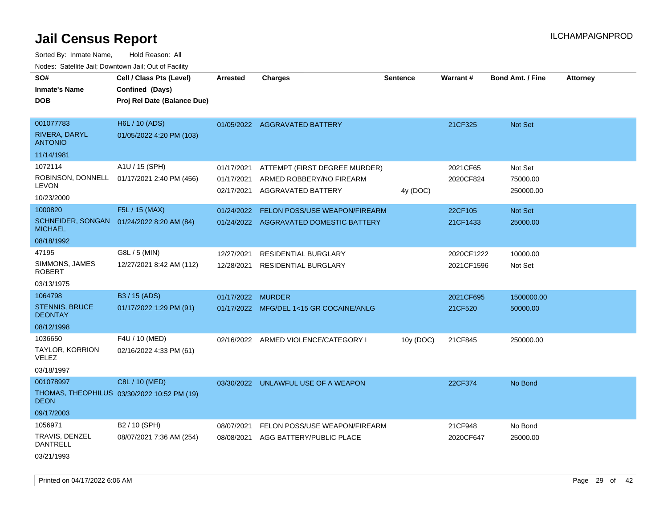Sorted By: Inmate Name, Hold Reason: All Nodes: Satellite Jail; Downtown Jail; Out of Facility

| rougs. Calcinic Jan, Downtown Jan, Out of Facility |                                             |            |                                         |                 |            |                         |                 |
|----------------------------------------------------|---------------------------------------------|------------|-----------------------------------------|-----------------|------------|-------------------------|-----------------|
| SO#                                                | Cell / Class Pts (Level)                    | Arrested   | <b>Charges</b>                          | <b>Sentence</b> | Warrant#   | <b>Bond Amt. / Fine</b> | <b>Attorney</b> |
| <b>Inmate's Name</b>                               | Confined (Days)                             |            |                                         |                 |            |                         |                 |
| <b>DOB</b>                                         | Proj Rel Date (Balance Due)                 |            |                                         |                 |            |                         |                 |
|                                                    |                                             |            |                                         |                 |            |                         |                 |
| 001077783                                          | H6L / 10 (ADS)                              |            | 01/05/2022 AGGRAVATED BATTERY           |                 | 21CF325    | Not Set                 |                 |
| RIVERA, DARYL<br><b>ANTONIO</b>                    | 01/05/2022 4:20 PM (103)                    |            |                                         |                 |            |                         |                 |
| 11/14/1981                                         |                                             |            |                                         |                 |            |                         |                 |
| 1072114                                            | A1U / 15 (SPH)                              | 01/17/2021 | ATTEMPT (FIRST DEGREE MURDER)           |                 | 2021CF65   | Not Set                 |                 |
| ROBINSON, DONNELL<br><b>LEVON</b>                  | 01/17/2021 2:40 PM (456)                    | 01/17/2021 | ARMED ROBBERY/NO FIREARM                |                 | 2020CF824  | 75000.00                |                 |
| 10/23/2000                                         |                                             | 02/17/2021 | AGGRAVATED BATTERY                      | 4y (DOC)        |            | 250000.00               |                 |
| 1000820                                            | F5L / 15 (MAX)                              | 01/24/2022 | FELON POSS/USE WEAPON/FIREARM           |                 | 22CF105    | Not Set                 |                 |
| <b>MICHAEL</b>                                     | SCHNEIDER, SONGAN 01/24/2022 8:20 AM (84)   |            | 01/24/2022 AGGRAVATED DOMESTIC BATTERY  |                 | 21CF1433   | 25000.00                |                 |
| 08/18/1992                                         |                                             |            |                                         |                 |            |                         |                 |
| 47195                                              | G8L / 5 (MIN)                               | 12/27/2021 | <b>RESIDENTIAL BURGLARY</b>             |                 | 2020CF1222 | 10000.00                |                 |
| SIMMONS, JAMES<br><b>ROBERT</b>                    | 12/27/2021 8:42 AM (112)                    | 12/28/2021 | <b>RESIDENTIAL BURGLARY</b>             |                 | 2021CF1596 | Not Set                 |                 |
| 03/13/1975                                         |                                             |            |                                         |                 |            |                         |                 |
| 1064798                                            | B3 / 15 (ADS)                               | 01/17/2022 | <b>MURDER</b>                           |                 | 2021CF695  | 1500000.00              |                 |
| <b>STENNIS, BRUCE</b><br><b>DEONTAY</b>            | 01/17/2022 1:29 PM (91)                     |            | 01/17/2022 MFG/DEL 1<15 GR COCAINE/ANLG |                 | 21CF520    | 50000.00                |                 |
| 08/12/1998                                         |                                             |            |                                         |                 |            |                         |                 |
| 1036650                                            | F4U / 10 (MED)                              |            | 02/16/2022 ARMED VIOLENCE/CATEGORY I    | 10y (DOC)       | 21CF845    | 250000.00               |                 |
| TAYLOR, KORRION<br><b>VELEZ</b>                    | 02/16/2022 4:33 PM (61)                     |            |                                         |                 |            |                         |                 |
| 03/18/1997                                         |                                             |            |                                         |                 |            |                         |                 |
| 001078997                                          | C8L / 10 (MED)                              |            | 03/30/2022 UNLAWFUL USE OF A WEAPON     |                 | 22CF374    | No Bond                 |                 |
| <b>DEON</b>                                        | THOMAS, THEOPHILUS 03/30/2022 10:52 PM (19) |            |                                         |                 |            |                         |                 |
| 09/17/2003                                         |                                             |            |                                         |                 |            |                         |                 |
| 1056971                                            | B2 / 10 (SPH)                               | 08/07/2021 | FELON POSS/USE WEAPON/FIREARM           |                 | 21CF948    | No Bond                 |                 |
| TRAVIS, DENZEL<br><b>DANTRELL</b>                  | 08/07/2021 7:36 AM (254)                    | 08/08/2021 | AGG BATTERY/PUBLIC PLACE                |                 | 2020CF647  | 25000.00                |                 |
| 03/21/1993                                         |                                             |            |                                         |                 |            |                         |                 |

Printed on 04/17/2022 6:06 AM Page 29 of 42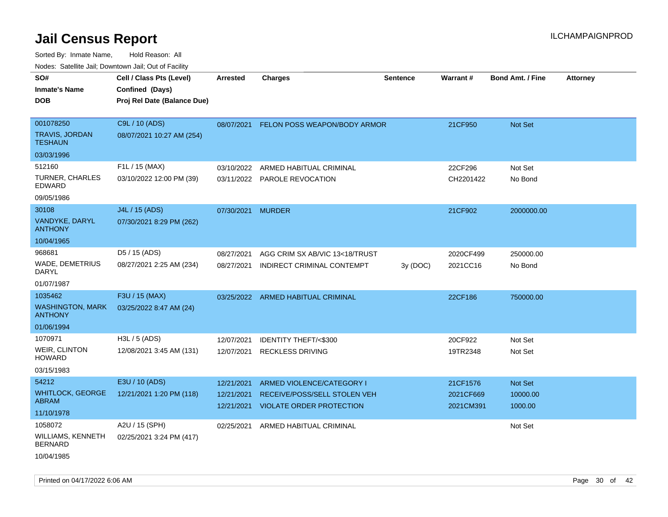| ivuutos. Saltiilit Jali, Duwilluwii Jali, Oul of Facility |                             |                 |                                    |          |           |                         |                 |
|-----------------------------------------------------------|-----------------------------|-----------------|------------------------------------|----------|-----------|-------------------------|-----------------|
| SO#                                                       | Cell / Class Pts (Level)    | <b>Arrested</b> | <b>Charges</b>                     | Sentence | Warrant#  | <b>Bond Amt. / Fine</b> | <b>Attorney</b> |
| <b>Inmate's Name</b>                                      | Confined (Days)             |                 |                                    |          |           |                         |                 |
| <b>DOB</b>                                                | Proj Rel Date (Balance Due) |                 |                                    |          |           |                         |                 |
|                                                           |                             |                 |                                    |          |           |                         |                 |
| 001078250                                                 | C9L / 10 (ADS)              | 08/07/2021      | FELON POSS WEAPON/BODY ARMOR       |          | 21CF950   | <b>Not Set</b>          |                 |
| <b>TRAVIS, JORDAN</b><br><b>TESHAUN</b>                   | 08/07/2021 10:27 AM (254)   |                 |                                    |          |           |                         |                 |
| 03/03/1996                                                |                             |                 |                                    |          |           |                         |                 |
| 512160                                                    | F1L / 15 (MAX)              | 03/10/2022      | ARMED HABITUAL CRIMINAL            |          | 22CF296   | Not Set                 |                 |
| <b>TURNER, CHARLES</b><br><b>EDWARD</b>                   | 03/10/2022 12:00 PM (39)    |                 | 03/11/2022 PAROLE REVOCATION       |          | CH2201422 | No Bond                 |                 |
| 09/05/1986                                                |                             |                 |                                    |          |           |                         |                 |
| 30108                                                     | J4L / 15 (ADS)              | 07/30/2021      | <b>MURDER</b>                      |          | 21CF902   | 2000000.00              |                 |
| VANDYKE, DARYL<br><b>ANTHONY</b>                          | 07/30/2021 8:29 PM (262)    |                 |                                    |          |           |                         |                 |
| 10/04/1965                                                |                             |                 |                                    |          |           |                         |                 |
| 968681                                                    | D5 / 15 (ADS)               | 08/27/2021      | AGG CRIM SX AB/VIC 13<18/TRUST     |          | 2020CF499 | 250000.00               |                 |
| WADE, DEMETRIUS<br>DARYL                                  | 08/27/2021 2:25 AM (234)    | 08/27/2021      | INDIRECT CRIMINAL CONTEMPT         | 3y (DOC) | 2021CC16  | No Bond                 |                 |
| 01/07/1987                                                |                             |                 |                                    |          |           |                         |                 |
| 1035462                                                   | F3U / 15 (MAX)              |                 | 03/25/2022 ARMED HABITUAL CRIMINAL |          | 22CF186   | 750000.00               |                 |
| <b>WASHINGTON, MARK</b><br><b>ANTHONY</b>                 | 03/25/2022 8:47 AM (24)     |                 |                                    |          |           |                         |                 |
| 01/06/1994                                                |                             |                 |                                    |          |           |                         |                 |
| 1070971                                                   | H3L / 5 (ADS)               | 12/07/2021      | <b>IDENTITY THEFT/&lt;\$300</b>    |          | 20CF922   | Not Set                 |                 |
| WEIR, CLINTON<br><b>HOWARD</b>                            | 12/08/2021 3:45 AM (131)    | 12/07/2021      | <b>RECKLESS DRIVING</b>            |          | 19TR2348  | Not Set                 |                 |
| 03/15/1983                                                |                             |                 |                                    |          |           |                         |                 |
| 54212                                                     | E3U / 10 (ADS)              | 12/21/2021      | ARMED VIOLENCE/CATEGORY I          |          | 21CF1576  | Not Set                 |                 |
| <b>WHITLOCK, GEORGE</b>                                   | 12/21/2021 1:20 PM (118)    | 12/21/2021      | RECEIVE/POSS/SELL STOLEN VEH       |          | 2021CF669 | 10000.00                |                 |
| <b>ABRAM</b>                                              |                             | 12/21/2021      | <b>VIOLATE ORDER PROTECTION</b>    |          | 2021CM391 | 1000.00                 |                 |
| 11/10/1978                                                |                             |                 |                                    |          |           |                         |                 |
| 1058072                                                   | A2U / 15 (SPH)              | 02/25/2021      | ARMED HABITUAL CRIMINAL            |          |           | Not Set                 |                 |
| <b>WILLIAMS, KENNETH</b><br><b>BERNARD</b>                | 02/25/2021 3:24 PM (417)    |                 |                                    |          |           |                         |                 |
| 10/04/1985                                                |                             |                 |                                    |          |           |                         |                 |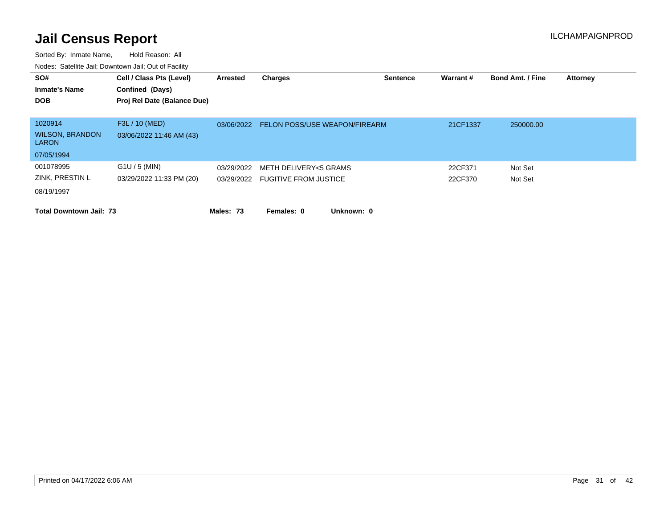| SO#<br><b>Inmate's Name</b><br><b>DOB</b>                       | Cell / Class Pts (Level)<br>Confined (Days)<br>Proj Rel Date (Balance Due) | Arrested   | <b>Charges</b>                                            | <b>Sentence</b> | Warrant#           | <b>Bond Amt. / Fine</b> | <b>Attorney</b> |
|-----------------------------------------------------------------|----------------------------------------------------------------------------|------------|-----------------------------------------------------------|-----------------|--------------------|-------------------------|-----------------|
| 1020914<br><b>WILSON, BRANDON</b><br><b>LARON</b><br>07/05/1994 | F3L / 10 (MED)<br>03/06/2022 11:46 AM (43)                                 | 03/06/2022 | <b>FELON POSS/USE WEAPON/FIREARM</b>                      |                 | 21CF1337           | 250000.00               |                 |
| 001078995<br>ZINK, PRESTIN L<br>08/19/1997                      | $G1U / 5$ (MIN)<br>03/29/2022 11:33 PM (20)                                | 03/29/2022 | METH DELIVERY<5 GRAMS<br>03/29/2022 FUGITIVE FROM JUSTICE |                 | 22CF371<br>22CF370 | Not Set<br>Not Set      |                 |
| <b>Total Downtown Jail: 73</b>                                  |                                                                            | Males: 73  | Females: 0<br>Unknown: 0                                  |                 |                    |                         |                 |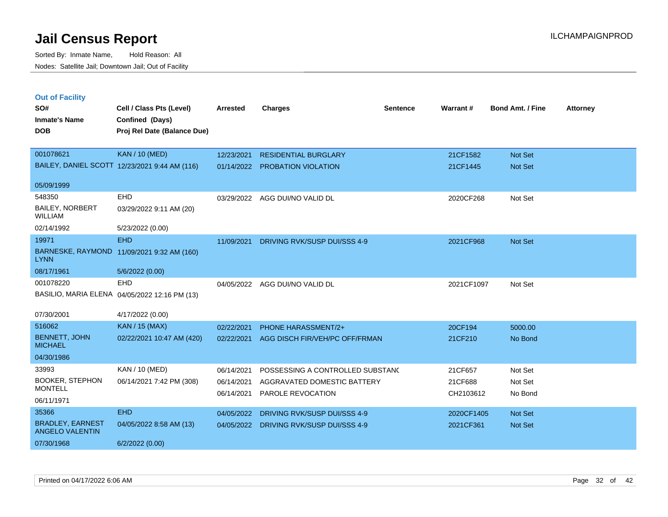|     | <b>Out of Facility</b> |   |
|-----|------------------------|---|
| SO# |                        | C |

| SO#                                               | Cell / Class Pts (Level)                      | <b>Arrested</b> | <b>Charges</b>                            | <b>Sentence</b> | Warrant#   | <b>Bond Amt. / Fine</b> | <b>Attorney</b> |
|---------------------------------------------------|-----------------------------------------------|-----------------|-------------------------------------------|-----------------|------------|-------------------------|-----------------|
| <b>Inmate's Name</b>                              | Confined (Days)                               |                 |                                           |                 |            |                         |                 |
| <b>DOB</b>                                        | Proj Rel Date (Balance Due)                   |                 |                                           |                 |            |                         |                 |
|                                                   |                                               |                 |                                           |                 |            |                         |                 |
| 001078621                                         | <b>KAN / 10 (MED)</b>                         | 12/23/2021      | <b>RESIDENTIAL BURGLARY</b>               |                 | 21CF1582   | Not Set                 |                 |
|                                                   | BAILEY, DANIEL SCOTT 12/23/2021 9:44 AM (116) |                 | 01/14/2022 PROBATION VIOLATION            |                 | 21CF1445   | Not Set                 |                 |
| 05/09/1999                                        |                                               |                 |                                           |                 |            |                         |                 |
| 548350                                            | EHD                                           |                 | 03/29/2022 AGG DUI/NO VALID DL            |                 | 2020CF268  | Not Set                 |                 |
| BAILEY, NORBERT<br><b>WILLIAM</b>                 | 03/29/2022 9:11 AM (20)                       |                 |                                           |                 |            |                         |                 |
| 02/14/1992                                        | 5/23/2022 (0.00)                              |                 |                                           |                 |            |                         |                 |
| 19971                                             | <b>EHD</b>                                    | 11/09/2021      | DRIVING RVK/SUSP DUI/SSS 4-9              |                 | 2021CF968  | Not Set                 |                 |
| <b>LYNN</b>                                       | BARNESKE, RAYMOND 11/09/2021 9:32 AM (160)    |                 |                                           |                 |            |                         |                 |
| 08/17/1961                                        | 5/6/2022 (0.00)                               |                 |                                           |                 |            |                         |                 |
| 001078220                                         | <b>EHD</b>                                    | 04/05/2022      | AGG DUI/NO VALID DL                       |                 | 2021CF1097 | Not Set                 |                 |
|                                                   | BASILIO, MARIA ELENA 04/05/2022 12:16 PM (13) |                 |                                           |                 |            |                         |                 |
| 07/30/2001                                        | 4/17/2022 (0.00)                              |                 |                                           |                 |            |                         |                 |
| 516062                                            | <b>KAN / 15 (MAX)</b>                         | 02/22/2021      | PHONE HARASSMENT/2+                       |                 | 20CF194    | 5000.00                 |                 |
| <b>BENNETT, JOHN</b><br><b>MICHAEL</b>            | 02/22/2021 10:47 AM (420)                     |                 | 02/22/2021 AGG DISCH FIR/VEH/PC OFF/FRMAN |                 | 21CF210    | No Bond                 |                 |
| 04/30/1986                                        |                                               |                 |                                           |                 |            |                         |                 |
| 33993                                             | KAN / 10 (MED)                                | 06/14/2021      | POSSESSING A CONTROLLED SUBSTANC          |                 | 21CF657    | Not Set                 |                 |
| <b>BOOKER, STEPHON</b><br><b>MONTELL</b>          | 06/14/2021 7:42 PM (308)                      | 06/14/2021      | AGGRAVATED DOMESTIC BATTERY               |                 | 21CF688    | Not Set                 |                 |
|                                                   |                                               | 06/14/2021      | PAROLE REVOCATION                         |                 | CH2103612  | No Bond                 |                 |
| 06/11/1971                                        |                                               |                 |                                           |                 |            |                         |                 |
| 35366                                             | <b>EHD</b>                                    | 04/05/2022      | DRIVING RVK/SUSP DUI/SSS 4-9              |                 | 2020CF1405 | Not Set                 |                 |
| <b>BRADLEY, EARNEST</b><br><b>ANGELO VALENTIN</b> | 04/05/2022 8:58 AM (13)                       | 04/05/2022      | <b>DRIVING RVK/SUSP DUI/SSS 4-9</b>       |                 | 2021CF361  | <b>Not Set</b>          |                 |
| 07/30/1968                                        | 6/2/2022 (0.00)                               |                 |                                           |                 |            |                         |                 |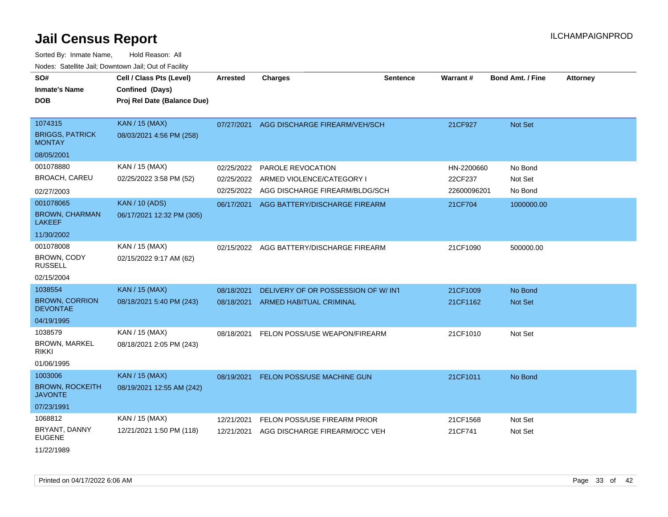| SO#<br><b>Inmate's Name</b><br><b>DOB</b> | Cell / Class Pts (Level)<br>Confined (Days)<br>Proj Rel Date (Balance Due) | Arrested   | <b>Charges</b>                           | <b>Sentence</b> | <b>Warrant#</b> | <b>Bond Amt. / Fine</b> | <b>Attorney</b> |
|-------------------------------------------|----------------------------------------------------------------------------|------------|------------------------------------------|-----------------|-----------------|-------------------------|-----------------|
| 1074315<br><b>BRIGGS, PATRICK</b>         | <b>KAN / 15 (MAX)</b><br>08/03/2021 4:56 PM (258)                          | 07/27/2021 | AGG DISCHARGE FIREARM/VEH/SCH            |                 | 21CF927         | Not Set                 |                 |
| <b>MONTAY</b>                             |                                                                            |            |                                          |                 |                 |                         |                 |
| 08/05/2001                                |                                                                            |            |                                          |                 |                 |                         |                 |
| 001078880                                 | KAN / 15 (MAX)                                                             | 02/25/2022 | PAROLE REVOCATION                        |                 | HN-2200660      | No Bond                 |                 |
| <b>BROACH, CAREU</b>                      | 02/25/2022 3:58 PM (52)                                                    | 02/25/2022 | ARMED VIOLENCE/CATEGORY I                |                 | 22CF237         | Not Set                 |                 |
| 02/27/2003                                |                                                                            | 02/25/2022 | AGG DISCHARGE FIREARM/BLDG/SCH           |                 | 22600096201     | No Bond                 |                 |
| 001078065                                 | <b>KAN / 10 (ADS)</b>                                                      |            | 06/17/2021 AGG BATTERY/DISCHARGE FIREARM |                 | 21CF704         | 1000000.00              |                 |
| <b>BROWN, CHARMAN</b><br><b>LAKEEF</b>    | 06/17/2021 12:32 PM (305)                                                  |            |                                          |                 |                 |                         |                 |
| 11/30/2002                                |                                                                            |            |                                          |                 |                 |                         |                 |
| 001078008                                 | KAN / 15 (MAX)                                                             | 02/15/2022 | AGG BATTERY/DISCHARGE FIREARM            |                 | 21CF1090        | 500000.00               |                 |
| BROWN, CODY<br><b>RUSSELL</b>             | 02/15/2022 9:17 AM (62)                                                    |            |                                          |                 |                 |                         |                 |
| 02/15/2004                                |                                                                            |            |                                          |                 |                 |                         |                 |
| 1038554                                   | <b>KAN / 15 (MAX)</b>                                                      | 08/18/2021 | DELIVERY OF OR POSSESSION OF W/INT       |                 | 21CF1009        | No Bond                 |                 |
| <b>BROWN, CORRION</b><br><b>DEVONTAE</b>  | 08/18/2021 5:40 PM (243)                                                   | 08/18/2021 | ARMED HABITUAL CRIMINAL                  |                 | 21CF1162        | Not Set                 |                 |
| 04/19/1995                                |                                                                            |            |                                          |                 |                 |                         |                 |
| 1038579                                   | KAN / 15 (MAX)                                                             | 08/18/2021 | FELON POSS/USE WEAPON/FIREARM            |                 | 21CF1010        | Not Set                 |                 |
| <b>BROWN, MARKEL</b><br><b>RIKKI</b>      | 08/18/2021 2:05 PM (243)                                                   |            |                                          |                 |                 |                         |                 |
| 01/06/1995                                |                                                                            |            |                                          |                 |                 |                         |                 |
| 1003006                                   | <b>KAN / 15 (MAX)</b>                                                      |            | 08/19/2021 FELON POSS/USE MACHINE GUN    |                 | 21CF1011        | No Bond                 |                 |
| <b>BROWN, ROCKEITH</b><br><b>JAVONTE</b>  | 08/19/2021 12:55 AM (242)                                                  |            |                                          |                 |                 |                         |                 |
| 07/23/1991                                |                                                                            |            |                                          |                 |                 |                         |                 |
| 1068812                                   | KAN / 15 (MAX)                                                             | 12/21/2021 | FELON POSS/USE FIREARM PRIOR             |                 | 21CF1568        | Not Set                 |                 |
| BRYANT, DANNY<br><b>EUGENE</b>            | 12/21/2021 1:50 PM (118)                                                   | 12/21/2021 | AGG DISCHARGE FIREARM/OCC VEH            |                 | 21CF741         | Not Set                 |                 |
| 11/22/1989                                |                                                                            |            |                                          |                 |                 |                         |                 |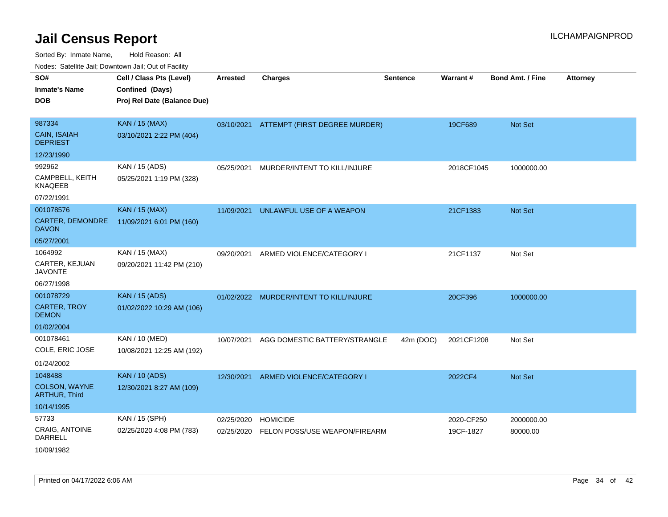Sorted By: Inmate Name, Hold Reason: All Nodes: Satellite Jail; Downtown Jail; Out of Facility

| Noucs. Calcillic Jail, Downtown Jail, Out of Facility |                                             |                 |                               |                 |            |                         |                 |
|-------------------------------------------------------|---------------------------------------------|-----------------|-------------------------------|-----------------|------------|-------------------------|-----------------|
| SO#<br><b>Inmate's Name</b>                           | Cell / Class Pts (Level)<br>Confined (Days) | <b>Arrested</b> | <b>Charges</b>                | <b>Sentence</b> | Warrant#   | <b>Bond Amt. / Fine</b> | <b>Attorney</b> |
| <b>DOB</b>                                            | Proj Rel Date (Balance Due)                 |                 |                               |                 |            |                         |                 |
| 987334                                                | <b>KAN / 15 (MAX)</b>                       | 03/10/2021      | ATTEMPT (FIRST DEGREE MURDER) |                 | 19CF689    | Not Set                 |                 |
| CAIN, ISAIAH<br><b>DEPRIEST</b>                       | 03/10/2021 2:22 PM (404)                    |                 |                               |                 |            |                         |                 |
| 12/23/1990                                            |                                             |                 |                               |                 |            |                         |                 |
| 992962                                                | KAN / 15 (ADS)                              | 05/25/2021      | MURDER/INTENT TO KILL/INJURE  |                 | 2018CF1045 | 1000000.00              |                 |
| CAMPBELL, KEITH<br><b>KNAQEEB</b>                     | 05/25/2021 1:19 PM (328)                    |                 |                               |                 |            |                         |                 |
| 07/22/1991                                            |                                             |                 |                               |                 |            |                         |                 |
| 001078576                                             | <b>KAN / 15 (MAX)</b>                       | 11/09/2021      | UNLAWFUL USE OF A WEAPON      |                 | 21CF1383   | <b>Not Set</b>          |                 |
| CARTER, DEMONDRE<br><b>DAVON</b>                      | 11/09/2021 6:01 PM (160)                    |                 |                               |                 |            |                         |                 |
| 05/27/2001                                            |                                             |                 |                               |                 |            |                         |                 |
| 1064992                                               | KAN / 15 (MAX)                              | 09/20/2021      | ARMED VIOLENCE/CATEGORY I     |                 | 21CF1137   | Not Set                 |                 |
| CARTER, KEJUAN<br><b>JAVONTE</b>                      | 09/20/2021 11:42 PM (210)                   |                 |                               |                 |            |                         |                 |
| 06/27/1998                                            |                                             |                 |                               |                 |            |                         |                 |
| 001078729                                             | <b>KAN / 15 (ADS)</b>                       | 01/02/2022      | MURDER/INTENT TO KILL/INJURE  |                 | 20CF396    | 1000000.00              |                 |
| <b>CARTER, TROY</b><br><b>DEMON</b>                   | 01/02/2022 10:29 AM (106)                   |                 |                               |                 |            |                         |                 |
| 01/02/2004                                            |                                             |                 |                               |                 |            |                         |                 |
| 001078461                                             | KAN / 10 (MED)                              | 10/07/2021      | AGG DOMESTIC BATTERY/STRANGLE | 42m (DOC)       | 2021CF1208 | Not Set                 |                 |
| COLE, ERIC JOSE                                       | 10/08/2021 12:25 AM (192)                   |                 |                               |                 |            |                         |                 |
| 01/24/2002                                            |                                             |                 |                               |                 |            |                         |                 |
| 1048488                                               | <b>KAN / 10 (ADS)</b>                       | 12/30/2021      | ARMED VIOLENCE/CATEGORY I     |                 | 2022CF4    | Not Set                 |                 |
| COLSON, WAYNE<br><b>ARTHUR, Third</b>                 | 12/30/2021 8:27 AM (109)                    |                 |                               |                 |            |                         |                 |
| 10/14/1995                                            |                                             |                 |                               |                 |            |                         |                 |
| 57733                                                 | KAN / 15 (SPH)                              | 02/25/2020      | <b>HOMICIDE</b>               |                 | 2020-CF250 | 2000000.00              |                 |
| CRAIG, ANTOINE<br><b>DARRELL</b>                      | 02/25/2020 4:08 PM (783)                    | 02/25/2020      | FELON POSS/USE WEAPON/FIREARM |                 | 19CF-1827  | 80000.00                |                 |
| 10/09/1982                                            |                                             |                 |                               |                 |            |                         |                 |

Printed on 04/17/2022 6:06 AM Page 34 of 42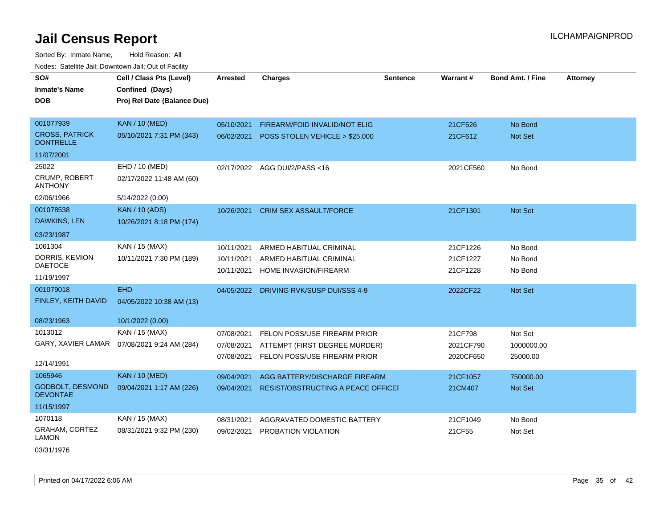Sorted By: Inmate Name, Hold Reason: All Nodes: Satellite Jail; Downtown Jail; Out of Facility

| SO#<br><b>Inmate's Name</b><br><b>DOB</b>                 | Cell / Class Pts (Level)<br>Confined (Days)<br>Proj Rel Date (Balance Due) | <b>Arrested</b>                        | <b>Charges</b>                                                                                | <b>Sentence</b> | Warrant#                          | <b>Bond Amt. / Fine</b>           | <b>Attorney</b> |
|-----------------------------------------------------------|----------------------------------------------------------------------------|----------------------------------------|-----------------------------------------------------------------------------------------------|-----------------|-----------------------------------|-----------------------------------|-----------------|
| 001077939<br><b>CROSS, PATRICK</b><br><b>DONTRELLE</b>    | <b>KAN / 10 (MED)</b><br>05/10/2021 7:31 PM (343)                          | 05/10/2021<br>06/02/2021               | FIREARM/FOID INVALID/NOT ELIG<br>POSS STOLEN VEHICLE > \$25,000                               |                 | 21CF526<br>21CF612                | No Bond<br><b>Not Set</b>         |                 |
| 11/07/2001                                                |                                                                            |                                        |                                                                                               |                 |                                   |                                   |                 |
| 25022<br><b>CRUMP, ROBERT</b><br><b>ANTHONY</b>           | EHD / 10 (MED)<br>02/17/2022 11:48 AM (60)                                 |                                        | 02/17/2022 AGG DUI/2/PASS<16                                                                  |                 | 2021CF560                         | No Bond                           |                 |
| 02/06/1966                                                | 5/14/2022 (0.00)                                                           |                                        |                                                                                               |                 |                                   |                                   |                 |
| 001078538<br>DAWKINS, LEN                                 | <b>KAN / 10 (ADS)</b><br>10/26/2021 8:18 PM (174)                          | 10/26/2021                             | <b>CRIM SEX ASSAULT/FORCE</b>                                                                 |                 | 21CF1301                          | Not Set                           |                 |
| 03/23/1987                                                |                                                                            |                                        |                                                                                               |                 |                                   |                                   |                 |
| 1061304<br>DORRIS, KEMION<br><b>DAETOCE</b><br>11/19/1997 | KAN / 15 (MAX)<br>10/11/2021 7:30 PM (189)                                 | 10/11/2021<br>10/11/2021<br>10/11/2021 | ARMED HABITUAL CRIMINAL<br>ARMED HABITUAL CRIMINAL<br>HOME INVASION/FIREARM                   |                 | 21CF1226<br>21CF1227<br>21CF1228  | No Bond<br>No Bond<br>No Bond     |                 |
| 001079018<br>FINLEY, KEITH DAVID                          | <b>EHD</b><br>04/05/2022 10:38 AM (13)                                     | 04/05/2022                             | DRIVING RVK/SUSP DUI/SSS 4-9                                                                  |                 | 2022CF22                          | Not Set                           |                 |
| 08/23/1963                                                | 10/1/2022 (0.00)                                                           |                                        |                                                                                               |                 |                                   |                                   |                 |
| 1013012<br>12/14/1991                                     | KAN / 15 (MAX)<br>GARY, XAVIER LAMAR  07/08/2021 9:24 AM (284)             | 07/08/2021<br>07/08/2021<br>07/08/2021 | FELON POSS/USE FIREARM PRIOR<br>ATTEMPT (FIRST DEGREE MURDER)<br>FELON POSS/USE FIREARM PRIOR |                 | 21CF798<br>2021CF790<br>2020CF650 | Not Set<br>1000000.00<br>25000.00 |                 |
| 1065946                                                   | <b>KAN / 10 (MED)</b>                                                      | 09/04/2021                             | AGG BATTERY/DISCHARGE FIREARM                                                                 |                 | 21CF1057                          | 750000.00                         |                 |
| GODBOLT, DESMOND<br><b>DEVONTAE</b>                       | 09/04/2021 1:17 AM (226)                                                   | 09/04/2021                             | <b>RESIST/OBSTRUCTING A PEACE OFFICEF</b>                                                     |                 | 21CM407                           | <b>Not Set</b>                    |                 |
| 11/15/1997                                                |                                                                            |                                        |                                                                                               |                 |                                   |                                   |                 |
| 1070118<br>GRAHAM, CORTEZ<br><b>LAMON</b>                 | KAN / 15 (MAX)<br>08/31/2021 9:32 PM (230)                                 | 08/31/2021<br>09/02/2021               | AGGRAVATED DOMESTIC BATTERY<br>PROBATION VIOLATION                                            |                 | 21CF1049<br>21CF55                | No Bond<br>Not Set                |                 |

03/31/1976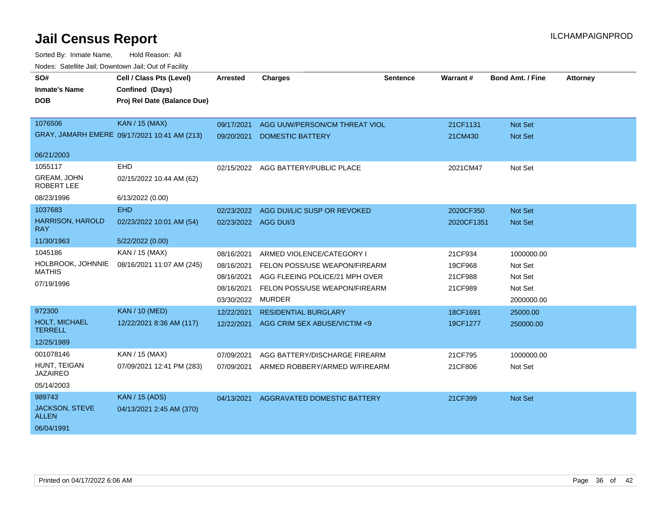| SO#<br><b>Inmate's Name</b>             | Cell / Class Pts (Level)<br>Confined (Days)  | <b>Arrested</b>      | <b>Charges</b>                 | <b>Sentence</b> | Warrant#   | <b>Bond Amt. / Fine</b> | <b>Attorney</b> |
|-----------------------------------------|----------------------------------------------|----------------------|--------------------------------|-----------------|------------|-------------------------|-----------------|
| <b>DOB</b>                              | Proj Rel Date (Balance Due)                  |                      |                                |                 |            |                         |                 |
| 1076506                                 | KAN / 15 (MAX)                               | 09/17/2021           | AGG UUW/PERSON/CM THREAT VIOL  |                 | 21CF1131   | <b>Not Set</b>          |                 |
|                                         | GRAY, JAMARH EMERE 09/17/2021 10:41 AM (213) | 09/20/2021           | <b>DOMESTIC BATTERY</b>        |                 | 21CM430    | Not Set                 |                 |
| 06/21/2003                              |                                              |                      |                                |                 |            |                         |                 |
| 1055117                                 | <b>EHD</b>                                   | 02/15/2022           | AGG BATTERY/PUBLIC PLACE       |                 | 2021CM47   | Not Set                 |                 |
| <b>GREAM, JOHN</b><br><b>ROBERT LEE</b> | 02/15/2022 10:44 AM (62)                     |                      |                                |                 |            |                         |                 |
| 08/23/1996                              | 6/13/2022 (0.00)                             |                      |                                |                 |            |                         |                 |
| 1037683                                 | EHD                                          | 02/23/2022           | AGG DUI/LIC SUSP OR REVOKED    |                 | 2020CF350  | <b>Not Set</b>          |                 |
| <b>HARRISON, HAROLD</b><br>RAY          | 02/23/2022 10:01 AM (54)                     | 02/23/2022 AGG DUI/3 |                                |                 | 2020CF1351 | <b>Not Set</b>          |                 |
| 11/30/1963                              | 5/22/2022 (0.00)                             |                      |                                |                 |            |                         |                 |
| 1045186                                 | KAN / 15 (MAX)                               | 08/16/2021           | ARMED VIOLENCE/CATEGORY I      |                 | 21CF934    | 1000000.00              |                 |
| HOLBROOK, JOHNNIE<br><b>MATHIS</b>      | 08/16/2021 11:07 AM (245)                    | 08/16/2021           | FELON POSS/USE WEAPON/FIREARM  |                 | 19CF968    | Not Set                 |                 |
|                                         |                                              | 08/16/2021           | AGG FLEEING POLICE/21 MPH OVER |                 | 21CF988    | Not Set                 |                 |
| 07/19/1996                              |                                              | 08/16/2021           | FELON POSS/USE WEAPON/FIREARM  |                 | 21CF989    | Not Set                 |                 |
|                                         |                                              | 03/30/2022           | <b>MURDER</b>                  |                 |            | 2000000.00              |                 |
| 972300                                  | <b>KAN / 10 (MED)</b>                        | 12/22/2021           | <b>RESIDENTIAL BURGLARY</b>    |                 | 18CF1691   | 25000.00                |                 |
| HOLT, MICHAEL<br><b>TERRELL</b>         | 12/22/2021 8:36 AM (117)                     | 12/22/2021           | AGG CRIM SEX ABUSE/VICTIM <9   |                 | 19CF1277   | 250000.00               |                 |
| 12/25/1989                              |                                              |                      |                                |                 |            |                         |                 |
| 001078146                               | KAN / 15 (MAX)                               | 07/09/2021           | AGG BATTERY/DISCHARGE FIREARM  |                 | 21CF795    | 1000000.00              |                 |
| HUNT, TEIGAN<br><b>JAZAIREO</b>         | 07/09/2021 12:41 PM (283)                    | 07/09/2021           | ARMED ROBBERY/ARMED W/FIREARM  |                 | 21CF806    | Not Set                 |                 |
| 05/14/2003                              |                                              |                      |                                |                 |            |                         |                 |
| 989743                                  | <b>KAN / 15 (ADS)</b>                        | 04/13/2021           | AGGRAVATED DOMESTIC BATTERY    |                 | 21CF399    | <b>Not Set</b>          |                 |
| <b>JACKSON, STEVE</b><br><b>ALLEN</b>   | 04/13/2021 2:45 AM (370)                     |                      |                                |                 |            |                         |                 |
| 06/04/1991                              |                                              |                      |                                |                 |            |                         |                 |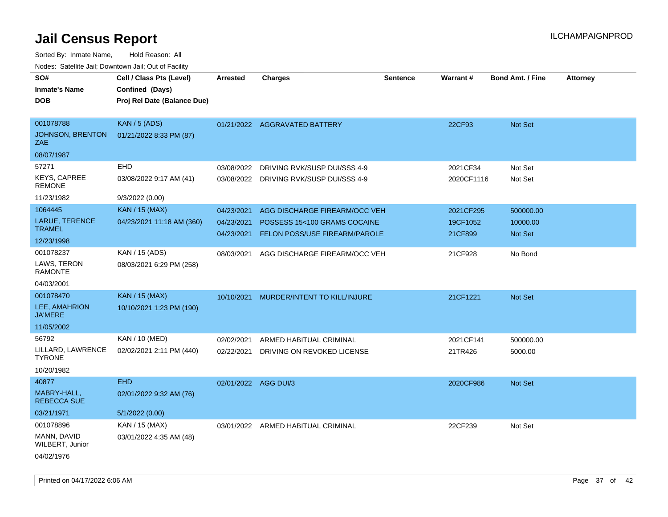| SO#                                  | Cell / Class Pts (Level)    | <b>Arrested</b>      | <b>Charges</b>                          | <b>Sentence</b> | Warrant#   | <b>Bond Amt. / Fine</b> | <b>Attorney</b> |
|--------------------------------------|-----------------------------|----------------------|-----------------------------------------|-----------------|------------|-------------------------|-----------------|
| <b>Inmate's Name</b>                 | Confined (Days)             |                      |                                         |                 |            |                         |                 |
| <b>DOB</b>                           | Proj Rel Date (Balance Due) |                      |                                         |                 |            |                         |                 |
| 001078788                            | KAN / 5 (ADS)               |                      |                                         |                 |            |                         |                 |
| JOHNSON, BRENTON                     |                             |                      | 01/21/2022 AGGRAVATED BATTERY           |                 | 22CF93     | Not Set                 |                 |
| ZAE                                  | 01/21/2022 8:33 PM (87)     |                      |                                         |                 |            |                         |                 |
| 08/07/1987                           |                             |                      |                                         |                 |            |                         |                 |
| 57271                                | EHD                         | 03/08/2022           | DRIVING RVK/SUSP DUI/SSS 4-9            |                 | 2021CF34   | Not Set                 |                 |
| <b>KEYS, CAPREE</b><br><b>REMONE</b> | 03/08/2022 9:17 AM (41)     |                      | 03/08/2022 DRIVING RVK/SUSP DUI/SSS 4-9 |                 | 2020CF1116 | Not Set                 |                 |
| 11/23/1982                           | 9/3/2022 (0.00)             |                      |                                         |                 |            |                         |                 |
| 1064445                              | <b>KAN / 15 (MAX)</b>       | 04/23/2021           | AGG DISCHARGE FIREARM/OCC VEH           |                 | 2021CF295  | 500000.00               |                 |
| <b>LARUE, TERENCE</b>                | 04/23/2021 11:18 AM (360)   | 04/23/2021           | POSSESS 15<100 GRAMS COCAINE            |                 | 19CF1052   | 10000.00                |                 |
| <b>TRAMEL</b>                        |                             | 04/23/2021           | <b>FELON POSS/USE FIREARM/PAROLE</b>    |                 | 21CF899    | <b>Not Set</b>          |                 |
| 12/23/1998                           |                             |                      |                                         |                 |            |                         |                 |
| 001078237                            | KAN / 15 (ADS)              | 08/03/2021           | AGG DISCHARGE FIREARM/OCC VEH           |                 | 21CF928    | No Bond                 |                 |
| LAWS, TERON<br><b>RAMONTE</b>        | 08/03/2021 6:29 PM (258)    |                      |                                         |                 |            |                         |                 |
| 04/03/2001                           |                             |                      |                                         |                 |            |                         |                 |
| 001078470                            | <b>KAN / 15 (MAX)</b>       | 10/10/2021           | MURDER/INTENT TO KILL/INJURE            |                 | 21CF1221   | Not Set                 |                 |
| LEE, AMAHRION<br><b>JA'MERE</b>      | 10/10/2021 1:23 PM (190)    |                      |                                         |                 |            |                         |                 |
| 11/05/2002                           |                             |                      |                                         |                 |            |                         |                 |
| 56792                                | KAN / 10 (MED)              | 02/02/2021           | ARMED HABITUAL CRIMINAL                 |                 | 2021CF141  | 500000.00               |                 |
| LILLARD, LAWRENCE<br><b>TYRONE</b>   | 02/02/2021 2:11 PM (440)    | 02/22/2021           | DRIVING ON REVOKED LICENSE              |                 | 21TR426    | 5000.00                 |                 |
| 10/20/1982                           |                             |                      |                                         |                 |            |                         |                 |
| 40877                                | <b>EHD</b>                  | 02/01/2022 AGG DUI/3 |                                         |                 | 2020CF986  | Not Set                 |                 |
| MABRY-HALL,<br><b>REBECCA SUE</b>    | 02/01/2022 9:32 AM (76)     |                      |                                         |                 |            |                         |                 |
| 03/21/1971                           | 5/1/2022(0.00)              |                      |                                         |                 |            |                         |                 |
| 001078896                            | KAN / 15 (MAX)              |                      | 03/01/2022 ARMED HABITUAL CRIMINAL      |                 | 22CF239    | Not Set                 |                 |
| MANN, DAVID<br>WILBERT, Junior       | 03/01/2022 4:35 AM (48)     |                      |                                         |                 |            |                         |                 |
| 04/02/1976                           |                             |                      |                                         |                 |            |                         |                 |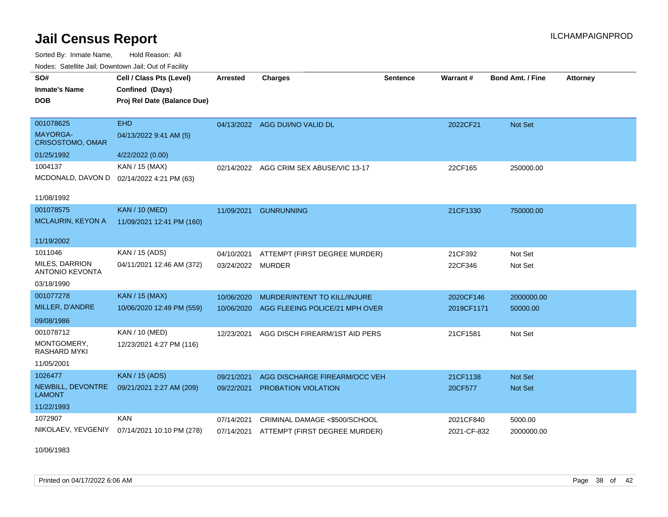Sorted By: Inmate Name, Hold Reason: All Nodes: Satellite Jail; Downtown Jail; Out of Facility

| Todos. Catolino can, Downtown can, Out of Fability<br>SO# | Cell / Class Pts (Level)                     | <b>Arrested</b>   | <b>Charges</b>                           | <b>Sentence</b> | Warrant#    | <b>Bond Amt. / Fine</b> | <b>Attorney</b> |
|-----------------------------------------------------------|----------------------------------------------|-------------------|------------------------------------------|-----------------|-------------|-------------------------|-----------------|
| <b>Inmate's Name</b>                                      | Confined (Days)                              |                   |                                          |                 |             |                         |                 |
| <b>DOB</b>                                                | Proj Rel Date (Balance Due)                  |                   |                                          |                 |             |                         |                 |
|                                                           |                                              |                   |                                          |                 |             |                         |                 |
| 001078625                                                 | <b>EHD</b>                                   |                   | 04/13/2022 AGG DUI/NO VALID DL           |                 | 2022CF21    | Not Set                 |                 |
| <b>MAYORGA-</b><br><b>CRISOSTOMO, OMAR</b>                | 04/13/2022 9:41 AM (5)                       |                   |                                          |                 |             |                         |                 |
| 01/25/1992                                                | 4/22/2022 (0.00)                             |                   |                                          |                 |             |                         |                 |
| 1004137                                                   | KAN / 15 (MAX)                               |                   | 02/14/2022 AGG CRIM SEX ABUSE/VIC 13-17  |                 | 22CF165     | 250000.00               |                 |
| MCDONALD, DAVON D                                         | 02/14/2022 4:21 PM (63)                      |                   |                                          |                 |             |                         |                 |
| 11/08/1992                                                |                                              |                   |                                          |                 |             |                         |                 |
| 001078575                                                 | <b>KAN / 10 (MED)</b>                        | 11/09/2021        | <b>GUNRUNNING</b>                        |                 | 21CF1330    | 750000.00               |                 |
| MCLAURIN, KEYON A                                         | 11/09/2021 12:41 PM (160)                    |                   |                                          |                 |             |                         |                 |
|                                                           |                                              |                   |                                          |                 |             |                         |                 |
| 11/19/2002                                                |                                              |                   |                                          |                 |             |                         |                 |
| 1011046                                                   | KAN / 15 (ADS)                               | 04/10/2021        | ATTEMPT (FIRST DEGREE MURDER)            |                 | 21CF392     | Not Set                 |                 |
| MILES, DARRION<br><b>ANTONIO KEVONTA</b>                  | 04/11/2021 12:46 AM (372)                    | 03/24/2022 MURDER |                                          |                 | 22CF346     | Not Set                 |                 |
| 03/18/1990                                                |                                              |                   |                                          |                 |             |                         |                 |
| 001077278                                                 | <b>KAN / 15 (MAX)</b>                        | 10/06/2020        | MURDER/INTENT TO KILL/INJURE             |                 | 2020CF146   | 2000000.00              |                 |
| MILLER, D'ANDRE                                           | 10/06/2020 12:49 PM (559)                    | 10/06/2020        | AGG FLEEING POLICE/21 MPH OVER           |                 | 2019CF1171  | 50000.00                |                 |
| 09/08/1986                                                |                                              |                   |                                          |                 |             |                         |                 |
| 001078712                                                 | KAN / 10 (MED)                               | 12/23/2021        | AGG DISCH FIREARM/1ST AID PERS           |                 | 21CF1581    | Not Set                 |                 |
| MONTGOMERY,<br><b>RASHARD MYKI</b>                        | 12/23/2021 4:27 PM (116)                     |                   |                                          |                 |             |                         |                 |
| 11/05/2001                                                |                                              |                   |                                          |                 |             |                         |                 |
| 1026477                                                   | <b>KAN / 15 (ADS)</b>                        | 09/21/2021        | AGG DISCHARGE FIREARM/OCC VEH            |                 | 21CF1138    | <b>Not Set</b>          |                 |
| NEWBILL, DEVONTRE<br><b>LAMONT</b>                        | 09/21/2021 2:27 AM (209)                     | 09/22/2021        | <b>PROBATION VIOLATION</b>               |                 | 20CF577     | <b>Not Set</b>          |                 |
| 11/22/1993                                                |                                              |                   |                                          |                 |             |                         |                 |
| 1072907                                                   | <b>KAN</b>                                   | 07/14/2021        | CRIMINAL DAMAGE <\$500/SCHOOL            |                 | 2021CF840   | 5000.00                 |                 |
|                                                           | NIKOLAEV, YEVGENIY 07/14/2021 10:10 PM (278) |                   | 07/14/2021 ATTEMPT (FIRST DEGREE MURDER) |                 | 2021-CF-832 | 2000000.00              |                 |

10/06/1983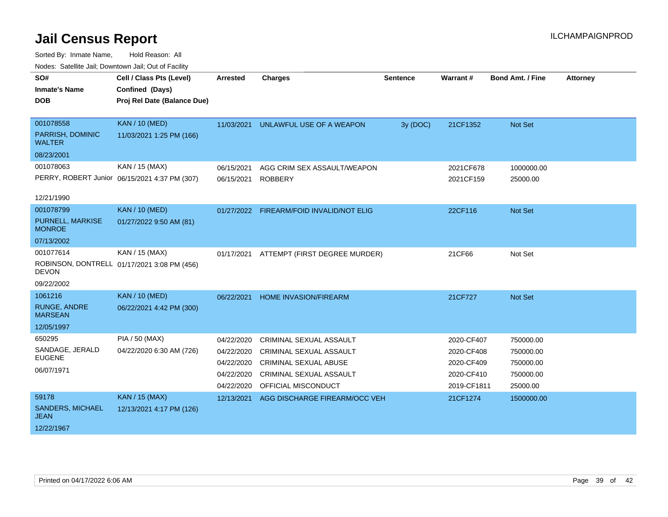| roaco. Calcinio can, Downlown can, Out of Fabilit |                                               |                 |                                          |                 |             |                         |                 |
|---------------------------------------------------|-----------------------------------------------|-----------------|------------------------------------------|-----------------|-------------|-------------------------|-----------------|
| SO#                                               | Cell / Class Pts (Level)                      | <b>Arrested</b> | <b>Charges</b>                           | <b>Sentence</b> | Warrant#    | <b>Bond Amt. / Fine</b> | <b>Attorney</b> |
| <b>Inmate's Name</b>                              | Confined (Days)                               |                 |                                          |                 |             |                         |                 |
| <b>DOB</b>                                        | Proj Rel Date (Balance Due)                   |                 |                                          |                 |             |                         |                 |
|                                                   |                                               |                 |                                          |                 |             |                         |                 |
| 001078558                                         | <b>KAN / 10 (MED)</b>                         | 11/03/2021      | UNLAWFUL USE OF A WEAPON                 | 3y (DOC)        | 21CF1352    | Not Set                 |                 |
| PARRISH, DOMINIC<br><b>WALTER</b>                 | 11/03/2021 1:25 PM (166)                      |                 |                                          |                 |             |                         |                 |
| 08/23/2001                                        |                                               |                 |                                          |                 |             |                         |                 |
| 001078063                                         | KAN / 15 (MAX)                                | 06/15/2021      | AGG CRIM SEX ASSAULT/WEAPON              |                 | 2021CF678   | 1000000.00              |                 |
|                                                   | PERRY, ROBERT Junior 06/15/2021 4:37 PM (307) | 06/15/2021      | <b>ROBBERY</b>                           |                 | 2021CF159   | 25000.00                |                 |
|                                                   |                                               |                 |                                          |                 |             |                         |                 |
| 12/21/1990                                        |                                               |                 |                                          |                 |             |                         |                 |
| 001078799                                         | <b>KAN / 10 (MED)</b>                         |                 | 01/27/2022 FIREARM/FOID INVALID/NOT ELIG |                 | 22CF116     | Not Set                 |                 |
| PURNELL, MARKISE<br><b>MONROE</b>                 | 01/27/2022 9:50 AM (81)                       |                 |                                          |                 |             |                         |                 |
| 07/13/2002                                        |                                               |                 |                                          |                 |             |                         |                 |
| 001077614                                         | KAN / 15 (MAX)                                | 01/17/2021      | ATTEMPT (FIRST DEGREE MURDER)            |                 | 21CF66      | Not Set                 |                 |
| <b>DEVON</b>                                      | ROBINSON, DONTRELL 01/17/2021 3:08 PM (456)   |                 |                                          |                 |             |                         |                 |
| 09/22/2002                                        |                                               |                 |                                          |                 |             |                         |                 |
| 1061216                                           | <b>KAN / 10 (MED)</b>                         | 06/22/2021      | HOME INVASION/FIREARM                    |                 | 21CF727     | Not Set                 |                 |
| <b>RUNGE, ANDRE</b><br><b>MARSEAN</b>             | 06/22/2021 4:42 PM (300)                      |                 |                                          |                 |             |                         |                 |
| 12/05/1997                                        |                                               |                 |                                          |                 |             |                         |                 |
| 650295                                            | PIA / 50 (MAX)                                | 04/22/2020      | <b>CRIMINAL SEXUAL ASSAULT</b>           |                 | 2020-CF407  | 750000.00               |                 |
| SANDAGE, JERALD                                   | 04/22/2020 6:30 AM (726)                      | 04/22/2020      | <b>CRIMINAL SEXUAL ASSAULT</b>           |                 | 2020-CF408  | 750000.00               |                 |
| <b>EUGENE</b>                                     |                                               | 04/22/2020      | <b>CRIMINAL SEXUAL ABUSE</b>             |                 | 2020-CF409  | 750000.00               |                 |
| 06/07/1971                                        |                                               | 04/22/2020      | CRIMINAL SEXUAL ASSAULT                  |                 | 2020-CF410  | 750000.00               |                 |
|                                                   |                                               | 04/22/2020      | OFFICIAL MISCONDUCT                      |                 | 2019-CF1811 | 25000.00                |                 |
| 59178                                             | <b>KAN / 15 (MAX)</b>                         | 12/13/2021      | AGG DISCHARGE FIREARM/OCC VEH            |                 | 21CF1274    | 1500000.00              |                 |
| <b>SANDERS, MICHAEL</b><br><b>JEAN</b>            | 12/13/2021 4:17 PM (126)                      |                 |                                          |                 |             |                         |                 |
| 12/22/1967                                        |                                               |                 |                                          |                 |             |                         |                 |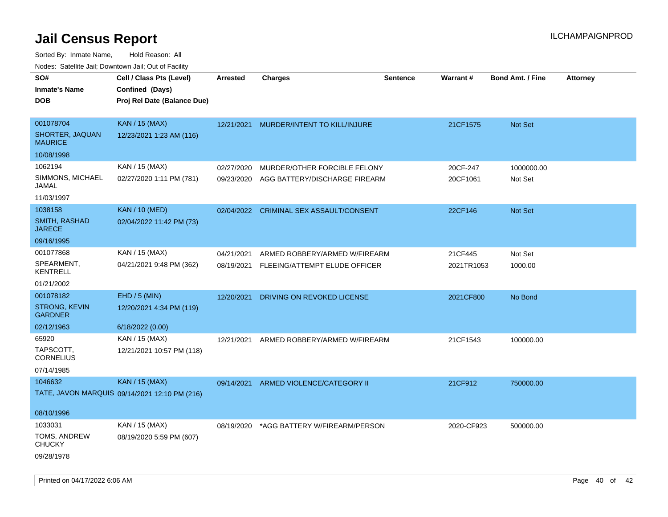| rougs. Calcing Jan, Downtown Jan, Out of Facility |                                               |                 |                                         |                 |            |                         |                 |
|---------------------------------------------------|-----------------------------------------------|-----------------|-----------------------------------------|-----------------|------------|-------------------------|-----------------|
| SO#                                               | Cell / Class Pts (Level)                      | <b>Arrested</b> | <b>Charges</b>                          | <b>Sentence</b> | Warrant#   | <b>Bond Amt. / Fine</b> | <b>Attorney</b> |
| <b>Inmate's Name</b>                              | Confined (Days)                               |                 |                                         |                 |            |                         |                 |
| <b>DOB</b>                                        | Proj Rel Date (Balance Due)                   |                 |                                         |                 |            |                         |                 |
|                                                   |                                               |                 |                                         |                 |            |                         |                 |
| 001078704                                         | <b>KAN / 15 (MAX)</b>                         |                 | 12/21/2021 MURDER/INTENT TO KILL/INJURE |                 | 21CF1575   | <b>Not Set</b>          |                 |
| SHORTER, JAQUAN<br><b>MAURICE</b>                 | 12/23/2021 1:23 AM (116)                      |                 |                                         |                 |            |                         |                 |
| 10/08/1998                                        |                                               |                 |                                         |                 |            |                         |                 |
| 1062194                                           | KAN / 15 (MAX)                                | 02/27/2020      | MURDER/OTHER FORCIBLE FELONY            |                 | 20CF-247   | 1000000.00              |                 |
| SIMMONS, MICHAEL<br>JAMAL                         | 02/27/2020 1:11 PM (781)                      | 09/23/2020      | AGG BATTERY/DISCHARGE FIREARM           |                 | 20CF1061   | Not Set                 |                 |
| 11/03/1997                                        |                                               |                 |                                         |                 |            |                         |                 |
| 1038158                                           | <b>KAN / 10 (MED)</b>                         |                 | 02/04/2022 CRIMINAL SEX ASSAULT/CONSENT |                 | 22CF146    | Not Set                 |                 |
| SMITH, RASHAD<br><b>JARECE</b>                    | 02/04/2022 11:42 PM (73)                      |                 |                                         |                 |            |                         |                 |
| 09/16/1995                                        |                                               |                 |                                         |                 |            |                         |                 |
| 001077868                                         | KAN / 15 (MAX)                                | 04/21/2021      | ARMED ROBBERY/ARMED W/FIREARM           |                 | 21CF445    | Not Set                 |                 |
| SPEARMENT,<br><b>KENTRELL</b>                     | 04/21/2021 9:48 PM (362)                      | 08/19/2021      | FLEEING/ATTEMPT ELUDE OFFICER           |                 | 2021TR1053 | 1000.00                 |                 |
| 01/21/2002                                        |                                               |                 |                                         |                 |            |                         |                 |
| 001078182                                         | EHD / 5 (MIN)                                 | 12/20/2021      | DRIVING ON REVOKED LICENSE              |                 | 2021CF800  | No Bond                 |                 |
| <b>STRONG, KEVIN</b><br><b>GARDNER</b>            | 12/20/2021 4:34 PM (119)                      |                 |                                         |                 |            |                         |                 |
| 02/12/1963                                        | 6/18/2022 (0.00)                              |                 |                                         |                 |            |                         |                 |
| 65920                                             | KAN / 15 (MAX)                                | 12/21/2021      | ARMED ROBBERY/ARMED W/FIREARM           |                 | 21CF1543   | 100000.00               |                 |
| TAPSCOTT,<br><b>CORNELIUS</b>                     | 12/21/2021 10:57 PM (118)                     |                 |                                         |                 |            |                         |                 |
| 07/14/1985                                        |                                               |                 |                                         |                 |            |                         |                 |
| 1046632                                           | <b>KAN / 15 (MAX)</b>                         | 09/14/2021      | ARMED VIOLENCE/CATEGORY II              |                 | 21CF912    | 750000.00               |                 |
|                                                   | TATE, JAVON MARQUIS 09/14/2021 12:10 PM (216) |                 |                                         |                 |            |                         |                 |
| 08/10/1996                                        |                                               |                 |                                         |                 |            |                         |                 |
| 1033031                                           | KAN / 15 (MAX)                                | 08/19/2020      | *AGG BATTERY W/FIREARM/PERSON           |                 | 2020-CF923 | 500000.00               |                 |
| TOMS, ANDREW<br><b>CHUCKY</b>                     | 08/19/2020 5:59 PM (607)                      |                 |                                         |                 |            |                         |                 |
| 09/28/1978                                        |                                               |                 |                                         |                 |            |                         |                 |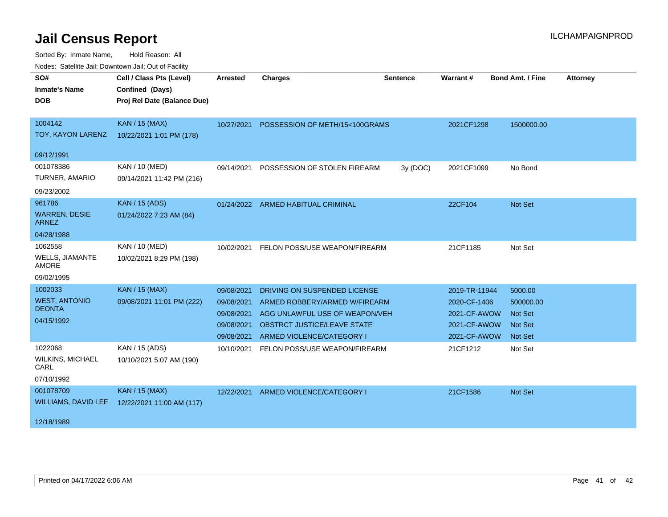| roaco. Calcinio can, Downlown can, Out or Fability |                             |            |                                           |                 |               |                  |                 |
|----------------------------------------------------|-----------------------------|------------|-------------------------------------------|-----------------|---------------|------------------|-----------------|
| SO#                                                | Cell / Class Pts (Level)    | Arrested   | <b>Charges</b>                            | <b>Sentence</b> | Warrant#      | Bond Amt. / Fine | <b>Attorney</b> |
| <b>Inmate's Name</b>                               | Confined (Days)             |            |                                           |                 |               |                  |                 |
| <b>DOB</b>                                         | Proj Rel Date (Balance Due) |            |                                           |                 |               |                  |                 |
|                                                    |                             |            |                                           |                 |               |                  |                 |
| 1004142                                            | <b>KAN / 15 (MAX)</b>       |            | 10/27/2021 POSSESSION OF METH/15<100GRAMS |                 | 2021CF1298    | 1500000.00       |                 |
| TOY, KAYON LARENZ                                  | 10/22/2021 1:01 PM (178)    |            |                                           |                 |               |                  |                 |
| 09/12/1991                                         |                             |            |                                           |                 |               |                  |                 |
| 001078386                                          | KAN / 10 (MED)              | 09/14/2021 | POSSESSION OF STOLEN FIREARM              | 3y (DOC)        | 2021CF1099    | No Bond          |                 |
| TURNER, AMARIO                                     | 09/14/2021 11:42 PM (216)   |            |                                           |                 |               |                  |                 |
| 09/23/2002                                         |                             |            |                                           |                 |               |                  |                 |
| 961786                                             | <b>KAN / 15 (ADS)</b>       |            | 01/24/2022 ARMED HABITUAL CRIMINAL        |                 | 22CF104       | Not Set          |                 |
| <b>WARREN, DESIE</b><br><b>ARNEZ</b>               | 01/24/2022 7:23 AM (84)     |            |                                           |                 |               |                  |                 |
| 04/28/1988                                         |                             |            |                                           |                 |               |                  |                 |
| 1062558                                            | KAN / 10 (MED)              |            | 10/02/2021 FELON POSS/USE WEAPON/FIREARM  |                 | 21CF1185      | Not Set          |                 |
| WELLS, JIAMANTE<br>AMORE                           | 10/02/2021 8:29 PM (198)    |            |                                           |                 |               |                  |                 |
| 09/02/1995                                         |                             |            |                                           |                 |               |                  |                 |
| 1002033                                            | KAN / 15 (MAX)              | 09/08/2021 | DRIVING ON SUSPENDED LICENSE              |                 | 2019-TR-11944 | 5000.00          |                 |
| <b>WEST, ANTONIO</b>                               | 09/08/2021 11:01 PM (222)   | 09/08/2021 | ARMED ROBBERY/ARMED W/FIREARM             |                 | 2020-CF-1406  | 500000.00        |                 |
| <b>DEONTA</b>                                      |                             | 09/08/2021 | AGG UNLAWFUL USE OF WEAPON/VEH            |                 | 2021-CF-AWOW  | <b>Not Set</b>   |                 |
| 04/15/1992                                         |                             | 09/08/2021 | <b>OBSTRCT JUSTICE/LEAVE STATE</b>        |                 | 2021-CF-AWOW  | <b>Not Set</b>   |                 |
|                                                    |                             | 09/08/2021 | ARMED VIOLENCE/CATEGORY I                 |                 | 2021-CF-AWOW  | <b>Not Set</b>   |                 |
| 1022068                                            | KAN / 15 (ADS)              | 10/10/2021 | FELON POSS/USE WEAPON/FIREARM             |                 | 21CF1212      | Not Set          |                 |
| <b>WILKINS, MICHAEL</b><br>CARL                    | 10/10/2021 5:07 AM (190)    |            |                                           |                 |               |                  |                 |
| 07/10/1992                                         |                             |            |                                           |                 |               |                  |                 |
| 001078709                                          | KAN / 15 (MAX)              |            | 12/22/2021 ARMED VIOLENCE/CATEGORY I      |                 | 21CF1586      | Not Set          |                 |
| WILLIAMS, DAVID LEE                                | 12/22/2021 11:00 AM (117)   |            |                                           |                 |               |                  |                 |
| 12/18/1989                                         |                             |            |                                           |                 |               |                  |                 |